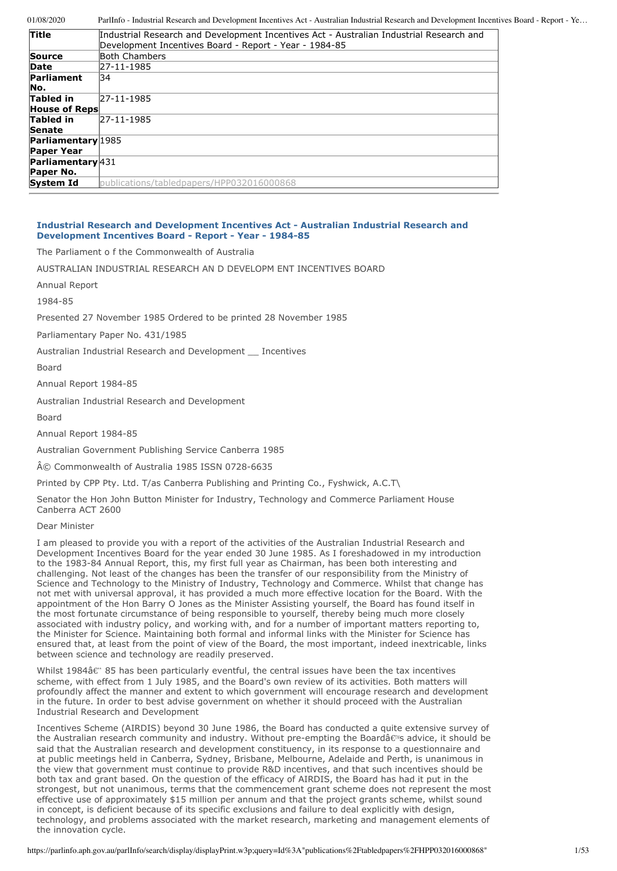| Industrial Research and Development Incentives Act - Australian Industrial Research and |
|-----------------------------------------------------------------------------------------|
|                                                                                         |
|                                                                                         |
|                                                                                         |
|                                                                                         |
|                                                                                         |
|                                                                                         |
|                                                                                         |
|                                                                                         |
|                                                                                         |
|                                                                                         |
|                                                                                         |
|                                                                                         |
|                                                                                         |
|                                                                                         |
|                                                                                         |
|                                                                                         |

# **Industrial Research and Development Incentives Act - Australian Industrial Research and Development Incentives Board - Report - Year - 1984-85**

The Parliament o f the Commonwealth of Australia

AUSTRALIAN INDUSTRIAL RESEARCH AN D DEVELOPM ENT INCENTIVES BOARD

Annual Report

1984-85

Presented 27 November 1985 Ordered to be printed 28 November 1985

Parliamentary Paper No. 431/1985

Australian Industrial Research and Development \_\_ Incentives

Board

Annual Report 1984-85

Australian Industrial Research and Development

Board

Annual Report 1984-85

Australian Government Publishing Service Canberra 1985

© Commonwealth of Australia 1985 ISSN 0728-6635

Printed by CPP Pty. Ltd. T/as Canberra Publishing and Printing Co., Fyshwick, A.C.T\

Senator the Hon John Button Minister for Industry, Technology and Commerce Parliament House Canberra ACT 2600

Dear Minister

I am pleased to provide you with a report of the activities of the Australian Industrial Research and Development Incentives Board for the year ended 30 June 1985. As I foreshadowed in my introduction to the 1983-84 Annual Report, this, my first full year as Chairman, has been both interesting and challenging. Not least of the changes has been the transfer of our responsibility from the Ministry of Science and Technology to the Ministry of Industry, Technology and Commerce. Whilst that change has not met with universal approval, it has provided a much more effective location for the Board. With the appointment of the Hon Barry O Jones as the Minister Assisting yourself, the Board has found itself in the most fortunate circumstance of being responsible to yourself, thereby being much more closely associated with industry policy, and working with, and for a number of important matters reporting to, the Minister for Science. Maintaining both formal and informal links with the Minister for Science has ensured that, at least from the point of view of the Board, the most important, indeed inextricable, links between science and technology are readily preserved.

Whilst 1984 $\hat{\alpha}$ " 85 has been particularly eventful, the central issues have been the tax incentives scheme, with effect from 1 July 1985, and the Board's own review of its activities. Both matters will profoundly affect the manner and extent to which government will encourage research and development in the future. In order to best advise government on whether it should proceed with the Australian Industrial Research and Development

Incentives Scheme (AIRDIS) beyond 30 June 1986, the Board has conducted a quite extensive survey of the Australian research community and industry. Without pre-empting the Boardâ $\epsilon$ <sup>m</sup>s advice, it should be said that the Australian research and development constituency, in its response to a questionnaire and at public meetings held in Canberra, Sydney, Brisbane, Melbourne, Adelaide and Perth, is unanimous in the view that government must continue to provide R&D incentives, and that such incentives should be both tax and grant based. On the question of the efficacy of AIRDIS, the Board has had it put in the strongest, but not unanimous, terms that the commencement grant scheme does not represent the most effective use of approximately \$15 million per annum and that the project grants scheme, whilst sound in concept, is deficient because of its specific exclusions and failure to deal explicitly with design, technology, and problems associated with the market research, marketing and management elements of the innovation cycle.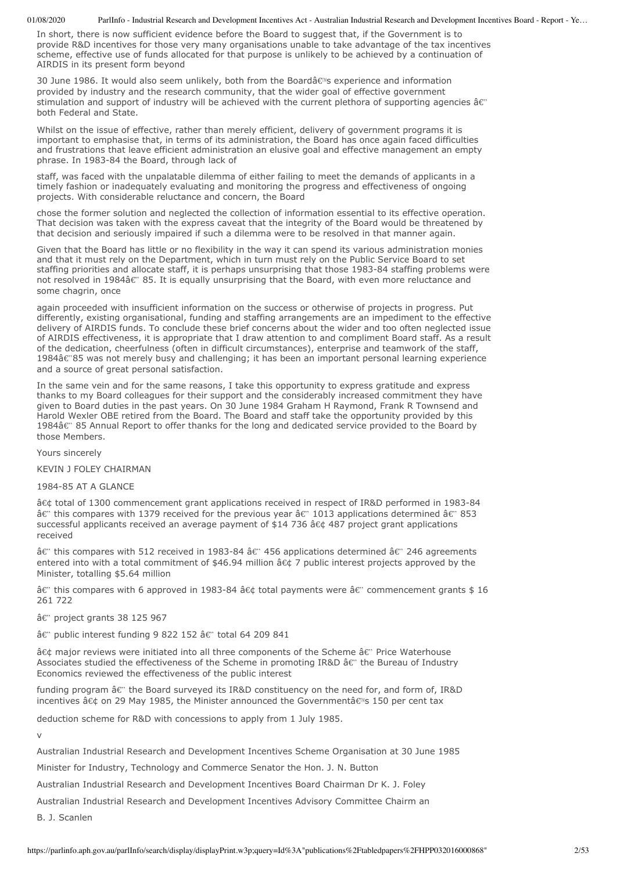In short, there is now sufficient evidence before the Board to suggest that, if the Government is to provide R&D incentives for those very many organisations unable to take advantage of the tax incentives scheme, effective use of funds allocated for that purpose is unlikely to be achieved by a continuation of AIRDIS in its present form beyond

30 June 1986. It would also seem unlikely, both from the Boardâ $\epsilon$ <sup>®</sup>s experience and information provided by industry and the research community, that the wider goal of effective government stimulation and support of industry will be achieved with the current plethora of supporting agencies  $\hat{\mathbf{a}} \in \mathbb{R}^n$ both Federal and State.

Whilst on the issue of effective, rather than merely efficient, delivery of government programs it is important to emphasise that, in terms of its administration, the Board has once again faced difficulties and frustrations that leave efficient administration an elusive goal and effective management an empty phrase. In 1983-84 the Board, through lack of

staff, was faced with the unpalatable dilemma of either failing to meet the demands of applicants in a timely fashion or inadequately evaluating and monitoring the progress and effectiveness of ongoing projects. With considerable reluctance and concern, the Board

chose the former solution and neglected the collection of information essential to its effective operation. That decision was taken with the express caveat that the integrity of the Board would be threatened by that decision and seriously impaired if such a dilemma were to be resolved in that manner again.

Given that the Board has little or no flexibility in the way it can spend its various administration monies and that it must rely on the Department, which in turn must rely on the Public Service Board to set staffing priorities and allocate staff, it is perhaps unsurprising that those 1983-84 staffing problems were not resolved in 1984â $\varepsilon$ " 85. It is equally unsurprising that the Board, with even more reluctance and some chagrin, once

again proceeded with insufficient information on the success or otherwise of projects in progress. Put differently, existing organisational, funding and staffing arrangements are an impediment to the effective delivery of AIRDIS funds. To conclude these brief concerns about the wider and too often neglected issue of AIRDIS effectiveness, it is appropriate that I draw attention to and compliment Board staff. As a result of the dedication, cheerfulness (often in difficult circumstances), enterprise and teamwork of the staff, 1984â€"85 was not merely busy and challenging; it has been an important personal learning experience and a source of great personal satisfaction.

In the same vein and for the same reasons, I take this opportunity to express gratitude and express thanks to my Board colleagues for their support and the considerably increased commitment they have given to Board duties in the past years. On 30 June 1984 Graham H Raymond, Frank R Townsend and Harold Wexler OBE retired from the Board. The Board and staff take the opportunity provided by this 1984â€" 85 Annual Report to offer thanks for the long and dedicated service provided to the Board by those Members.

Yours sincerely

KEVIN J FOLEY CHAIRMAN

1984-85 AT A GLANCE

â¢ total of 1300 commencement grant applications received in respect of IR&D performed in 1983-84  $\hat{\mathsf{a}}$  this compares with 1379 received for the previous year  $\hat{\mathsf{a}}$   $\epsilon$  1013 applications determined  $\hat{\mathsf{a}}$  $\epsilon$  853 successful applicants received an average payment of \$14 736 â¢ 487 project grant applications received

 $\hat{a}$  this compares with 512 received in 1983-84  $\hat{a}$  456 applications determined  $\hat{a}$   $\epsilon$ " 246 agreements entered into with a total commitment of \$46.94 million  $\hat{a} \in \mathcal{A}$  7 public interest projects approved by the Minister, totalling \$5.64 million

 $\hat{\mathbf{a}}$  this compares with 6 approved in 1983-84  $\hat{\mathbf{a}}\in\mathbb{C}$  total payments were  $\hat{\mathbf{a}}\in\mathbb{C}^n$  commencement grants \$ 16 261 722

â€" project grants 38 125 967

â€" public interest funding 9 822 152 â€" total 64 209 841

â $\epsilon$ ¢ major reviews were initiated into all three components of the Scheme â $\epsilon$ " Price Waterhouse Associates studied the effectiveness of the Scheme in promoting IR&D â€" the Bureau of Industry Economics reviewed the effectiveness of the public interest

funding program â $\varepsilon$ " the Board surveyed its IR&D constituency on the need for, and form of, IR&D incentives • on 29 May 1985, the Minister announced the Governmentâ€<sup>®</sup>s 150 per cent tax

deduction scheme for R&D with concessions to apply from 1 July 1985.

v

Australian Industrial Research and Development Incentives Scheme Organisation at 30 June 1985

Minister for Industry, Technology and Commerce Senator the Hon. J. N. Button

Australian Industrial Research and Development Incentives Board Chairman Dr K. J. Foley

Australian Industrial Research and Development Incentives Advisory Committee Chairm an

B. J. Scanlen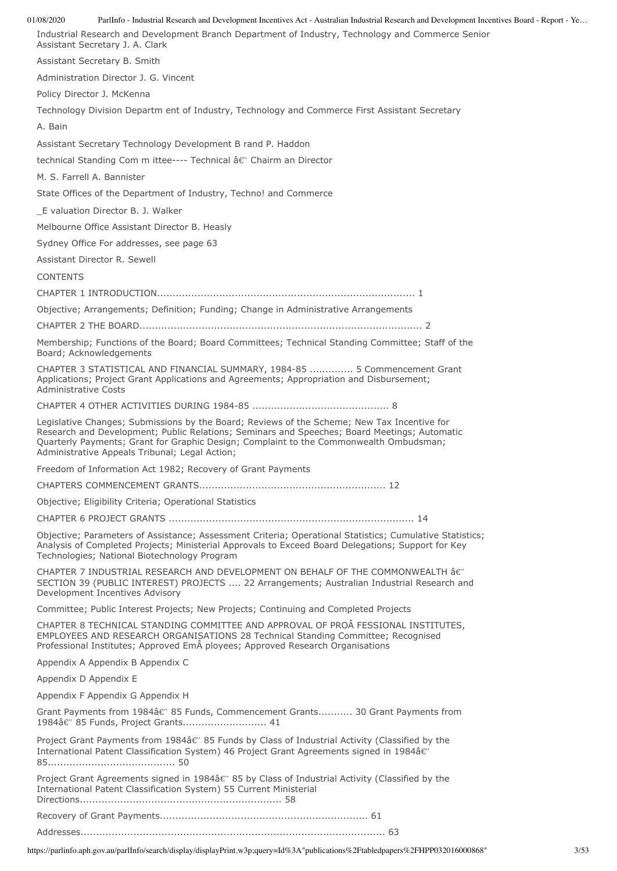01/08/2020 ParlInfo - Industrial Research and Development Incentives Act - Australian Industrial Research and Development Incentives Board - Report - Ye… Industrial Research and Development Branch Department of Industry, Technology and Commerce Senior Assistant Secretary J. A. Clark Assistant Secretary B. Smith Administration Director J. G. Vincent Policy Director J. McKenna Technology Division Departm ent of Industry, Technology and Commerce First Assistant Secretary A. Bain Assistant Secretary Technology Development B rand P. Haddon technical Standing Com m ittee---- Technical â $\varepsilon$ " Chairm an Director M. S. Farrell A. Bannister State Offices of the Department of Industry, Techno! and Commerce \_E valuation Director B. J. Walker Melbourne Office Assistant Director B. Heasly Sydney Office For addresses, see page 63

Assistant Director R. Sewell

**CONTENTS** 

CHAPTER 1 INTRODUCTION................................................................................... 1

Objective; Arrangements; Definition; Funding; Change in Administrative Arrangements

CHAPTER 2 THE BOARD........................................................................................... 2

Membership; Functions of the Board; Board Committees; Technical Standing Committee; Staff of the Board; Acknowledgements

CHAPTER 3 STATISTICAL AND FINANCIAL SUMMARY, 1984-85 .............. 5 Commencement Grant Applications; Project Grant Applications and Agreements; Appropriation and Disbursement; Administrative Costs

CHAPTER 4 OTHER ACTIVITIES DURING 1984-85 ............................................ 8

Legislative Changes; Submissions by the Board; Reviews of the Scheme; New Tax Incentive for Research and Development; Public Relations; Seminars and Speeches; Board Meetings; Automatic Quarterly Payments; Grant for Graphic Design; Complaint to the Commonwealth Ombudsman; Administrative Appeals Tribunal; Legal Action;

Freedom of Information Act 1982; Recovery of Grant Payments

CHAPTERS COMMENCEMENT GRANTS............................................................ 12

Objective; Eligibility Criteria; Operational Statistics

CHAPTER 6 PROJECT GRANTS ............................................................................... 14

Objective; Parameters of Assistance; Assessment Criteria; Operational Statistics; Cumulative Statistics; Analysis of Completed Projects; Ministerial Approvals to Exceed Board Delegations; Support for Key Technologies; National Biotechnology Program

CHAPTER 7 INDUSTRIAL RESEARCH AND DEVELOPMENT ON BEHALF OF THE COMMONWEALTH â SECTION 39 (PUBLIC INTEREST) PROJECTS .... 22 Arrangements; Australian Industrial Research and Development Incentives Advisory

Committee; Public Interest Projects; New Projects; Continuing and Completed Projects

CHAPTER 8 TECHNICAL STANDING COMMITTEE AND APPROVAL OF PROÂFESSIONAL INSTITUTES, EMPLOYEES AND RESEARCH ORGANISATIONS 28 Technical Standing Committee; Recognised Professional Institutes; Approved Em ployees; Approved Research Organisations

Appendix A Appendix B Appendix C

Appendix D Appendix E

Appendix F Appendix G Appendix H

Grant Payments from 1984â€" 85 Funds, Commencement Grants........... 30 Grant Payments from 1984â€" 85 Funds, Project Grants.............................. 41

Project Grant Payments from 1984â€" 85 Funds by Class of Industrial Activity (Classified by the International Patent Classification System) 46 Project Grant Agreements signed in 1984â 85......................................... 50

Project Grant Agreements signed in 1984 $\hat{a} \in \mathbb{C}$  85 by Class of Industrial Activity (Classified by the International Patent Classification System) 55 Current Ministerial

Directions................................................................. 58

Recovery of Grant Payments................................................................... 61

Addresses.................................................................................................. 63

https://parlinfo.aph.gov.au/parlInfo/search/display/displayPrint.w3p;query=Id%3A"publications%2Ftabledpapers%2FHPP032016000868" 3/53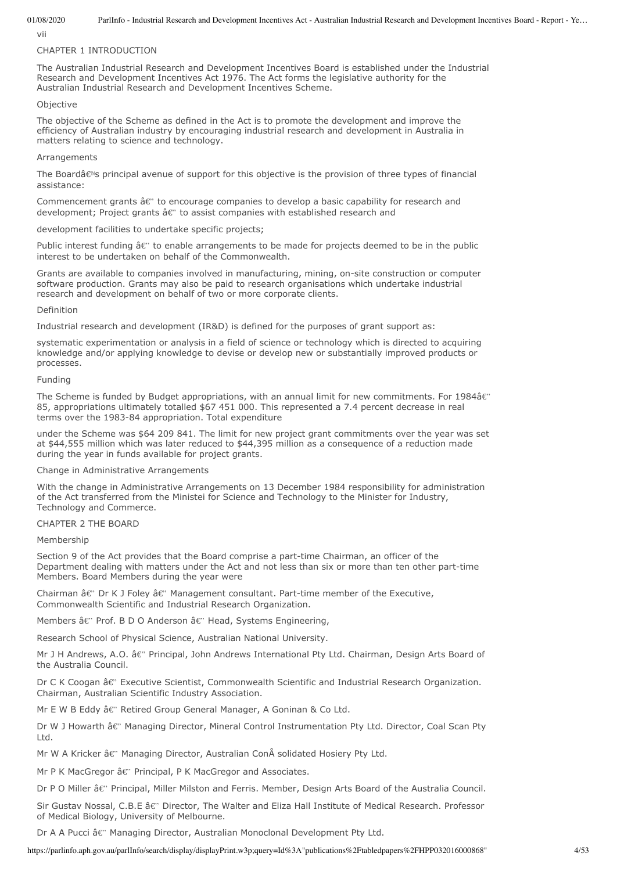vii

#### CHAPTER 1 INTRODUCTION

The Australian Industrial Research and Development Incentives Board is established under the Industrial Research and Development Incentives Act 1976. The Act forms the legislative authority for the Australian Industrial Research and Development Incentives Scheme.

### **Objective**

The objective of the Scheme as defined in the Act is to promote the development and improve the efficiency of Australian industry by encouraging industrial research and development in Australia in matters relating to science and technology.

### **Arrangements**

The Boardâ€<sup>®</sup>s principal avenue of support for this objective is the provision of three types of financial assistance:

Commencement grants  $\hat{a} \epsilon$ " to encourage companies to develop a basic capability for research and development; Project grants  $\hat{a} \epsilon$ " to assist companies with established research and

development facilities to undertake specific projects;

Public interest funding  $\hat{a} \epsilon$ " to enable arrangements to be made for projects deemed to be in the public interest to be undertaken on behalf of the Commonwealth.

Grants are available to companies involved in manufacturing, mining, on-site construction or computer software production. Grants may also be paid to research organisations which undertake industrial research and development on behalf of two or more corporate clients.

### Definition

Industrial research and development (IR&D) is defined for the purposes of grant support as:

systematic experimentation or analysis in a field of science or technology which is directed to acquiring knowledge and/or applying knowledge to devise or develop new or substantially improved products or processes.

### Funding

The Scheme is funded by Budget appropriations, with an annual limit for new commitments. For 1984â€" 85, appropriations ultimately totalled \$67 451 000. This represented a 7.4 percent decrease in real terms over the 1983-84 appropriation. Total expenditure

under the Scheme was \$64 209 841. The limit for new project grant commitments over the year was set at \$44,555 million which was later reduced to \$44,395 million as a consequence of a reduction made during the year in funds available for project grants.

# Change in Administrative Arrangements

With the change in Administrative Arrangements on 13 December 1984 responsibility for administration of the Act transferred from the Ministei for Science and Technology to the Minister for Industry, Technology and Commerce.

# CHAPTER 2 THE BOARD

Membership

Section 9 of the Act provides that the Board comprise a part-time Chairman, an officer of the Department dealing with matters under the Act and not less than six or more than ten other part-time Members. Board Members during the year were

Chairman  $\hat{a} \in \mathbb{C}$  Dr K J Foley  $\hat{a} \in \mathbb{C}$  Management consultant. Part-time member of the Executive, Commonwealth Scientific and Industrial Research Organization.

Members â€" Prof. B D O Anderson â€" Head, Systems Engineering,

Research School of Physical Science, Australian National University.

Mr J H Andrews, A.O. â€" Principal, John Andrews International Pty Ltd. Chairman, Design Arts Board of the Australia Council.

Dr C K Coogan â€" Executive Scientist, Commonwealth Scientific and Industrial Research Organization. Chairman, Australian Scientific Industry Association.

Mr E W B Eddy â€" Retired Group General Manager, A Goninan & Co Ltd.

Dr W J Howarth â€" Managing Director, Mineral Control Instrumentation Pty Ltd. Director, Coal Scan Pty Ltd.

Mr W A Kricker  $\hat{a} \epsilon$ " Managing Director, Australian Con $\hat{A}$  solidated Hosiery Pty Ltd.

Mr P K MacGregor â€" Principal, P K MacGregor and Associates.

Dr P O Miller â€" Principal, Miller Milston and Ferris. Member, Design Arts Board of the Australia Council.

Sir Gustav Nossal, C.B.E â€" Director, The Walter and Eliza Hall Institute of Medical Research. Professor of Medical Biology, University of Melbourne.

Dr A A Pucci â€" Managing Director, Australian Monoclonal Development Pty Ltd.

https://parlinfo.aph.gov.au/parlInfo/search/display/displayPrint.w3p;query=Id%3A"publications%2Ftabledpapers%2FHPP032016000868" 4/53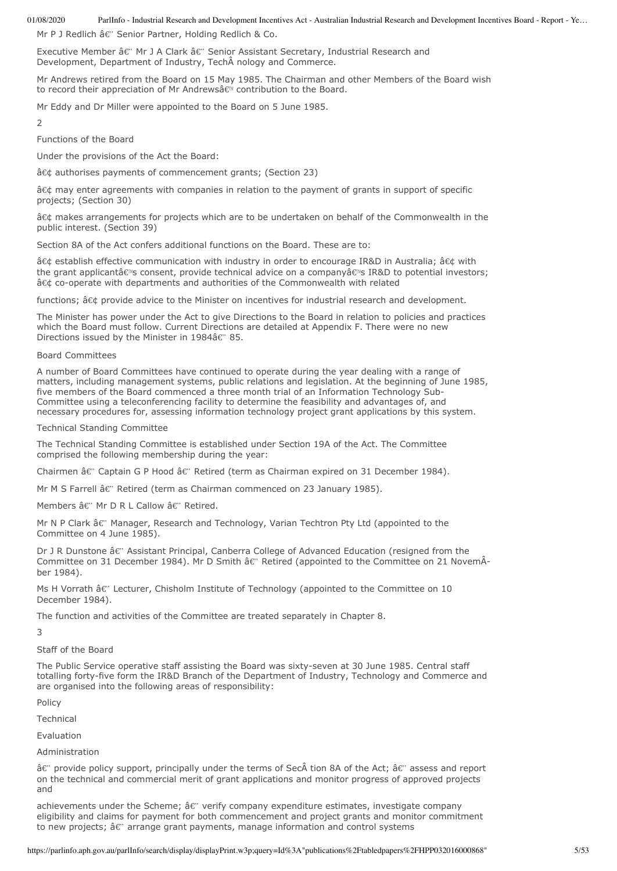Mr P J Redlich â€" Senior Partner, Holding Redlich & Co.

Executive Member  $\hat{a} \hat{\epsilon}$ " Mr J A Clark  $\hat{a} \hat{\epsilon}$ " Senior Assistant Secretary, Industrial Research and Development, Department of Industry, Tech nology and Commerce.

Mr Andrews retired from the Board on 15 May 1985. The Chairman and other Members of the Board wish to record their appreciation of Mr Andrewsâ€<sup>™</sup> contribution to the Board.

Mr Eddy and Dr Miller were appointed to the Board on 5 June 1985.

 $\overline{\mathcal{L}}$ 

Functions of the Board

Under the provisions of the Act the Board:

• authorises payments of commencement grants; (Section 23)

• may enter agreements with companies in relation to the payment of grants in support of specific projects; (Section 30)

â¢ makes arrangements for projects which are to be undertaken on behalf of the Commonwealth in the public interest. (Section 39)

Section 8A of the Act confers additional functions on the Board. These are to:

• establish effective communication with industry in order to encourage IR&D in Australia; • with the grant applicantâ€<sup>ni</sup>s consent, provide technical advice on a companyâ€<sup>ni</sup>s IR&D to potential investors; • co-operate with departments and authorities of the Commonwealth with related

functions; • provide advice to the Minister on incentives for industrial research and development.

The Minister has power under the Act to give Directions to the Board in relation to policies and practices which the Board must follow. Current Directions are detailed at Appendix F. There were no new Directions issued by the Minister in 1984 $\hat{a} \in$  85.

# Board Committees

A number of Board Committees have continued to operate during the year dealing with a range of matters, including management systems, public relations and legislation. At the beginning of June 1985, five members of the Board commenced a three month trial of an Information Technology Sub-Committee using a teleconferencing facility to determine the feasibility and advantages of, and necessary procedures for, assessing information technology project grant applications by this system.

### Technical Standing Committee

The Technical Standing Committee is established under Section 19A of the Act. The Committee comprised the following membership during the year:

Chairmen â $\varepsilon$ " Captain G P Hood â $\varepsilon$ " Retired (term as Chairman expired on 31 December 1984).

Mr M S Farrell â€" Retired (term as Chairman commenced on 23 January 1985).

Members  $\hat{a} \in \mathbb{C}^n$  Mr D R L Callow  $\hat{a} \in \mathbb{C}^n$  Retired.

Mr N P Clark â $\varepsilon$ " Manager, Research and Technology, Varian Techtron Pty Ltd (appointed to the Committee on 4 June 1985).

Dr J R Dunstone â€" Assistant Principal, Canberra College of Advanced Education (resigned from the Committee on 31 December 1984). Mr D Smith â $\varepsilon$ " Retired (appointed to the Committee on 21 Novem  $\hat{A}$ ber 1984).

Ms H Vorrath  $\hat{a} \hat{\epsilon}$ " Lecturer, Chisholm Institute of Technology (appointed to the Committee on 10 December 1984).

The function and activities of the Committee are treated separately in Chapter 8.

# 3

Staff of the Board

The Public Service operative staff assisting the Board was sixty-seven at 30 June 1985. Central staff totalling forty-five form the IR&D Branch of the Department of Industry, Technology and Commerce and are organised into the following areas of responsibility:

Policy

Technical

Evaluation

Administration

 $\hat{a} \hat{\epsilon}$ " provide policy support, principally under the terms of Sec $\hat{A}$  tion 8A of the Act;  $\hat{a} \hat{\epsilon}$ " assess and report on the technical and commercial merit of grant applications and monitor progress of approved projects and

achievements under the Scheme; â e" verify company expenditure estimates, investigate company eligibility and claims for payment for both commencement and project grants and monitor commitment to new projects;  $\hat{a} \in \mathbb{C}$  arrange grant payments, manage information and control systems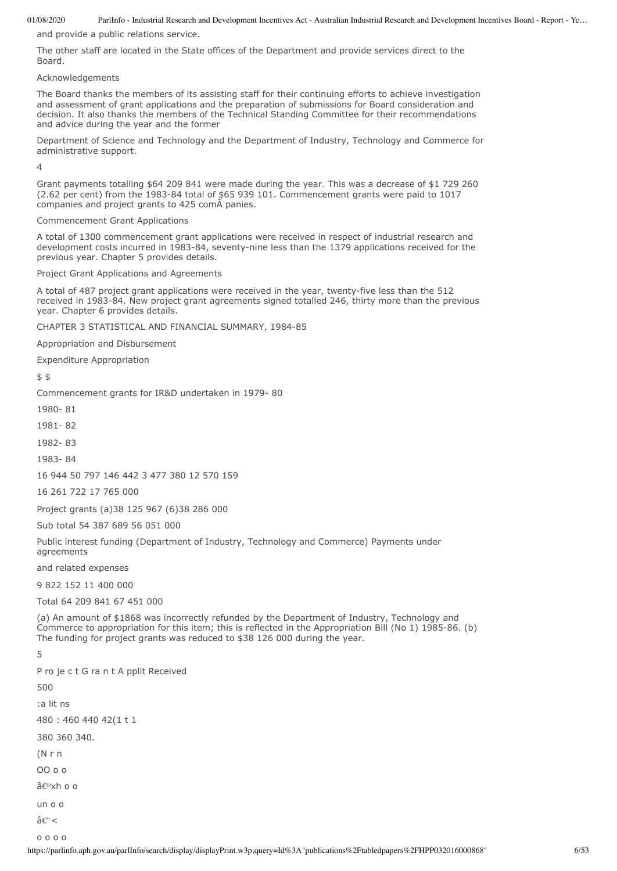and provide a public relations service.

The other staff are located in the State offices of the Department and provide services direct to the Board.

### Acknowledgements

The Board thanks the members of its assisting staff for their continuing efforts to achieve investigation and assessment of grant applications and the preparation of submissions for Board consideration and decision. It also thanks the members of the Technical Standing Committee for their recommendations and advice during the year and the former

Department of Science and Technology and the Department of Industry, Technology and Commerce for administrative support.

 $\overline{A}$ 

Grant payments totalling \$64 209 841 were made during the year. This was a decrease of \$1 729 260 (2.62 per cent) from the 1983-84 total of \$65 939 101. Commencement grants were paid to 1017 companies and project grants to 425 comÂpanies.

### Commencement Grant Applications

A total of 1300 commencement grant applications were received in respect of industrial research and development costs incurred in 1983-84, seventy-nine less than the 1379 applications received for the previous year. Chapter 5 provides details.

Project Grant Applications and Agreements

A total of 487 project grant applications were received in the year, twenty-five less than the 512 received in 1983-84. New project grant agreements signed totalled 246, thirty more than the previous year. Chapter 6 provides details.

CHAPTER 3 STATISTICAL AND FINANCIAL SUMMARY, 1984-85

Appropriation and Disbursement

Expenditure Appropriation

\$ \$

Commencement grants for IR&D undertaken in 1979- 80

1980- 81

1981- 82

1982- 83

1983- 84

16 944 50 797 146 442 3 477 380 12 570 159

16 261 722 17 765 000

Project grants (a)38 125 967 (6)38 286 000

Sub total 54 387 689 56 051 000

Public interest funding (Department of Industry, Technology and Commerce) Payments under agreements

and related expenses

9 822 152 11 400 000

Total 64 209 841 67 451 000

(a) An amount of \$1868 was incorrectly refunded by the Department of Industry, Technology and Commerce to appropriation for this item; this is reflected in the Appropriation Bill (No 1) 1985-86. (b) The funding for project grants was reduced to \$38 126 000 during the year.

# 5

```
P ro je c t G ra n t A pplit Received
500
:a lit ns
480 : 460 440 42(1 t 1
380 360 340.
(N r n
OO o o
'xh o o
un o o
\hat{a}\hat{\epsilon}"<
```
o o o o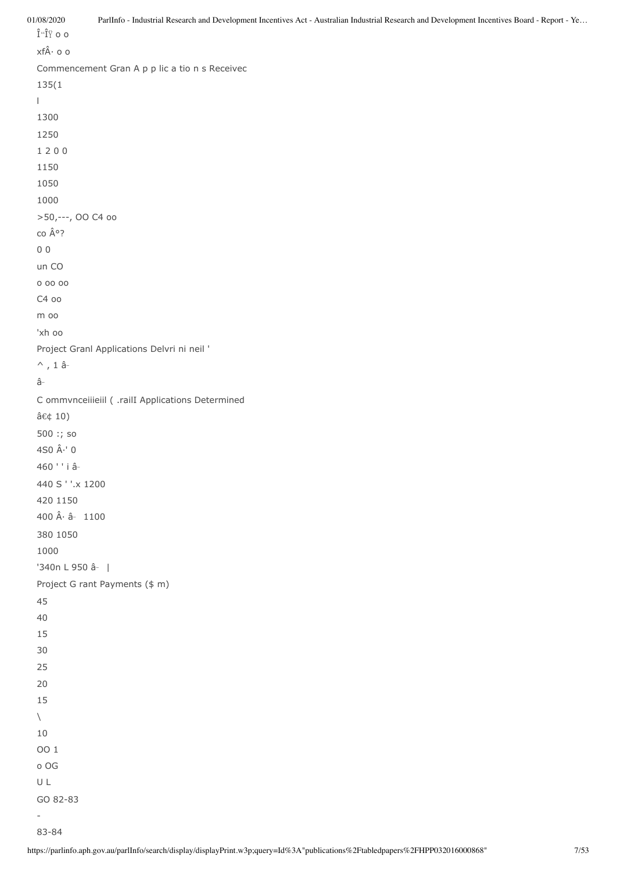01/08/2020 ParlInfo - Industrial Research and Development Incentives Act - Australian Industrial Research and Development Incentives Board - Report - Ye… Î"Ο o o  $xf \hat{A} \cdot o$  o Commencement Gran A p p lic a tio n s Receivec 135(1 l 1300 1250 1 2 0 0 1150 1050 1000 >50,---, OO C4 oo co °? 0 0 un CO o oo oo C4 oo m oo 'xh oo Project Granl Applications Delvri ni neil '  $\wedge$ , 1 ââ C ommvnceiiieiil ( .railI Applications Determined â¢ 10) 500 :; so 4S0  $\hat{A}$   $\cdot$  ' 0 460 ' ' i â 440 S ' '.x 1200 420 1150 400  $\hat{A}$  $\cdot$   $\hat{a}$   $-$  1100 380 1050 1000 '340n L 950 â  $\vert$ Project G rant Payments (\$ m) 45 40 15 30 25 20 15  $\setminus$ 10 OO 1 o OG U L GO 82-83 -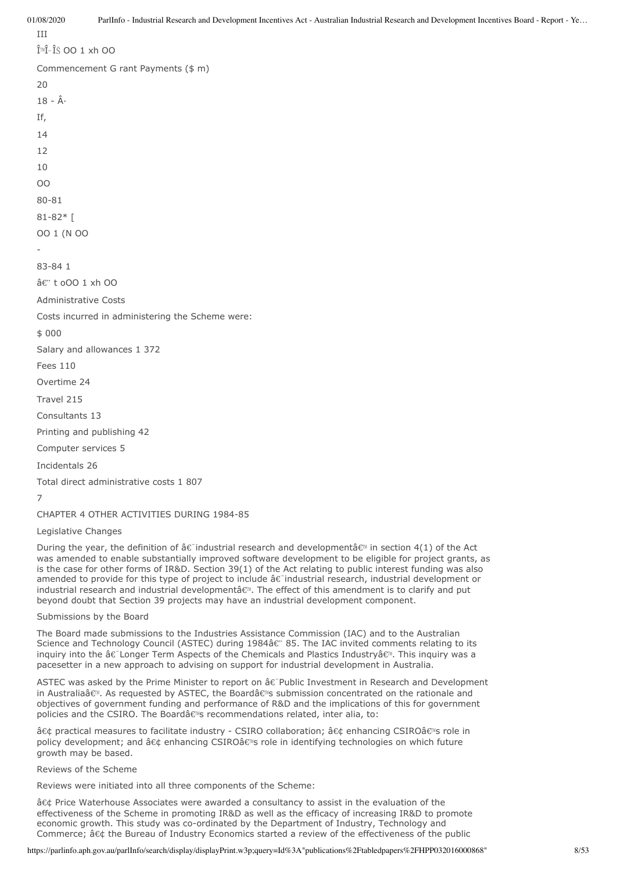III  $\hat{I}^{\mathbb{N}}\hat{I}$ - $\hat{I}$ ŠOO 1 xh OO Commencement G rant Payments (\$ m)  $20$  $18 - \hat{A}$ If, 14 12  $1<sub>0</sub>$  $\Omega$ 80-81 81-82\* [ OO 1 (N OO - 83-84 1 â€" t oOO 1 xh OO Administrative Costs Costs incurred in administering the Scheme were: \$ 000 Salary and allowances 1 372  $F\rho\rho s$  110 Overtime 24 Travel 215 Consultants 13 Printing and publishing 42 Computer services 5 Incidentals 26 Total direct administrative costs 1 807

7

CHAPTER 4 OTHER ACTIVITIES DURING 1984-85

Legislative Changes

During the year, the definition of â $\varepsilon$  industrial research and developmentâ $\varepsilon$ <sup>m</sup> in section 4(1) of the Act was amended to enable substantially improved software development to be eligible for project grants, as is the case for other forms of IR&D. Section 39(1) of the Act relating to public interest funding was also amended to provide for this type of project to include  $\hat{a}\hat{\epsilon}$  industrial research, industrial development or industrial research and industrial developmentâ $\varepsilon$ <sup>m</sup>. The effect of this amendment is to clarify and put beyond doubt that Section 39 projects may have an industrial development component.

Submissions by the Board

The Board made submissions to the Industries Assistance Commission (IAC) and to the Australian Science and Technology Council (ASTEC) during 1984â $\epsilon$ " 85. The IAC invited comments relating to its inquiry into the †Longer Term Aspects of the Chemicals and Plastics Industryâ€<sup>™</sup>. This inquiry was a pacesetter in a new approach to advising on support for industrial development in Australia.

ASTEC was asked by the Prime Minister to report on  $\hat{a}\epsilon$ <sup>-</sup>Public Investment in Research and Development in Australiaâ€<sup>™</sup>. As requested by ASTEC, the Board's submission concentrated on the rationale and objectives of government funding and performance of R&D and the implications of this for government policies and the CSIRO. The Boardâ $\epsilon$ <sup>m</sup>s recommendations related, inter alia, to:

• practical measures to facilitate industry - CSIRO collaboration; • enhancing CSIROâ€<sup>ni</sup>s role in policy development; and • enhancing CSIROâ€<sup>®</sup> role in identifying technologies on which future growth may be based.

Reviews of the Scheme

Reviews were initiated into all three components of the Scheme:

â¢ Price Waterhouse Associates were awarded a consultancy to assist in the evaluation of the effectiveness of the Scheme in promoting IR&D as well as the efficacy of increasing IR&D to promote economic growth. This study was co-ordinated by the Department of Industry, Technology and Commerce;  $\hat{a}\in\Phi$  the Bureau of Industry Economics started a review of the effectiveness of the public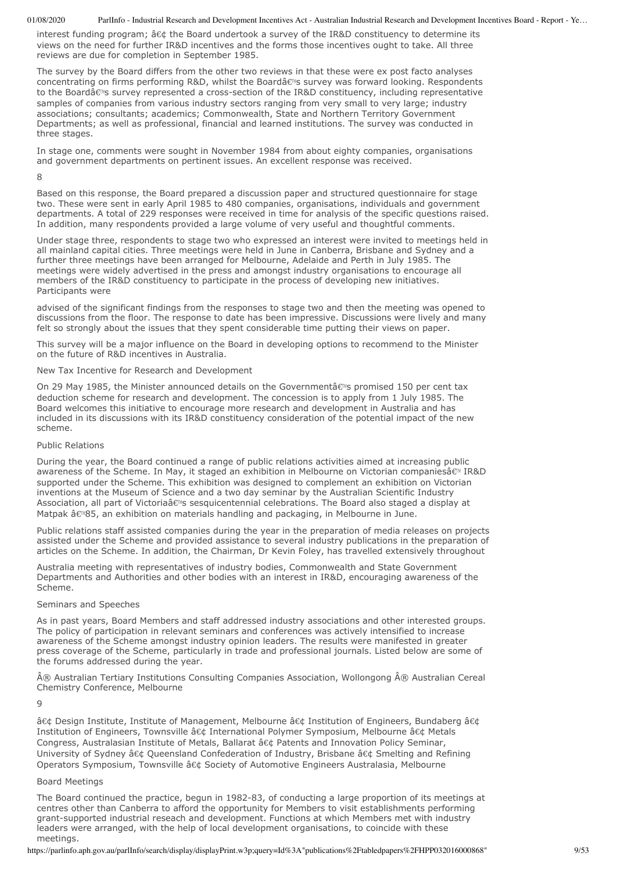interest funding program; • the Board undertook a survey of the IR&D constituency to determine its views on the need for further IR&D incentives and the forms those incentives ought to take. All three reviews are due for completion in September 1985.

The survey by the Board differs from the other two reviews in that these were ex post facto analyses concentrating on firms performing R&D, whilst the Boardâ€<sup>®</sup>s survey was forward looking. Respondents to the Boardâ€<sup>N</sup>s survey represented a cross-section of the IR&D constituency, including representative samples of companies from various industry sectors ranging from very small to very large; industry associations; consultants; academics; Commonwealth, State and Northern Territory Government Departments; as well as professional, financial and learned institutions. The survey was conducted in three stages.

In stage one, comments were sought in November 1984 from about eighty companies, organisations and government departments on pertinent issues. An excellent response was received.

8

Based on this response, the Board prepared a discussion paper and structured questionnaire for stage two. These were sent in early April 1985 to 480 companies, organisations, individuals and government departments. A total of 229 responses were received in time for analysis of the specific questions raised. In addition, many respondents provided a large volume of very useful and thoughtful comments.

Under stage three, respondents to stage two who expressed an interest were invited to meetings held in all mainland capital cities. Three meetings were held in June in Canberra, Brisbane and Sydney and a further three meetings have been arranged for Melbourne, Adelaide and Perth in July 1985. The meetings were widely advertised in the press and amongst industry organisations to encourage all members of the IR&D constituency to participate in the process of developing new initiatives. Participants were

advised of the significant findings from the responses to stage two and then the meeting was opened to discussions from the floor. The response to date has been impressive. Discussions were lively and many felt so strongly about the issues that they spent considerable time putting their views on paper.

This survey will be a major influence on the Board in developing options to recommend to the Minister on the future of R&D incentives in Australia.

# New Tax Incentive for Research and Development

On 29 May 1985, the Minister announced details on the Governmentâ€<sup>®</sup>s promised 150 per cent tax deduction scheme for research and development. The concession is to apply from 1 July 1985. The Board welcomes this initiative to encourage more research and development in Australia and has included in its discussions with its IR&D constituency consideration of the potential impact of the new scheme.

### Public Relations

During the year, the Board continued a range of public relations activities aimed at increasing public awareness of the Scheme. In May, it staged an exhibition in Melbourne on Victorian companiesâ€<sup>™</sup> IR&D supported under the Scheme. This exhibition was designed to complement an exhibition on Victorian inventions at the Museum of Science and a two day seminar by the Australian Scientific Industry Association, all part of Victoriaâ€<sup>%</sup>s sesquicentennial celebrations. The Board also staged a display at Matpak â€<sup>3</sup>85, an exhibition on materials handling and packaging, in Melbourne in June.

Public relations staff assisted companies during the year in the preparation of media releases on projects assisted under the Scheme and provided assistance to several industry publications in the preparation of articles on the Scheme. In addition, the Chairman, Dr Kevin Foley, has travelled extensively throughout

Australia meeting with representatives of industry bodies, Commonwealth and State Government Departments and Authorities and other bodies with an interest in IR&D, encouraging awareness of the Scheme.

#### Seminars and Speeches

As in past years, Board Members and staff addressed industry associations and other interested groups. The policy of participation in relevant seminars and conferences was actively intensified to increase awareness of the Scheme amongst industry opinion leaders. The results were manifested in greater press coverage of the Scheme, particularly in trade and professional journals. Listed below are some of the forums addressed during the year.

 $\hat{A} \circledR$  Australian Tertiary Institutions Consulting Companies Association, Wollongong  $\hat{A} \circledR$  Australian Cereal Chemistry Conference, Melbourne

 $\overline{Q}$ 

• Design Institute, Institute of Management, Melbourne • Institution of Engineers, Bundaberg • Institution of Engineers, Townsville • International Polymer Symposium, Melbourne • Metals Congress, Australasian Institute of Metals, Ballarat â¢ Patents and Innovation Policy Seminar, University of Sydney • Queensland Confederation of Industry, Brisbane • Smelting and Refining Operators Symposium, Townsville â¢ Society of Automotive Engineers Australasia, Melbourne

#### Board Meetings

The Board continued the practice, begun in 1982-83, of conducting a large proportion of its meetings at centres other than Canberra to afford the opportunity for Members to visit establishments performing grant-supported industrial reseach and development. Functions at which Members met with industry leaders were arranged, with the help of local development organisations, to coincide with these meetings.

https://parlinfo.aph.gov.au/parlInfo/search/display/displayPrint.w3p;query=Id%3A"publications%2Ftabledpapers%2FHPP032016000868" 9/53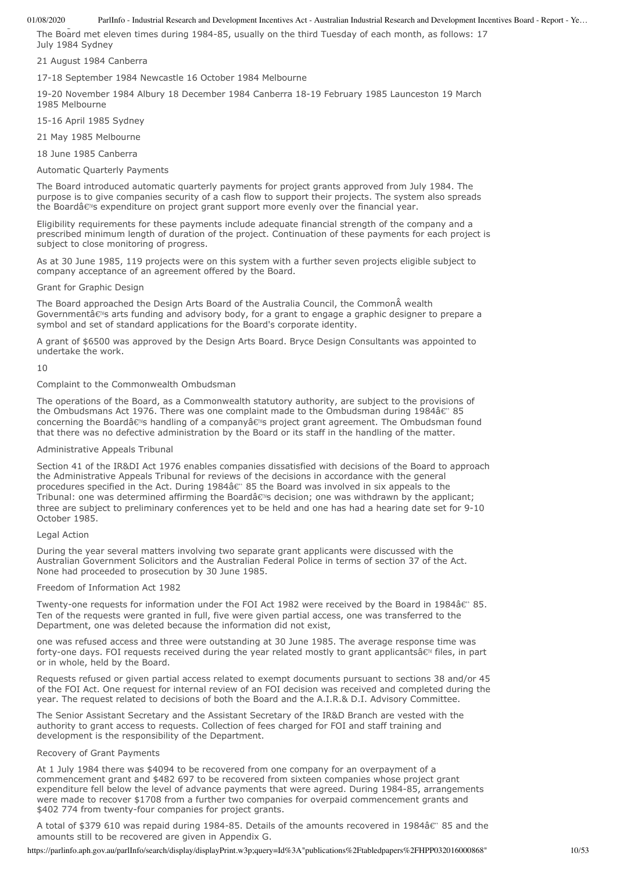The Board met eleven times during 1984-85, usually on the third Tuesday of each month, as follows: 17 July 1984 Sydney

### 21 August 1984 Canberra

17-18 September 1984 Newcastle 16 October 1984 Melbourne

19-20 November 1984 Albury 18 December 1984 Canberra 18-19 February 1985 Launceston 19 March 1985 Melbourne

15-16 April 1985 Sydney

21 May 1985 Melbourne

18 June 1985 Canberra

Automatic Quarterly Payments

The Board introduced automatic quarterly payments for project grants approved from July 1984. The purpose is to give companies security of a cash flow to support their projects. The system also spreads the Boardâ $\varepsilon$ <sup>®</sup>s expenditure on project grant support more evenly over the financial year.

Eligibility requirements for these payments include adequate financial strength of the company and a prescribed minimum length of duration of the project. Continuation of these payments for each project is subject to close monitoring of progress.

As at 30 June 1985, 119 projects were on this system with a further seven projects eligible subject to company acceptance of an agreement offered by the Board.

#### Grant for Graphic Design

The Board approached the Design Arts Board of the Australia Council, the Common wealth Governmentâ€<sup>m</sup>s arts funding and advisory body, for a grant to engage a graphic designer to prepare a symbol and set of standard applications for the Board's corporate identity.

A grant of \$6500 was approved by the Design Arts Board. Bryce Design Consultants was appointed to undertake the work.

10

### Complaint to the Commonwealth Ombudsman

The operations of the Board, as a Commonwealth statutory authority, are subject to the provisions of the Ombudsmans Act 1976. There was one complaint made to the Ombudsman during 1984 $\hat{a}$  & 35 concerning the Boardâ€<sup>™</sup>s handling of a company's project grant agreement. The Ombudsman found that there was no defective administration by the Board or its staff in the handling of the matter.

# Administrative Appeals Tribunal

Section 41 of the IR&DI Act 1976 enables companies dissatisfied with decisions of the Board to approach the Administrative Appeals Tribunal for reviews of the decisions in accordance with the general procedures specified in the Act. During  $1984\hat{a}\hat{\epsilon}$ " 85 the Board was involved in six appeals to the Tribunal: one was determined affirming the Boardâ $\epsilon$ <sup>ng</sup> decision; one was withdrawn by the applicant; three are subject to preliminary conferences yet to be held and one has had a hearing date set for 9-10 October 1985.

# Legal Action

During the year several matters involving two separate grant applicants were discussed with the Australian Government Solicitors and the Australian Federal Police in terms of section 37 of the Act. None had proceeded to prosecution by 30 June 1985.

# Freedom of Information Act 1982

Twenty-one requests for information under the FOI Act 1982 were received by the Board in 1984â€" 85. Ten of the requests were granted in full, five were given partial access, one was transferred to the Department, one was deleted because the information did not exist,

one was refused access and three were outstanding at 30 June 1985. The average response time was forty-one days. FOI requests received during the year related mostly to grant applicantsâ e<sup>n</sup> files, in part or in whole, held by the Board.

Requests refused or given partial access related to exempt documents pursuant to sections 38 and/or 45 of the FOI Act. One request for internal review of an FOI decision was received and completed during the year. The request related to decisions of both the Board and the A.I.R.& D.I. Advisory Committee.

The Senior Assistant Secretary and the Assistant Secretary of the IR&D Branch are vested with the authority to grant access to requests. Collection of fees charged for FOI and staff training and development is the responsibility of the Department.

#### Recovery of Grant Payments

At 1 July 1984 there was \$4094 to be recovered from one company for an overpayment of a commencement grant and \$482 697 to be recovered from sixteen companies whose project grant expenditure fell below the level of advance payments that were agreed. During 1984-85, arrangements were made to recover \$1708 from a further two companies for overpaid commencement grants and \$402 774 from twenty-four companies for project grants.

A total of \$379 610 was repaid during 1984-85. Details of the amounts recovered in 1984â€" 85 and the amounts still to be recovered are given in Appendix G.

https://parlinfo.aph.gov.au/parlInfo/search/display/displayPrint.w3p;query=Id%3A"publications%2Ftabledpapers%2FHPP032016000868" 10/53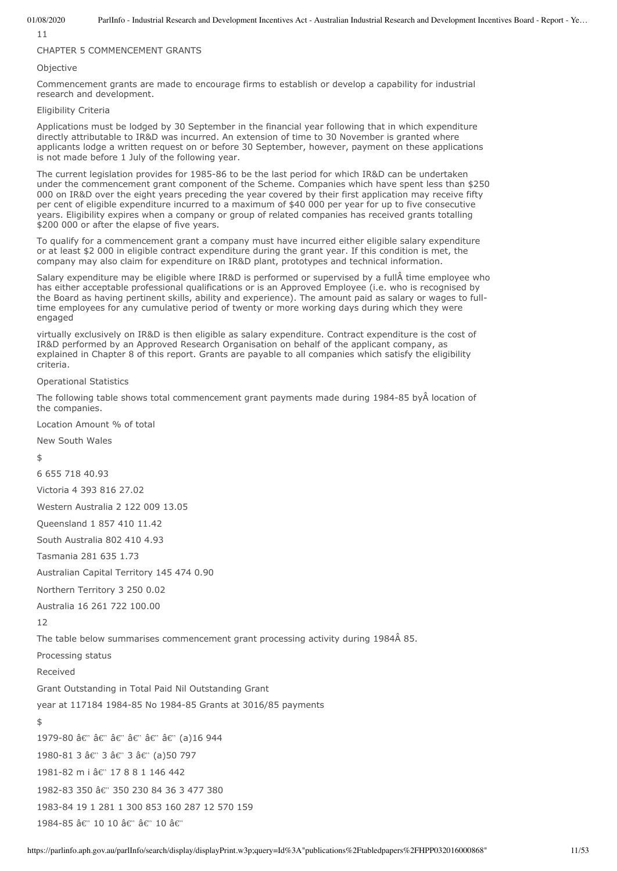11

# CHAPTER 5 COMMENCEMENT GRANTS

### Objective

Commencement grants are made to encourage firms to establish or develop a capability for industrial research and development.

# Eligibility Criteria

Applications must be lodged by 30 September in the financial year following that in which expenditure directly attributable to IR&D was incurred. An extension of time to 30 November is granted where applicants lodge a written request on or before 30 September, however, payment on these applications is not made before 1 July of the following year.

The current legislation provides for 1985-86 to be the last period for which IR&D can be undertaken under the commencement grant component of the Scheme. Companies which have spent less than \$250 000 on IR&D over the eight years preceding the year covered by their first application may receive fifty per cent of eligible expenditure incurred to a maximum of \$40 000 per year for up to five consecutive years. Eligibility expires when a company or group of related companies has received grants totalling \$200 000 or after the elapse of five years.

To qualify for a commencement grant a company must have incurred either eligible salary expenditure or at least \$2 000 in eligible contract expenditure during the grant year. If this condition is met, the company may also claim for expenditure on IR&D plant, prototypes and technical information.

Salary expenditure may be eligible where IR&D is performed or supervised by a full time employee who has either acceptable professional qualifications or is an Approved Employee (i.e. who is recognised by the Board as having pertinent skills, ability and experience). The amount paid as salary or wages to fulltime employees for any cumulative period of twenty or more working days during which they were engaged

virtually exclusively on IR&D is then eligible as salary expenditure. Contract expenditure is the cost of IR&D performed by an Approved Research Organisation on behalf of the applicant company, as explained in Chapter 8 of this report. Grants are payable to all companies which satisfy the eligibility criteria.

# Operational Statistics

The following table shows total commencement grant payments made during 1984-85 by location of the companies.

Location Amount % of total

New South Wales

#### \$

6 655 718 40.93

Victoria 4 393 816 27.02

Western Australia 2 122 009 13.05

Queensland 1 857 410 11.42

South Australia 802 410 4.93

Tasmania 281 635 1.73

Australian Capital Territory 145 474 0.90

Northern Territory 3 250 0.02

Australia 16 261 722 100.00

12

The table below summarises commencement grant processing activity during 1984Â 85.

Processing status

Received

Grant Outstanding in Total Paid Nil Outstanding Grant

year at 117184 1984-85 No 1984-85 Grants at 3016/85 payments

\$

1979-80 â€" â€" â€" â€" â€" â€" (a)16 944 1980-81 3 â€" 3 â€" 3 â€" (a)50 797 1981-82 m i â€" 17 8 8 1 146 442 1982-83 350 â€" 350 230 84 36 3 477 380 1983-84 19 1 281 1 300 853 160 287 12 570 159

1984-85 â€" 10 10 â€" â€" 10 â€"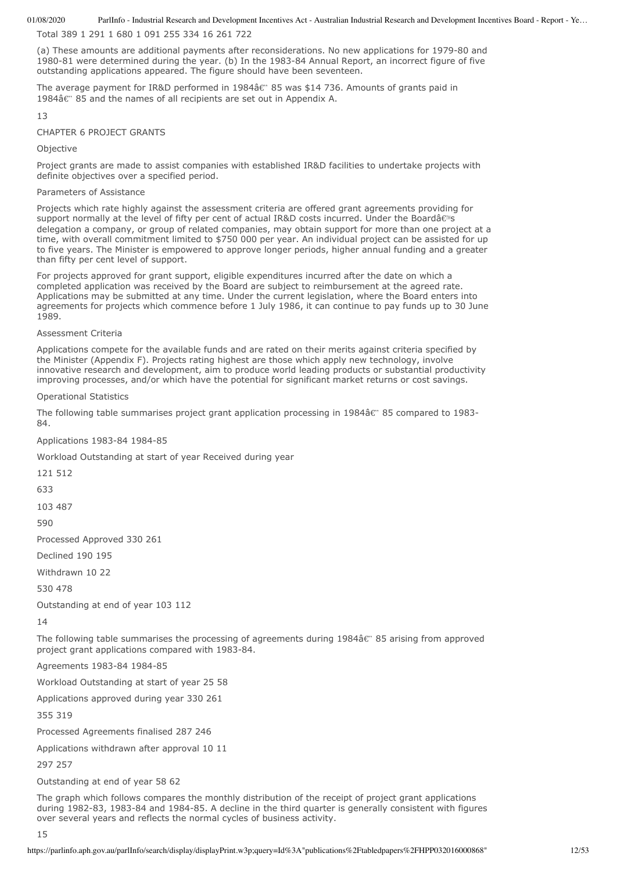Total 389 1 291 1 680 1 091 255 334 16 261 722

(a) These amounts are additional payments after reconsiderations. No new applications for 1979-80 and 1980-81 were determined during the year. (b) In the 1983-84 Annual Report, an incorrect figure of five outstanding applications appeared. The figure should have been seventeen.

The average payment for IR&D performed in 1984 $\hat{a}$  85 was \$14 736. Amounts of grants paid in 1984 $\hat{a}$  &  $\hat{b}$  85 and the names of all recipients are set out in Appendix A.

13

### CHAPTER 6 PROJECT GRANTS

**Objective** 

Project grants are made to assist companies with established IR&D facilities to undertake projects with definite objectives over a specified period.

#### Parameters of Assistance

Projects which rate highly against the assessment criteria are offered grant agreements providing for support normally at the level of fifty per cent of actual IR&D costs incurred. Under the Boardâ $\epsilon$ <sup>ng</sup> delegation a company, or group of related companies, may obtain support for more than one project at a time, with overall commitment limited to \$750 000 per year. An individual project can be assisted for up to five years. The Minister is empowered to approve longer periods, higher annual funding and a greater than fifty per cent level of support.

For projects approved for grant support, eligible expenditures incurred after the date on which a completed application was received by the Board are subject to reimbursement at the agreed rate. Applications may be submitted at any time. Under the current legislation, where the Board enters into agreements for projects which commence before 1 July 1986, it can continue to pay funds up to 30 June 1989.

### Assessment Criteria

Applications compete for the available funds and are rated on their merits against criteria specified by the Minister (Appendix F). Projects rating highest are those which apply new technology, involve innovative research and development, aim to produce world leading products or substantial productivity improving processes, and/or which have the potential for significant market returns or cost savings.

Operational Statistics

The following table summarises project grant application processing in 1984 $\hat{a}$  & 35 compared to 1983-84.

Applications 1983-84 1984-85

Workload Outstanding at start of year Received during year

121 512

633

103 487

590

Processed Approved 330 261

Declined 190 195

Withdrawn 10 22

530 478

Outstanding at end of year 103 112

14

The following table summarises the processing of agreements during 1984 $\hat{a}$  &" 85 arising from approved project grant applications compared with 1983-84.

Agreements 1983-84 1984-85

Workload Outstanding at start of year 25 58

Applications approved during year 330 261

355 319

Processed Agreements finalised 287 246

Applications withdrawn after approval 10 11

297 257

Outstanding at end of year 58 62

The graph which follows compares the monthly distribution of the receipt of project grant applications during 1982-83, 1983-84 and 1984-85. A decline in the third quarter is generally consistent with figures over several years and reflects the normal cycles of business activity.

15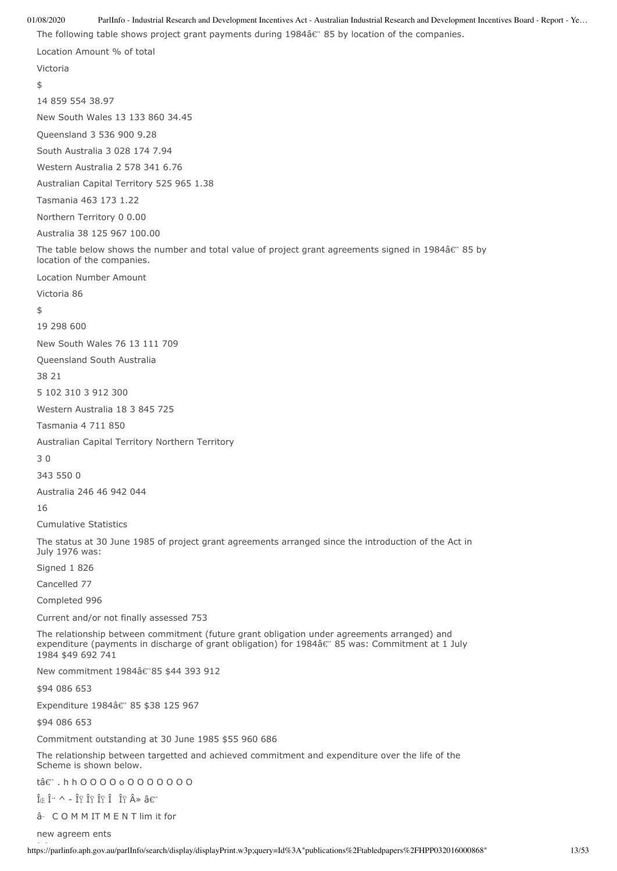01/08/2020 ParlInfo - Industrial Research and Development Incentives Act - Australian Industrial Research and Development Incentives Board - Report - Ye… The following table shows project grant payments during 1984â€" 85 by location of the companies. Location Amount % of total Victoria  $\ddot{\bm{\zeta}}$ 14 859 554 38.97 New South Wales 13 133 860 34.45 Queensland 3 536 900 9.28 South Australia 3 028 174 7.94 Western Australia 2 578 341 6.76 Australian Capital Territory 525 965 1.38 Tasmania 463 173 1.22 Northern Territory 0 0.00 Australia 38 125 967 100.00 The table below shows the number and total value of project grant agreements signed in 1984 $\hat{a}$  85 by location of the companies. Location Number Amount Victoria 86 \$ 19 298 600 New South Wales 76 13 111 709 Queensland South Australia 38 21 5 102 310 3 912 300 Western Australia 18 3 845 725 Tasmania 4 711 850 Australian Capital Territory Northern Territory 3 0 343 550 0 Australia 246 46 942 044 16 Cumulative Statistics The status at 30 June 1985 of project grant agreements arranged since the introduction of the Act in July 1976 was: Signed 1 826 Cancelled 77 Completed 996 Current and/or not finally assessed 753 The relationship between commitment (future grant obligation under agreements arranged) and expenditure (payments in discharge of grant obligation) for  $1984\hat{a}\hat{\epsilon}$ " 85 was: Commitment at 1 July 1984 \$49 692 741 New commitment 1984â€"85 \$44 393 912 \$94 086 653 Expenditure 1984â€" 85 \$38 125 967 \$94 086 653 Commitment outstanding at 30 June 1985 \$55 960 686 The relationship between targetted and achieved commitment and expenditure over the life of the Scheme is shown below. tâ€". h h O O O O o O O O O O O O  $\hat{I}_{\times}$   $\hat{I}^{\cdots}$  ^ -  $\hat{I}^{\cdots}_{Y}$   $\hat{I}^{\cdots}_{Y}$   $\hat{I}^{\cdots}_{Y}$   $\hat{I}^{\cdots}_{Y}$   $\hat{I}^{\cdots}_{Y}$   $\hat{A}$   $\gg$   $\hat{a}$   $\in$ "

â- COMMITMENT lim it for

new agreem ents

https://parlinfo.aph.gov.au/parlInfo/search/display/displayPrint.w3p;query=Id%3A"publications%2Ftabledpapers%2FHPP032016000868" 13/53 Î Î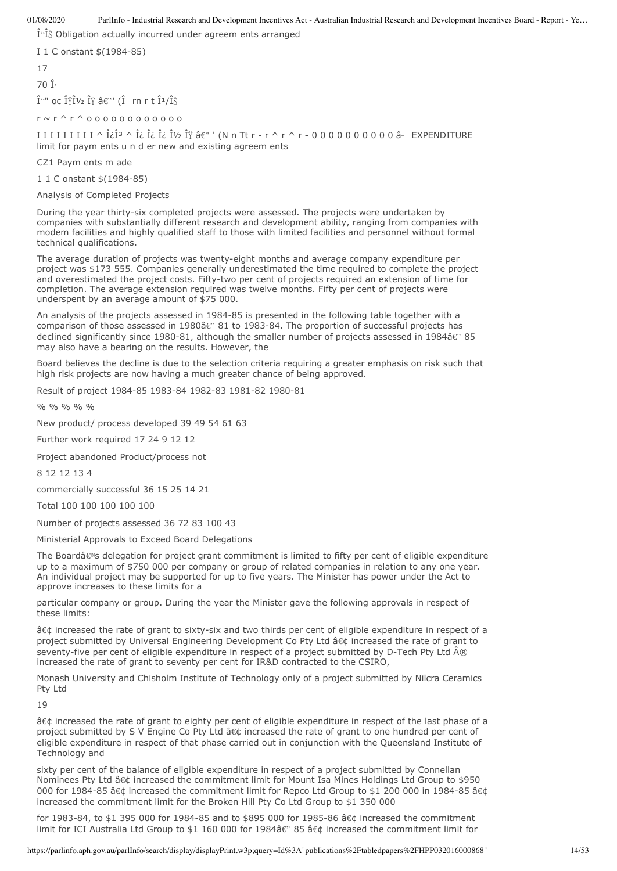$\hat{\mathbf{I}}$   $\hat{\mathbf{I}}$  Obligation actually incurred under agreem ents arranged

I 1 C onstant \$(1984-85)

17

70 η

 $\hat{I}^{\mu\nu}$  oc  $\hat{I}^{\gamma}\hat{I}^{\gamma}$   $\hat{I}^{\gamma}\hat{A}\hat{\epsilon}^{\gamma\prime}$  ( $\hat{I}$  rn r t  $\hat{I}^{1}/\hat{I}^{\gamma}\hat{S}$ 

 $r \sim r \wedge r \wedge o o o o o o o o o o o o$ 

 $II II II II I I \wedge \hat{L} \hat{I}^3 \wedge \hat{L} \hat{L} \hat{L} \hat{L} \hat{I}$   $\forall$   $\hat{I} \forall$   $\hat{I} \forall$   $\hat{I} \forall$   $\hat{I} \forall$   $\hat{I} \forall$   $\forall$   $I \cap I$   $I \cap I \land I \cap I$   $I \cap I \cap I$   $I \cap I \cap I$   $I \cap I \cap I$   $I \cap I \cap I$   $I \cap I \cap I$   $I \cap I \cap I$   $I \cap I \cap I$   $I \cap I \cap I$   $I \cap I \cap I \$ limit for paym ents u n d er new and existing agreem ents

CZ1 Paym ents m ade

1 1 C onstant \$(1984-85)

Analysis of Completed Projects

During the year thirty-six completed projects were assessed. The projects were undertaken by companies with substantially different research and development ability, ranging from companies with modem facilities and highly qualified staff to those with limited facilities and personnel without formal technical qualifications.

The average duration of projects was twenty-eight months and average company expenditure per project was \$173 555. Companies generally underestimated the time required to complete the project and overestimated the project costs. Fifty-two per cent of projects required an extension of time for completion. The average extension required was twelve months. Fifty per cent of projects were underspent by an average amount of \$75 000.

An analysis of the projects assessed in 1984-85 is presented in the following table together with a comparison of those assessed in 1980â€" 81 to 1983-84. The proportion of successful projects has declined significantly since 1980-81, although the smaller number of projects assessed in 1984 $\hat{a}$  & 35 may also have a bearing on the results. However, the

Board believes the decline is due to the selection criteria requiring a greater emphasis on risk such that high risk projects are now having a much greater chance of being approved.

Result of project 1984-85 1983-84 1982-83 1981-82 1980-81

% % % %

New product/ process developed 39 49 54 61 63

Further work required 17 24 9 12 12

Project abandoned Product/process not

8 12 12 13 4

commercially successful 36 15 25 14 21

Total 100 100 100 100 100

Number of projects assessed 36 72 83 100 43

Ministerial Approvals to Exceed Board Delegations

The Boardâ $\epsilon$ <sup>n</sup>s delegation for project grant commitment is limited to fifty per cent of eligible expenditure up to a maximum of \$750 000 per company or group of related companies in relation to any one year. An individual project may be supported for up to five years. The Minister has power under the Act to approve increases to these limits for a

particular company or group. During the year the Minister gave the following approvals in respect of these limits:

â¢ increased the rate of grant to sixty-six and two thirds per cent of eligible expenditure in respect of a project submitted by Universal Engineering Development Co Pty Ltd • increased the rate of grant to seventy-five per cent of eligible expenditure in respect of a project submitted by D-Tech Pty Ltd  $\hat{A}\circledR$ increased the rate of grant to seventy per cent for IR&D contracted to the CSIRO,

Monash University and Chisholm Institute of Technology only of a project submitted by Nilcra Ceramics Pty Ltd

19

â¢ increased the rate of grant to eighty per cent of eligible expenditure in respect of the last phase of a project submitted by S V Engine Co Pty Ltd • increased the rate of grant to one hundred per cent of eligible expenditure in respect of that phase carried out in conjunction with the Queensland Institute of Technology and

sixty per cent of the balance of eligible expenditure in respect of a project submitted by Connellan Nominees Pty Ltd • increased the commitment limit for Mount Isa Mines Holdings Ltd Group to \$950 000 for 1984-85 • increased the commitment limit for Repco Ltd Group to \$1 200 000 in 1984-85 • increased the commitment limit for the Broken Hill Pty Co Ltd Group to \$1 350 000

for 1983-84, to \$1 395 000 for 1984-85 and to \$895 000 for 1985-86 â¢ increased the commitment limit for ICI Australia Ltd Group to \$1 160 000 for 1984â€" 85 • increased the commitment limit for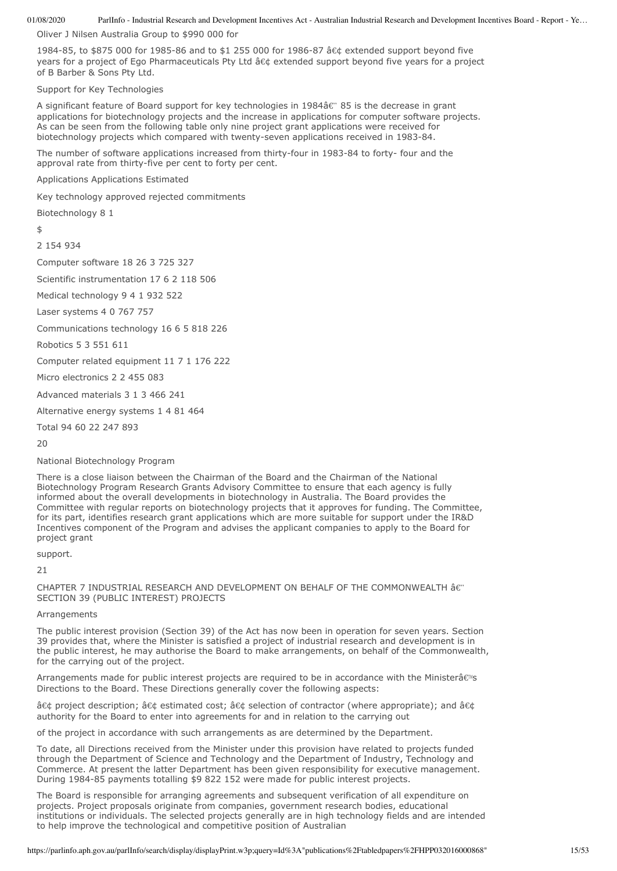Oliver J Nilsen Australia Group to \$990 000 for

1984-85, to \$875 000 for 1985-86 and to \$1 255 000 for 1986-87 â¢ extended support beyond five years for a project of Ego Pharmaceuticals Pty Ltd • extended support beyond five years for a project of B Barber & Sons Pty Ltd.

Support for Key Technologies

A significant feature of Board support for key technologies in 1984â $\epsilon$ " 85 is the decrease in grant applications for biotechnology projects and the increase in applications for computer software projects. As can be seen from the following table only nine project grant applications were received for biotechnology projects which compared with twenty-seven applications received in 1983-84.

The number of software applications increased from thirty-four in 1983-84 to forty- four and the approval rate from thirty-five per cent to forty per cent.

Applications Applications Estimated

Key technology approved rejected commitments

Biotechnology 8 1

\$

2 154 934

Computer software 18 26 3 725 327

Scientific instrumentation 17 6 2 118 506

Medical technology 9 4 1 932 522

Laser systems 4 0 767 757

Communications technology 16 6 5 818 226

Robotics 5 3 551 611

Computer related equipment 11 7 1 176 222

Micro electronics 2 2 455 083

Advanced materials 3 1 3 466 241

Alternative energy systems 1 4 81 464

Total 94 60 22 247 893

20

National Biotechnology Program

There is a close liaison between the Chairman of the Board and the Chairman of the National Biotechnology Program Research Grants Advisory Committee to ensure that each agency is fully informed about the overall developments in biotechnology in Australia. The Board provides the Committee with regular reports on biotechnology projects that it approves for funding. The Committee, for its part, identifies research grant applications which are more suitable for support under the IR&D Incentives component of the Program and advises the applicant companies to apply to the Board for project grant

support.

21

CHAPTER 7 INDUSTRIAL RESEARCH AND DEVELOPMENT ON BEHALF OF THE COMMONWEALTH â SECTION 39 (PUBLIC INTEREST) PROJECTS

Arrangements

The public interest provision (Section 39) of the Act has now been in operation for seven years. Section 39 provides that, where the Minister is satisfied a project of industrial research and development is in the public interest, he may authorise the Board to make arrangements, on behalf of the Commonwealth, for the carrying out of the project.

Arrangements made for public interest projects are required to be in accordance with the Ministerâ $\epsilon$ <sup>ng</sup>s Directions to the Board. These Directions generally cover the following aspects:

• project description; • estimated cost; • selection of contractor (where appropriate); and • authority for the Board to enter into agreements for and in relation to the carrying out

of the project in accordance with such arrangements as are determined by the Department.

To date, all Directions received from the Minister under this provision have related to projects funded through the Department of Science and Technology and the Department of Industry, Technology and Commerce. At present the latter Department has been given responsibility for executive management. During 1984-85 payments totalling \$9 822 152 were made for public interest projects.

The Board is responsible for arranging agreements and subsequent verification of all expenditure on projects. Project proposals originate from companies, government research bodies, educational institutions or individuals. The selected projects generally are in high technology fields and are intended to help improve the technological and competitive position of Australian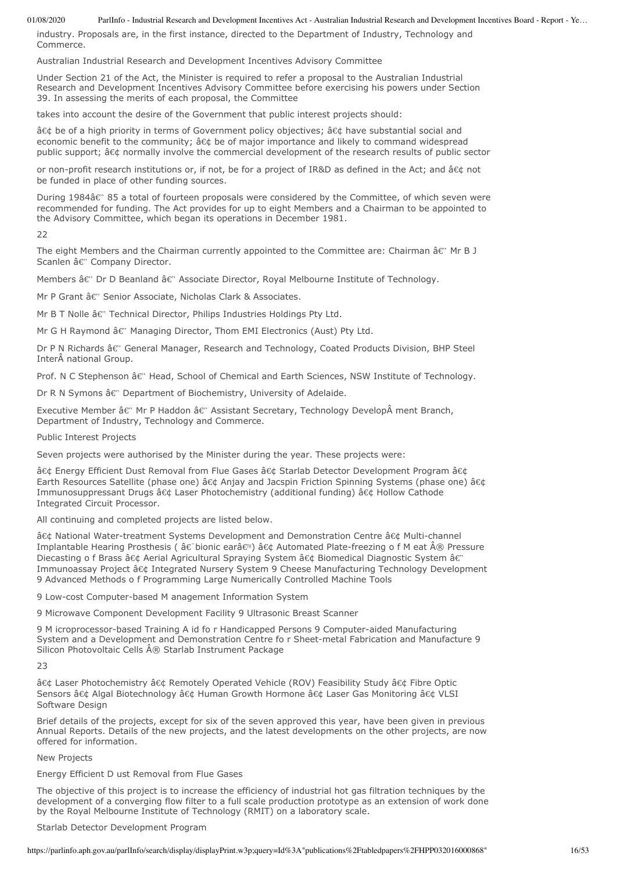industry. Proposals are, in the first instance, directed to the Department of Industry, Technology and Commerce.

Australian Industrial Research and Development Incentives Advisory Committee

Under Section 21 of the Act, the Minister is required to refer a proposal to the Australian Industrial Research and Development Incentives Advisory Committee before exercising his powers under Section 39. In assessing the merits of each proposal, the Committee

takes into account the desire of the Government that public interest projects should:

• be of a high priority in terms of Government policy objectives; • have substantial social and economic benefit to the community;  $\hat{a} \in \mathcal{C}$  be of major importance and likely to command widespread public support; • normally involve the commercial development of the research results of public sector

or non-profit research institutions or, if not, be for a project of IR&D as defined in the Act; and • not be funded in place of other funding sources.

During 1984â€" 85 a total of fourteen proposals were considered by the Committee, of which seven were recommended for funding. The Act provides for up to eight Members and a Chairman to be appointed to the Advisory Committee, which began its operations in December 1981.

22

The eight Members and the Chairman currently appointed to the Committee are: Chairman  $\hat{a} \epsilon$ " Mr B J Scanlen â€" Company Director.

Members â $\varepsilon$ " Dr D Beanland â $\varepsilon$ " Associate Director, Royal Melbourne Institute of Technology.

Mr P Grant â€" Senior Associate, Nicholas Clark & Associates.

Mr B T Nolle  $\hat{a} \epsilon$ " Technical Director, Philips Industries Holdings Pty Ltd.

Mr G H Raymond â€" Managing Director, Thom EMI Electronics (Aust) Pty Ltd.

Dr P N Richards â€" General Manager, Research and Technology, Coated Products Division, BHP Steel Inter national Group.

Prof. N C Stephenson â $\varepsilon$ " Head, School of Chemical and Earth Sciences, NSW Institute of Technology.

Dr R N Symons  $\hat{a}\hat{\epsilon}$ " Department of Biochemistry, University of Adelaide.

Executive Member â€" Mr P Haddon â€" Assistant Secretary, Technology Develop ment Branch, Department of Industry, Technology and Commerce.

Public Interest Projects

Seven projects were authorised by the Minister during the year. These projects were:

• Energy Efficient Dust Removal from Flue Gases • Starlab Detector Development Program • Earth Resources Satellite (phase one) • Anjay and Jacspin Friction Spinning Systems (phase one) • Immunosuppressant Drugs • Laser Photochemistry (additional funding) • Hollow Cathode Integrated Circuit Processor.

All continuing and completed projects are listed below.

â¢ National Water-treatment Systems Development and Demonstration Centre â¢ Multi-channel Implantable Hearing Prosthesis ( $\hat{a} \in \hat{a}$ bionic ear $\hat{a} \in \hat{a}$  Automated Plate-freezing o f M eat  $\hat{A} \circledR$  Pressure Diecasting o f Brass • Aerial Agricultural Spraying System • Biomedical Diagnostic System â€" Immunoassay Project • Integrated Nursery System 9 Cheese Manufacturing Technology Development 9 Advanced Methods o f Programming Large Numerically Controlled Machine Tools

9 Low-cost Computer-based M anagement Information System

9 Microwave Component Development Facility 9 Ultrasonic Breast Scanner

9 M icroprocessor-based Training A id fo r Handicapped Persons 9 Computer-aided Manufacturing System and a Development and Demonstration Centre fo r Sheet-metal Fabrication and Manufacture 9 Silicon Photovoltaic Cells ® Starlab Instrument Package

23

• Laser Photochemistry • Remotely Operated Vehicle (ROV) Feasibility Study • Fibre Optic Sensors • Algal Biotechnology • Human Growth Hormone • Laser Gas Monitoring • VLSI Software Design

Brief details of the projects, except for six of the seven approved this year, have been given in previous Annual Reports. Details of the new projects, and the latest developments on the other projects, are now offered for information.

New Projects

Energy Efficient D ust Removal from Flue Gases

The objective of this project is to increase the efficiency of industrial hot gas filtration techniques by the development of a converging flow filter to a full scale production prototype as an extension of work done by the Royal Melbourne Institute of Technology (RMIT) on a laboratory scale.

#### Starlab Detector Development Program

https://parlinfo.aph.gov.au/parlInfo/search/display/displayPrint.w3p;query=Id%3A"publications%2Ftabledpapers%2FHPP032016000868" 16/53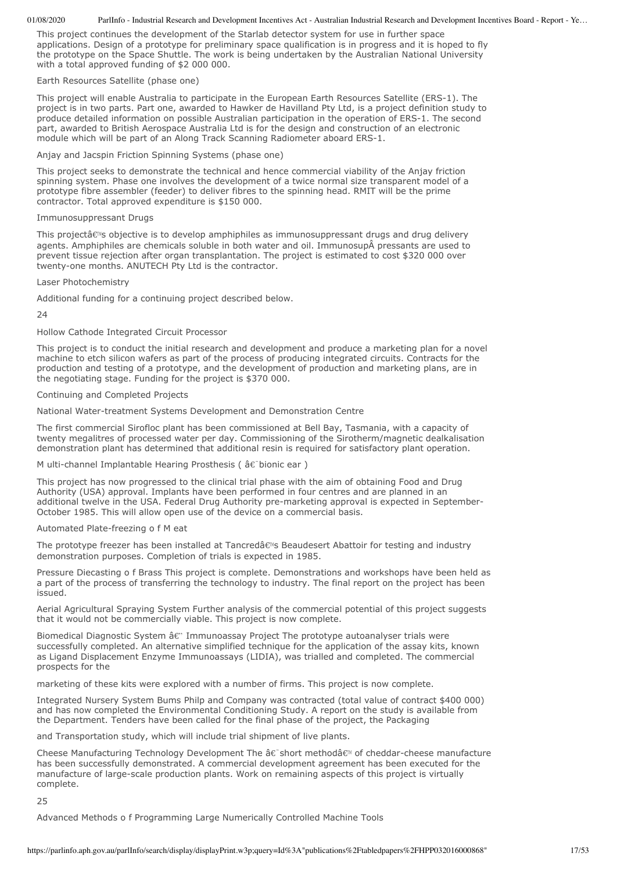This project continues the development of the Starlab detector system for use in further space applications. Design of a prototype for preliminary space qualification is in progress and it is hoped to fly the prototype on the Space Shuttle. The work is being undertaken by the Australian National University with a total approved funding of \$2 000 000.

### Earth Resources Satellite (phase one)

This project will enable Australia to participate in the European Earth Resources Satellite (ERS-1). The project is in two parts. Part one, awarded to Hawker de Havilland Pty Ltd, is a project definition study to produce detailed information on possible Australian participation in the operation of ERS-1. The second part, awarded to British Aerospace Australia Ltd is for the design and construction of an electronic module which will be part of an Along Track Scanning Radiometer aboard ERS-1.

Anjay and Jacspin Friction Spinning Systems (phase one)

This project seeks to demonstrate the technical and hence commercial viability of the Anjay friction spinning system. Phase one involves the development of a twice normal size transparent model of a prototype fibre assembler (feeder) to deliver fibres to the spinning head. RMIT will be the prime contractor. Total approved expenditure is \$150 000.

#### Immunosuppressant Drugs

This projectâ€<sup>w</sup>s objective is to develop amphiphiles as immunosuppressant drugs and drug delivery agents. Amphiphiles are chemicals soluble in both water and oil. Immunosup pressants are used to prevent tissue rejection after organ transplantation. The project is estimated to cost \$320 000 over twenty-one months. ANUTECH Pty Ltd is the contractor.

### Laser Photochemistry

Additional funding for a continuing project described below.

24

# Hollow Cathode Integrated Circuit Processor

This project is to conduct the initial research and development and produce a marketing plan for a novel machine to etch silicon wafers as part of the process of producing integrated circuits. Contracts for the production and testing of a prototype, and the development of production and marketing plans, are in the negotiating stage. Funding for the project is \$370 000.

### Continuing and Completed Projects

National Water-treatment Systems Development and Demonstration Centre

The first commercial Sirofloc plant has been commissioned at Bell Bay, Tasmania, with a capacity of twenty megalitres of processed water per day. Commissioning of the Sirotherm/magnetic dealkalisation demonstration plant has determined that additional resin is required for satisfactory plant operation.

M ulti-channel Implantable Hearing Prosthesis ( $\hat{a} \hat{\epsilon}$  bionic ear)

This project has now progressed to the clinical trial phase with the aim of obtaining Food and Drug Authority (USA) approval. Implants have been performed in four centres and are planned in an additional twelve in the USA. Federal Drug Authority pre-marketing approval is expected in September-October 1985. This will allow open use of the device on a commercial basis.

# Automated Plate-freezing o f M eat

The prototype freezer has been installed at Tancredâ€<sup>%</sup> Beaudesert Abattoir for testing and industry demonstration purposes. Completion of trials is expected in 1985.

Pressure Diecasting o f Brass This project is complete. Demonstrations and workshops have been held as a part of the process of transferring the technology to industry. The final report on the project has been issued.

Aerial Agricultural Spraying System Further analysis of the commercial potential of this project suggests that it would not be commercially viable. This project is now complete.

Biomedical Diagnostic System  $\hat{a} \epsilon$ " Immunoassay Project The prototype autoanalyser trials were successfully completed. An alternative simplified technique for the application of the assay kits, known as Ligand Displacement Enzyme Immunoassays (LIDIA), was trialled and completed. The commercial prospects for the

marketing of these kits were explored with a number of firms. This project is now complete.

Integrated Nursery System Bums Philp and Company was contracted (total value of contract \$400 000) and has now completed the Environmental Conditioning Study. A report on the study is available from the Department. Tenders have been called for the final phase of the project, the Packaging

and Transportation study, which will include trial shipment of live plants.

Cheese Manufacturing Technology Development The â $\varepsilon$  short methodâ $\varepsilon$ <sup>M</sup> of cheddar-cheese manufacture has been successfully demonstrated. A commercial development agreement has been executed for the manufacture of large-scale production plants. Work on remaining aspects of this project is virtually complete.

25

Advanced Methods o f Programming Large Numerically Controlled Machine Tools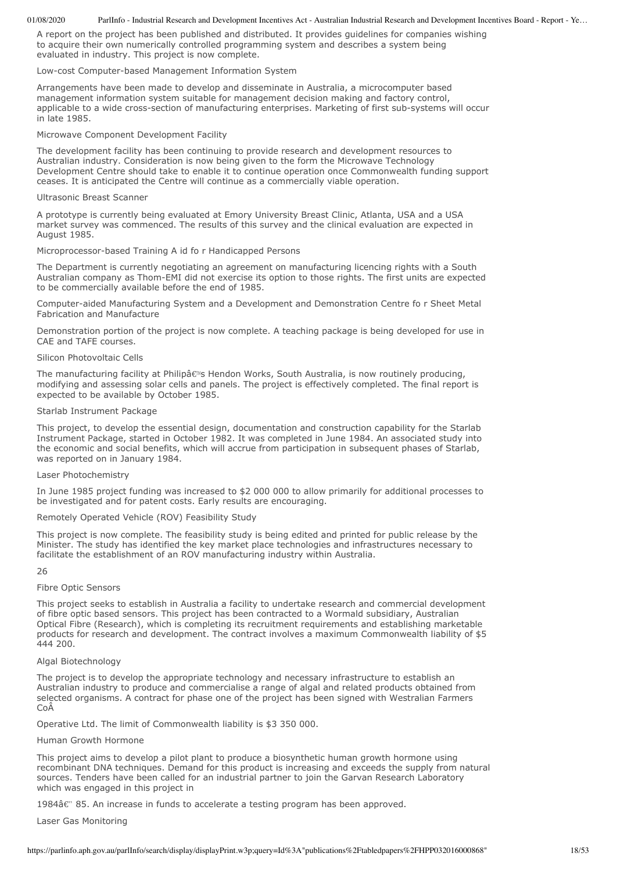A report on the project has been published and distributed. It provides guidelines for companies wishing to acquire their own numerically controlled programming system and describes a system being evaluated in industry. This project is now complete.

Low-cost Computer-based Management Information System

Arrangements have been made to develop and disseminate in Australia, a microcomputer based management information system suitable for management decision making and factory control, applicable to a wide cross-section of manufacturing enterprises. Marketing of first sub-systems will occur in late 1985.

Microwave Component Development Facility

The development facility has been continuing to provide research and development resources to Australian industry. Consideration is now being given to the form the Microwave Technology Development Centre should take to enable it to continue operation once Commonwealth funding support ceases. It is anticipated the Centre will continue as a commercially viable operation.

### Ultrasonic Breast Scanner

A prototype is currently being evaluated at Emory University Breast Clinic, Atlanta, USA and a USA market survey was commenced. The results of this survey and the clinical evaluation are expected in August 1985.

Microprocessor-based Training A id fo r Handicapped Persons

The Department is currently negotiating an agreement on manufacturing licencing rights with a South Australian company as Thom-EMI did not exercise its option to those rights. The first units are expected to be commercially available before the end of 1985.

Computer-aided Manufacturing System and a Development and Demonstration Centre fo r Sheet Metal Fabrication and Manufacture

Demonstration portion of the project is now complete. A teaching package is being developed for use in CAE and TAFE courses.

### Silicon Photovoltaic Cells

The manufacturing facility at Philipâ€<sup>™</sup>s Hendon Works, South Australia, is now routinely producing, modifying and assessing solar cells and panels. The project is effectively completed. The final report is expected to be available by October 1985.

### Starlab Instrument Package

This project, to develop the essential design, documentation and construction capability for the Starlab Instrument Package, started in October 1982. It was completed in June 1984. An associated study into the economic and social benefits, which will accrue from participation in subsequent phases of Starlab, was reported on in January 1984.

# Laser Photochemistry

In June 1985 project funding was increased to \$2 000 000 to allow primarily for additional processes to be investigated and for patent costs. Early results are encouraging.

Remotely Operated Vehicle (ROV) Feasibility Study

This project is now complete. The feasibility study is being edited and printed for public release by the Minister. The study has identified the key market place technologies and infrastructures necessary to facilitate the establishment of an ROV manufacturing industry within Australia.

26

# Fibre Optic Sensors

This project seeks to establish in Australia a facility to undertake research and commercial development of fibre optic based sensors. This project has been contracted to a Wormald subsidiary, Australian Optical Fibre (Research), which is completing its recruitment requirements and establishing marketable products for research and development. The contract involves a maximum Commonwealth liability of \$5 444 200.

# Algal Biotechnology

The project is to develop the appropriate technology and necessary infrastructure to establish an Australian industry to produce and commercialise a range of algal and related products obtained from selected organisms. A contract for phase one of the project has been signed with Westralian Farmers CoÂ

Operative Ltd. The limit of Commonwealth liability is \$3 350 000.

# Human Growth Hormone

This project aims to develop a pilot plant to produce a biosynthetic human growth hormone using recombinant DNA techniques. Demand for this product is increasing and exceeds the supply from natural sources. Tenders have been called for an industrial partner to join the Garvan Research Laboratory which was engaged in this project in

 $1984\hat{a}\hat{\epsilon}$ " 85. An increase in funds to accelerate a testing program has been approved.

Laser Gas Monitoring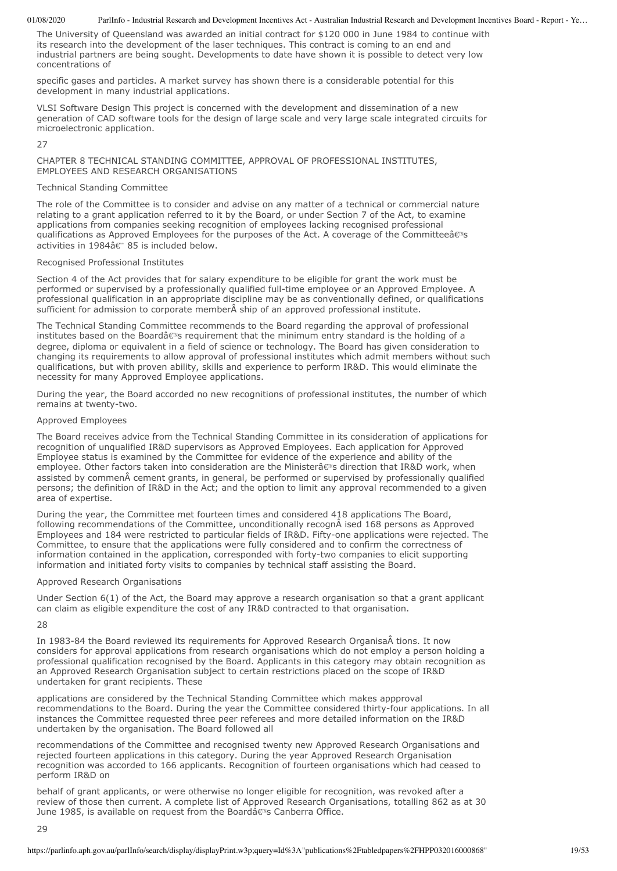The University of Queensland was awarded an initial contract for \$120 000 in June 1984 to continue with its research into the development of the laser techniques. This contract is coming to an end and industrial partners are being sought. Developments to date have shown it is possible to detect very low concentrations of

specific gases and particles. A market survey has shown there is a considerable potential for this development in many industrial applications.

VLSI Software Design This project is concerned with the development and dissemination of a new generation of CAD software tools for the design of large scale and very large scale integrated circuits for microelectronic application.

 $27$ 

CHAPTER 8 TECHNICAL STANDING COMMITTEE, APPROVAL OF PROFESSIONAL INSTITUTES, EMPLOYEES AND RESEARCH ORGANISATIONS

# Technical Standing Committee

The role of the Committee is to consider and advise on any matter of a technical or commercial nature relating to a grant application referred to it by the Board, or under Section 7 of the Act, to examine applications from companies seeking recognition of employees lacking recognised professional qualifications as Approved Employees for the purposes of the Act. A coverage of the Committeeâs activities in 1984 $\hat{a}$  &" 85 is included below.

### Recognised Professional Institutes

Section 4 of the Act provides that for salary expenditure to be eligible for grant the work must be performed or supervised by a professionally qualified full-time employee or an Approved Employee. A professional qualification in an appropriate discipline may be as conventionally defined, or qualifications sufficient for admission to corporate member $\hat{A}$  ship of an approved professional institute.

The Technical Standing Committee recommends to the Board regarding the approval of professional institutes based on the Boardâ $\epsilon$ <sup>ng</sup> requirement that the minimum entry standard is the holding of a degree, diploma or equivalent in a field of science or technology. The Board has given consideration to changing its requirements to allow approval of professional institutes which admit members without such qualifications, but with proven ability, skills and experience to perform IR&D. This would eliminate the necessity for many Approved Employee applications.

During the year, the Board accorded no new recognitions of professional institutes, the number of which remains at twenty-two.

# Approved Employees

The Board receives advice from the Technical Standing Committee in its consideration of applications for recognition of unqualified IR&D supervisors as Approved Employees. Each application for Approved Employee status is examined by the Committee for evidence of the experience and ability of the employee. Other factors taken into consideration are the Ministerâ€<sup>w</sup>s direction that IR&D work, when assisted by commen cement grants, in general, be performed or supervised by professionally qualified persons; the definition of IR&D in the Act; and the option to limit any approval recommended to a given area of expertise.

During the year, the Committee met fourteen times and considered 418 applications The Board, following recommendations of the Committee, unconditionally recogn $\hat{A}$  ised 168 persons as Approved Employees and 184 were restricted to particular fields of IR&D. Fifty-one applications were rejected. The Committee, to ensure that the applications were fully considered and to confirm the correctness of information contained in the application, corresponded with forty-two companies to elicit supporting information and initiated forty visits to companies by technical staff assisting the Board.

#### Approved Research Organisations

Under Section 6(1) of the Act, the Board may approve a research organisation so that a grant applicant can claim as eligible expenditure the cost of any IR&D contracted to that organisation.

28

In 1983-84 the Board reviewed its requirements for Approved Research OrganisaÂtions. It now considers for approval applications from research organisations which do not employ a person holding a professional qualification recognised by the Board. Applicants in this category may obtain recognition as an Approved Research Organisation subject to certain restrictions placed on the scope of IR&D undertaken for grant recipients. These

applications are considered by the Technical Standing Committee which makes appproval recommendations to the Board. During the year the Committee considered thirty-four applications. In all instances the Committee requested three peer referees and more detailed information on the IR&D undertaken by the organisation. The Board followed all

recommendations of the Committee and recognised twenty new Approved Research Organisations and rejected fourteen applications in this category. During the year Approved Research Organisation recognition was accorded to 166 applicants. Recognition of fourteen organisations which had ceased to perform IR&D on

behalf of grant applicants, or were otherwise no longer eligible for recognition, was revoked after a review of those then current. A complete list of Approved Research Organisations, totalling 862 as at 30 June 1985, is available on request from the Boardâ $\epsilon$ <sup>N</sup>s Canberra Office.

 $2<sub>q</sub>$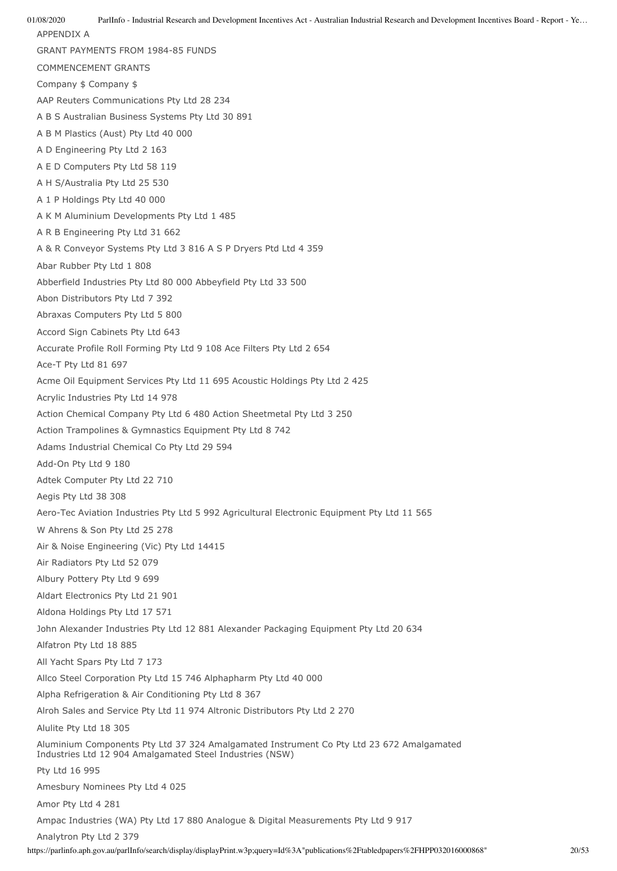01/08/2020 ParlInfo - Industrial Research and Development Incentives Act - Australian Industrial Research and Development Incentives Board - Report - Ye… APPENDIX A GRANT PAYMENTS FROM 1984-85 FUNDS COMMENCEMENT GRANTS Company \$ Company \$ AAP Reuters Communications Pty Ltd 28 234 A B S Australian Business Systems Pty Ltd 30 891 A B M Plastics (Aust) Pty Ltd 40 000 A D Engineering Pty Ltd 2 163 A E D Computers Pty Ltd 58 119 A H S/Australia Pty Ltd 25 530 A 1 P Holdings Pty Ltd 40 000 A K M Aluminium Developments Pty Ltd 1 485 A R B Engineering Pty Ltd 31 662 A & R Conveyor Systems Pty Ltd 3 816 A S P Dryers Ptd Ltd 4 359 Abar Rubber Pty Ltd 1 808 Abberfield Industries Pty Ltd 80 000 Abbeyfield Pty Ltd 33 500 Abon Distributors Pty Ltd 7 392 Abraxas Computers Pty Ltd 5 800 Accord Sign Cabinets Pty Ltd 643 Accurate Profile Roll Forming Pty Ltd 9 108 Ace Filters Pty Ltd 2 654 Ace-T Pty Ltd 81 697 Acme Oil Equipment Services Pty Ltd 11 695 Acoustic Holdings Pty Ltd 2 425 Acrylic Industries Pty Ltd 14 978 Action Chemical Company Pty Ltd 6 480 Action Sheetmetal Pty Ltd 3 250 Action Trampolines & Gymnastics Equipment Pty Ltd 8 742 Adams Industrial Chemical Co Pty Ltd 29 594 Add-On Pty Ltd 9 180 Adtek Computer Pty Ltd 22 710 Aegis Pty Ltd 38 308 Aero-Tec Aviation Industries Pty Ltd 5 992 Agricultural Electronic Equipment Pty Ltd 11 565 W Ahrens & Son Pty Ltd 25 278 Air & Noise Engineering (Vic) Pty Ltd 14415 Air Radiators Pty Ltd 52 079 Albury Pottery Pty Ltd 9 699 Aldart Electronics Pty Ltd 21 901 Aldona Holdings Pty Ltd 17 571 John Alexander Industries Pty Ltd 12 881 Alexander Packaging Equipment Pty Ltd 20 634 Alfatron Pty Ltd 18 885 All Yacht Spars Pty Ltd 7 173 Allco Steel Corporation Pty Ltd 15 746 Alphapharm Pty Ltd 40 000 Alpha Refrigeration & Air Conditioning Pty Ltd 8 367 Alroh Sales and Service Pty Ltd 11 974 Altronic Distributors Pty Ltd 2 270 Alulite Pty Ltd 18 305 Aluminium Components Pty Ltd 37 324 Amalgamated Instrument Co Pty Ltd 23 672 Amalgamated Industries Ltd 12 904 Amalgamated Steel Industries (NSW) Pty Ltd 16 995 Amesbury Nominees Pty Ltd 4 025 Amor Pty Ltd 4 281 Ampac Industries (WA) Pty Ltd 17 880 Analogue & Digital Measurements Pty Ltd 9 917 Analytron Pty Ltd 2 379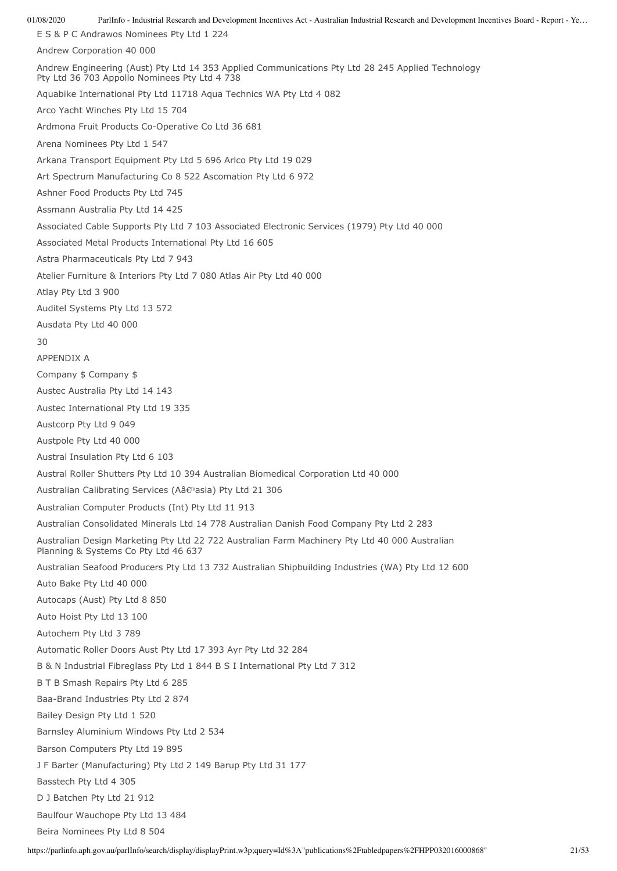01/08/2020 ParlInfo - Industrial Research and Development Incentives Act - Australian Industrial Research and Development Incentives Board - Report - Ye… E S & P C Andrawos Nominees Pty Ltd 1 224 Andrew Corporation 40 000 Andrew Engineering (Aust) Pty Ltd 14 353 Applied Communications Pty Ltd 28 245 Applied Technology Pty Ltd 36 703 Appollo Nominees Pty Ltd 4 738 Aquabike International Pty Ltd 11718 Aqua Technics WA Pty Ltd 4 082 Arco Yacht Winches Pty Ltd 15 704 Ardmona Fruit Products Co-Operative Co Ltd 36 681 Arena Nominees Pty Ltd 1 547 Arkana Transport Equipment Pty Ltd 5 696 Arlco Pty Ltd 19 029 Art Spectrum Manufacturing Co 8 522 Ascomation Pty Ltd 6 972 Ashner Food Products Pty Ltd 745 Assmann Australia Pty Ltd 14 425 Associated Cable Supports Pty Ltd 7 103 Associated Electronic Services (1979) Pty Ltd 40 000 Associated Metal Products International Pty Ltd 16 605 Astra Pharmaceuticals Pty Ltd 7 943 Atelier Furniture & Interiors Pty Ltd 7 080 Atlas Air Pty Ltd 40 000 Atlay Pty Ltd 3 900 Auditel Systems Pty Ltd 13 572 Ausdata Pty Ltd 40 000 30 APPENDIX A Company \$ Company \$ Austec Australia Pty Ltd 14 143 Austec International Pty Ltd 19 335 Austcorp Pty Ltd 9 049 Austpole Pty Ltd 40 000 Austral Insulation Pty Ltd 6 103 Austral Roller Shutters Pty Ltd 10 394 Australian Biomedical Corporation Ltd 40 000 Australian Calibrating Services (Aâ€<sup>M</sup>asia) Pty Ltd 21 306 Australian Computer Products (Int) Pty Ltd 11 913 Australian Consolidated Minerals Ltd 14 778 Australian Danish Food Company Pty Ltd 2 283 Australian Design Marketing Pty Ltd 22 722 Australian Farm Machinery Pty Ltd 40 000 Australian Planning & Systems Co Pty Ltd 46 637 Australian Seafood Producers Pty Ltd 13 732 Australian Shipbuilding Industries (WA) Pty Ltd 12 600 Auto Bake Pty Ltd 40 000 Autocaps (Aust) Pty Ltd 8 850 Auto Hoist Pty Ltd 13 100 Autochem Pty Ltd 3 789 Automatic Roller Doors Aust Pty Ltd 17 393 Ayr Pty Ltd 32 284 B & N Industrial Fibreglass Pty Ltd 1 844 B S I International Pty Ltd 7 312 B T B Smash Repairs Pty Ltd 6 285 Baa-Brand Industries Pty Ltd 2 874 Bailey Design Pty Ltd 1 520 Barnsley Aluminium Windows Pty Ltd 2 534 Barson Computers Pty Ltd 19 895 J F Barter (Manufacturing) Pty Ltd 2 149 Barup Pty Ltd 31 177 Basstech Pty Ltd 4 305 D J Batchen Pty Ltd 21 912 Baulfour Wauchope Pty Ltd 13 484 Beira Nominees Pty Ltd 8 504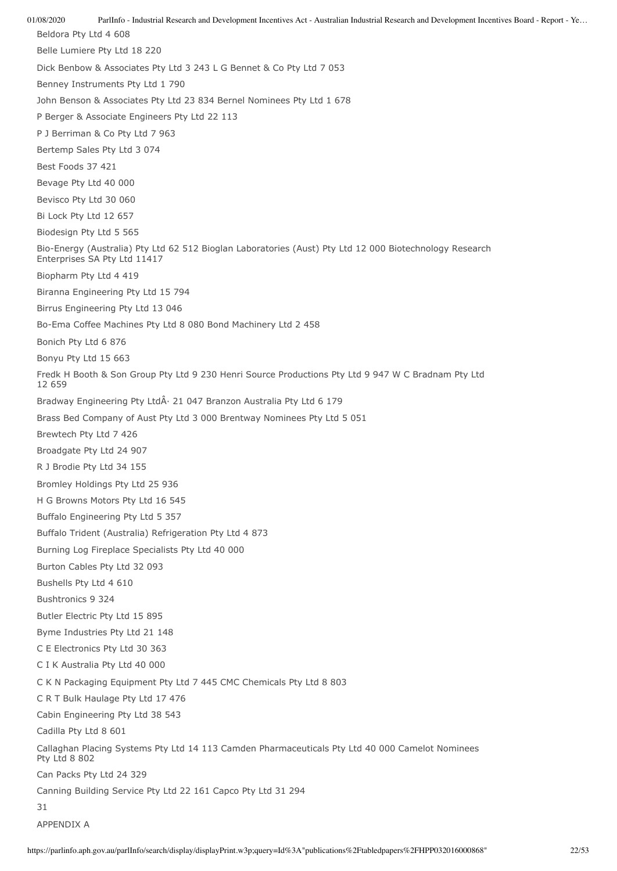01/08/2020 ParlInfo - Industrial Research and Development Incentives Act - Australian Industrial Research and Development Incentives Board - Report - Ye… Beldora Pty Ltd 4 608 Belle Lumiere Pty Ltd 18 220 Dick Benbow & Associates Pty Ltd 3 243 L G Bennet & Co Pty Ltd 7 053 Benney Instruments Pty Ltd 1 790 John Benson & Associates Pty Ltd 23 834 Bernel Nominees Pty Ltd 1 678 P Berger & Associate Engineers Pty Ltd 22 113 P J Berriman & Co Pty Ltd 7 963 Bertemp Sales Pty Ltd 3 074 Best Foods 37 421 Bevage Pty Ltd 40 000 Bevisco Pty Ltd 30 060 Bi Lock Pty Ltd 12 657 Biodesign Pty Ltd 5 565 Bio-Energy (Australia) Pty Ltd 62 512 Bioglan Laboratories (Aust) Pty Ltd 12 000 Biotechnology Research Enterprises SA Pty Ltd 11417 Biopharm Pty Ltd 4 419 Biranna Engineering Pty Ltd 15 794 Birrus Engineering Pty Ltd 13 046 Bo-Ema Coffee Machines Pty Ltd 8 080 Bond Machinery Ltd 2 458 Bonich Pty Ltd 6 876 Bonyu Pty Ltd 15 663 Fredk H Booth & Son Group Pty Ltd 9 230 Henri Source Productions Pty Ltd 9 947 W C Bradnam Pty Ltd 12 659 Bradway Engineering Pty Ltd· 21 047 Branzon Australia Pty Ltd 6 179 Brass Bed Company of Aust Pty Ltd 3 000 Brentway Nominees Pty Ltd 5 051 Brewtech Pty Ltd 7 426 Broadgate Pty Ltd 24 907 R J Brodie Pty Ltd 34 155 Bromley Holdings Pty Ltd 25 936 H G Browns Motors Pty Ltd 16 545 Buffalo Engineering Pty Ltd 5 357 Buffalo Trident (Australia) Refrigeration Pty Ltd 4 873 Burning Log Fireplace Specialists Pty Ltd 40 000 Burton Cables Pty Ltd 32 093 Bushells Pty Ltd 4 610 Bushtronics 9 324 Butler Electric Pty Ltd 15 895 Byme Industries Pty Ltd 21 148 C E Electronics Pty Ltd 30 363 C I K Australia Pty Ltd 40 000 C K N Packaging Equipment Pty Ltd 7 445 CMC Chemicals Pty Ltd 8 803 C R T Bulk Haulage Pty Ltd 17 476 Cabin Engineering Pty Ltd 38 543 Cadilla Pty Ltd 8 601 Callaghan Placing Systems Pty Ltd 14 113 Camden Pharmaceuticals Pty Ltd 40 000 Camelot Nominees Pty Ltd 8 802 Can Packs Pty Ltd 24 329 Canning Building Service Pty Ltd 22 161 Capco Pty Ltd 31 294 31 APPENDIX A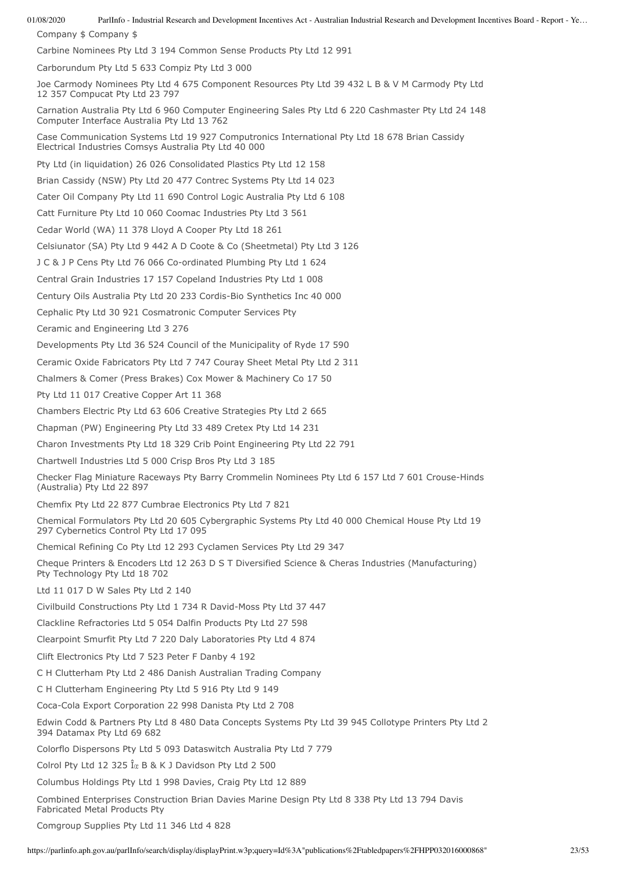Company \$ Company \$

Carbine Nominees Pty Ltd 3 194 Common Sense Products Pty Ltd 12 991

Carborundum Pty Ltd 5 633 Compiz Pty Ltd 3 000

Joe Carmody Nominees Pty Ltd 4 675 Component Resources Pty Ltd 39 432 L B & V M Carmody Pty Ltd 12 357 Compucat Pty Ltd 23 797

Carnation Australia Pty Ltd 6 960 Computer Engineering Sales Pty Ltd 6 220 Cashmaster Pty Ltd 24 148 Computer Interface Australia Pty Ltd 13 762

Case Communication Systems Ltd 19 927 Computronics International Pty Ltd 18 678 Brian Cassidy Electrical Industries Comsys Australia Pty Ltd 40 000

Pty Ltd (in liquidation) 26 026 Consolidated Plastics Pty Ltd 12 158

Brian Cassidy (NSW) Pty Ltd 20 477 Contrec Systems Pty Ltd 14 023

Cater Oil Company Pty Ltd 11 690 Control Logic Australia Pty Ltd 6 108

Catt Furniture Pty Ltd 10 060 Coomac Industries Pty Ltd 3 561

Cedar World (WA) 11 378 Lloyd A Cooper Pty Ltd 18 261

Celsiunator (SA) Pty Ltd 9 442 A D Coote & Co (Sheetmetal) Pty Ltd 3 126

J C & J P Cens Pty Ltd 76 066 Co-ordinated Plumbing Pty Ltd 1 624

Central Grain Industries 17 157 Copeland Industries Pty Ltd 1 008

Century Oils Australia Pty Ltd 20 233 Cordis-Bio Synthetics Inc 40 000

Cephalic Pty Ltd 30 921 Cosmatronic Computer Services Pty

Ceramic and Engineering Ltd 3 276

Developments Pty Ltd 36 524 Council of the Municipality of Ryde 17 590

Ceramic Oxide Fabricators Pty Ltd 7 747 Couray Sheet Metal Pty Ltd 2 311

Chalmers & Comer (Press Brakes) Cox Mower & Machinery Co 17 50

Pty Ltd 11 017 Creative Copper Art 11 368

Chambers Electric Pty Ltd 63 606 Creative Strategies Pty Ltd 2 665

Chapman (PW) Engineering Pty Ltd 33 489 Cretex Pty Ltd 14 231

Charon Investments Pty Ltd 18 329 Crib Point Engineering Pty Ltd 22 791

Chartwell Industries Ltd 5 000 Crisp Bros Pty Ltd 3 185

Checker Flag Miniature Raceways Pty Barry Crommelin Nominees Pty Ltd 6 157 Ltd 7 601 Crouse-Hinds (Australia) Pty Ltd 22 897

Chemfix Pty Ltd 22 877 Cumbrae Electronics Pty Ltd 7 821

Chemical Formulators Pty Ltd 20 605 Cybergraphic Systems Pty Ltd 40 000 Chemical House Pty Ltd 19 297 Cybernetics Control Pty Ltd 17 095

Chemical Refining Co Pty Ltd 12 293 Cyclamen Services Pty Ltd 29 347

Cheque Printers & Encoders Ltd 12 263 D S T Diversified Science & Cheras Industries (Manufacturing) Pty Technology Pty Ltd 18 702

Ltd 11 017 D W Sales Pty Ltd 2 140

Civilbuild Constructions Pty Ltd 1 734 R David-Moss Pty Ltd 37 447

Clackline Refractories Ltd 5 054 Dalfin Products Pty Ltd 27 598

Clearpoint Smurfit Pty Ltd 7 220 Daly Laboratories Pty Ltd 4 874

Clift Electronics Pty Ltd 7 523 Peter F Danby 4 192

C H Clutterham Pty Ltd 2 486 Danish Australian Trading Company

C H Clutterham Engineering Pty Ltd 5 916 Pty Ltd 9 149

Coca-Cola Export Corporation 22 998 Danista Pty Ltd 2 708

Edwin Codd & Partners Pty Ltd 8 480 Data Concepts Systems Pty Ltd 39 945 Collotype Printers Pty Ltd 2 394 Datamax Pty Ltd 69 682

Colorflo Dispersons Pty Ltd 5 093 Dataswitch Australia Pty Ltd 7 779

Colrol Pty Ltd 12 325  $\hat{I}$ <sub> $\alpha$ </sub> B & K J Davidson Pty Ltd 2 500

Columbus Holdings Pty Ltd 1 998 Davies, Craig Pty Ltd 12 889

Combined Enterprises Construction Brian Davies Marine Design Pty Ltd 8 338 Pty Ltd 13 794 Davis Fabricated Metal Products Pty

Comgroup Supplies Pty Ltd 11 346 Ltd 4 828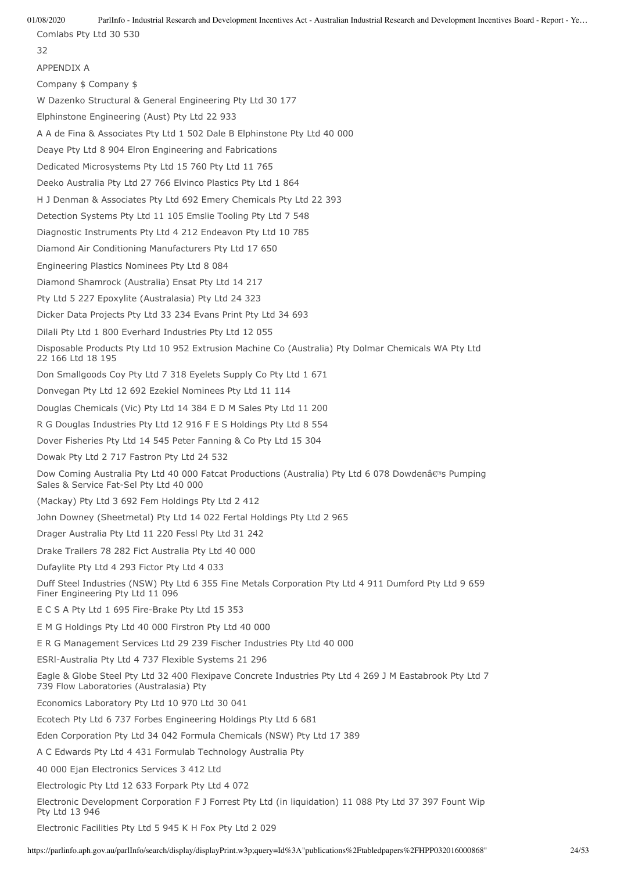Comlabs Pty Ltd 30 530

32

APPENDIX A

Company \$ Company \$

W Dazenko Structural & General Engineering Pty Ltd 30 177

Elphinstone Engineering (Aust) Pty Ltd 22 933

A A de Fina & Associates Pty Ltd 1 502 Dale B Elphinstone Pty Ltd 40 000

Deaye Pty Ltd 8 904 Elron Engineering and Fabrications

Dedicated Microsystems Pty Ltd 15 760 Pty Ltd 11 765

Deeko Australia Pty Ltd 27 766 Elvinco Plastics Pty Ltd 1 864

H J Denman & Associates Pty Ltd 692 Emery Chemicals Pty Ltd 22 393

Detection Systems Pty Ltd 11 105 Emslie Tooling Pty Ltd 7 548

Diagnostic Instruments Pty Ltd 4 212 Endeavon Pty Ltd 10 785

Diamond Air Conditioning Manufacturers Pty Ltd 17 650

Engineering Plastics Nominees Pty Ltd 8 084

Diamond Shamrock (Australia) Ensat Pty Ltd 14 217

Pty Ltd 5 227 Epoxylite (Australasia) Pty Ltd 24 323

Dicker Data Projects Pty Ltd 33 234 Evans Print Pty Ltd 34 693

Dilali Pty Ltd 1 800 Everhard Industries Pty Ltd 12 055

Disposable Products Pty Ltd 10 952 Extrusion Machine Co (Australia) Pty Dolmar Chemicals WA Pty Ltd 22 166 Ltd 18 195

Don Smallgoods Coy Pty Ltd 7 318 Eyelets Supply Co Pty Ltd 1 671

Donvegan Pty Ltd 12 692 Ezekiel Nominees Pty Ltd 11 114

Douglas Chemicals (Vic) Pty Ltd 14 384 E D M Sales Pty Ltd 11 200

R G Douglas Industries Pty Ltd 12 916 F E S Holdings Pty Ltd 8 554

Dover Fisheries Pty Ltd 14 545 Peter Fanning & Co Pty Ltd 15 304

Dowak Pty Ltd 2 717 Fastron Pty Ltd 24 532

Dow Coming Australia Pty Ltd 40 000 Fatcat Productions (Australia) Pty Ltd 6 078 Dowdenâ€<sup>ng</sup> Pumping Sales & Service Fat-Sel Pty Ltd 40 000

(Mackay) Pty Ltd 3 692 Fem Holdings Pty Ltd 2 412

John Downey (Sheetmetal) Pty Ltd 14 022 Fertal Holdings Pty Ltd 2 965

Drager Australia Pty Ltd 11 220 Fessl Pty Ltd 31 242

Drake Trailers 78 282 Fict Australia Pty Ltd 40 000

Dufaylite Pty Ltd 4 293 Fictor Pty Ltd 4 033

Duff Steel Industries (NSW) Pty Ltd 6 355 Fine Metals Corporation Pty Ltd 4 911 Dumford Pty Ltd 9 659 Finer Engineering Pty Ltd 11 096

E C S A Pty Ltd 1 695 Fire-Brake Pty Ltd 15 353

E M G Holdings Pty Ltd 40 000 Firstron Pty Ltd 40 000

E R G Management Services Ltd 29 239 Fischer Industries Pty Ltd 40 000

ESRl-Australia Pty Ltd 4 737 Flexible Systems 21 296

Eagle & Globe Steel Pty Ltd 32 400 Flexipave Concrete Industries Pty Ltd 4 269 J M Eastabrook Pty Ltd 7 739 Flow Laboratories (Australasia) Pty

Economics Laboratory Pty Ltd 10 970 Ltd 30 041

Ecotech Pty Ltd 6 737 Forbes Engineering Holdings Pty Ltd 6 681

Eden Corporation Pty Ltd 34 042 Formula Chemicals (NSW) Pty Ltd 17 389

A C Edwards Pty Ltd 4 431 Formulab Technology Australia Pty

40 000 Ejan Electronics Services 3 412 Ltd

Electrologic Pty Ltd 12 633 Forpark Pty Ltd 4 072

Electronic Development Corporation F J Forrest Pty Ltd (in liquidation) 11 088 Pty Ltd 37 397 Fount Wip Pty Ltd 13 946

Electronic Facilities Pty Ltd 5 945 K H Fox Pty Ltd 2 029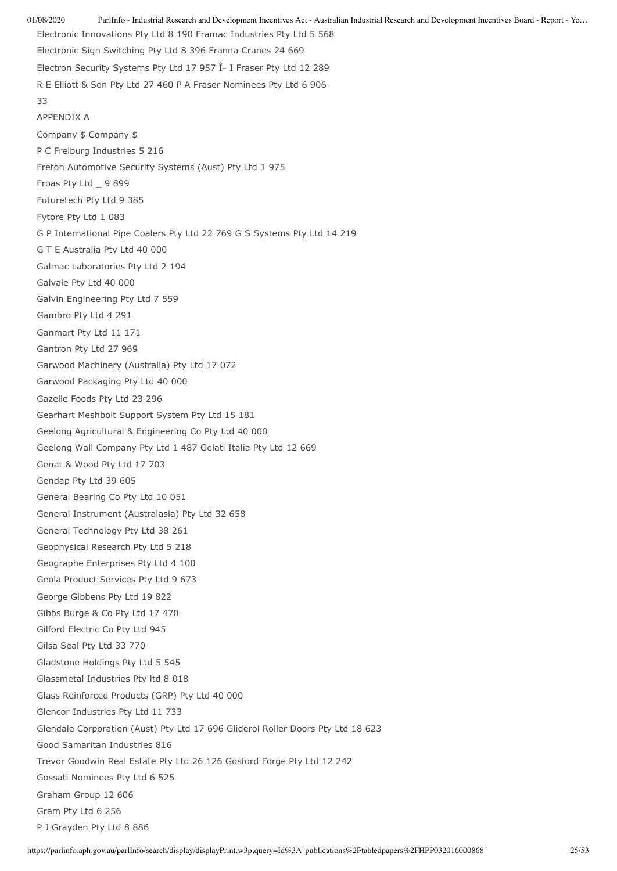01/08/2020 ParlInfo - Industrial Research and Development Incentives Act - Australian Industrial Research and Development Incentives Board - Report - Ye… Electronic Innovations Pty Ltd 8 190 Framac Industries Pty Ltd 5 568 Electronic Sign Switching Pty Ltd 8 396 Franna Cranes 24 669 Electron Security Systems Pty Ltd 17 957  $\hat{I}$  I Fraser Pty Ltd 12 289 R E Elliott & Son Pty Ltd 27 460 P A Fraser Nominees Pty Ltd 6 906 33 APPENDIX A Company \$ Company \$ P C Freiburg Industries 5 216 Freton Automotive Security Systems (Aust) Pty Ltd 1 975 Froas Pty Ltd \_ 9 899 Futuretech Pty Ltd 9 385 Fytore Pty Ltd 1 083 G P International Pipe Coalers Pty Ltd 22 769 G S Systems Pty Ltd 14 219 G T E Australia Pty Ltd 40 000 Galmac Laboratories Pty Ltd 2 194 Galvale Pty Ltd 40 000 Galvin Engineering Pty Ltd 7 559 Gambro Pty Ltd 4 291 Ganmart Pty Ltd 11 171 Gantron Pty Ltd 27 969 Garwood Machinery (Australia) Pty Ltd 17 072 Garwood Packaging Pty Ltd 40 000 Gazelle Foods Pty Ltd 23 296 Gearhart Meshbolt Support System Pty Ltd 15 181 Geelong Agricultural & Engineering Co Pty Ltd 40 000 Geelong Wall Company Pty Ltd 1 487 Gelati Italia Pty Ltd 12 669 Genat & Wood Pty Ltd 17 703 Gendap Pty Ltd 39 605 General Bearing Co Pty Ltd 10 051 General Instrument (Australasia) Pty Ltd 32 658 General Technology Pty Ltd 38 261 Geophysical Research Pty Ltd 5 218 Geographe Enterprises Pty Ltd 4 100 Geola Product Services Pty Ltd 9 673 George Gibbens Pty Ltd 19 822 Gibbs Burge & Co Pty Ltd 17 470 Gilford Electric Co Pty Ltd 945 Gilsa Seal Pty Ltd 33 770 Gladstone Holdings Pty Ltd 5 545 Glassmetal Industries Pty ltd 8 018 Glass Reinforced Products (GRP) Pty Ltd 40 000 Glencor Industries Pty Ltd 11 733 Glendale Corporation (Aust) Pty Ltd 17 696 Gliderol Roller Doors Pty Ltd 18 623 Good Samaritan Industries 816 Trevor Goodwin Real Estate Pty Ltd 26 126 Gosford Forge Pty Ltd 12 242 Gossati Nominees Pty Ltd 6 525 Graham Group 12 606 Gram Pty Ltd 6 256 P J Grayden Pty Ltd 8 886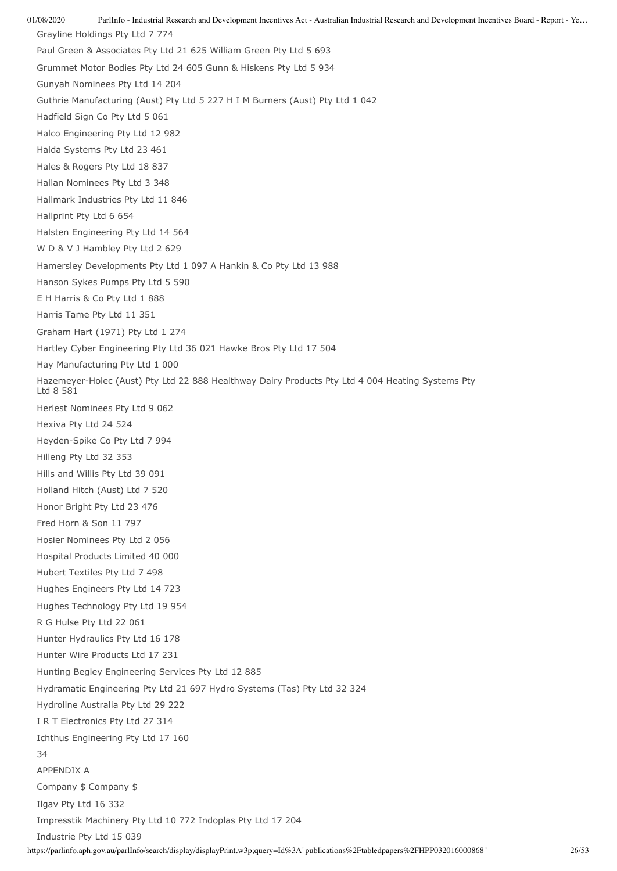01/08/2020 ParlInfo - Industrial Research and Development Incentives Act - Australian Industrial Research and Development Incentives Board - Report - Ye… https://parlinfo.aph.gov.au/parlInfo/search/display/displayPrint.w3p;query=Id%3A"publications%2Ftabledpapers%2FHPP032016000868" 26/53 Grayline Holdings Pty Ltd 7 774 Paul Green & Associates Pty Ltd 21 625 William Green Pty Ltd 5 693 Grummet Motor Bodies Pty Ltd 24 605 Gunn & Hiskens Pty Ltd 5 934 Gunyah Nominees Pty Ltd 14 204 Guthrie Manufacturing (Aust) Pty Ltd 5 227 H I M Burners (Aust) Pty Ltd 1 042 Hadfield Sign Co Pty Ltd 5 061 Halco Engineering Pty Ltd 12 982 Halda Systems Pty Ltd 23 461 Hales & Rogers Pty Ltd 18 837 Hallan Nominees Pty Ltd 3 348 Hallmark Industries Pty Ltd 11 846 Hallprint Pty Ltd 6 654 Halsten Engineering Pty Ltd 14 564 W D & V J Hambley Pty Ltd 2 629 Hamersley Developments Pty Ltd 1 097 A Hankin & Co Pty Ltd 13 988 Hanson Sykes Pumps Pty Ltd 5 590 E H Harris & Co Pty Ltd 1 888 Harris Tame Pty Ltd 11 351 Graham Hart (1971) Pty Ltd 1 274 Hartley Cyber Engineering Pty Ltd 36 021 Hawke Bros Pty Ltd 17 504 Hay Manufacturing Pty Ltd 1 000 Hazemeyer-Holec (Aust) Pty Ltd 22 888 Healthway Dairy Products Pty Ltd 4 004 Heating Systems Pty Ltd 8 581 Herlest Nominees Pty Ltd 9 062 Hexiva Pty Ltd 24 524 Heyden-Spike Co Pty Ltd 7 994 Hilleng Pty Ltd 32 353 Hills and Willis Pty Ltd 39 091 Holland Hitch (Aust) Ltd 7 520 Honor Bright Pty Ltd 23 476 Fred Horn & Son 11 797 Hosier Nominees Pty Ltd 2 056 Hospital Products Limited 40 000 Hubert Textiles Pty Ltd 7 498 Hughes Engineers Pty Ltd 14 723 Hughes Technology Pty Ltd 19 954 R G Hulse Pty Ltd 22 061 Hunter Hydraulics Pty Ltd 16 178 Hunter Wire Products Ltd 17 231 Hunting Begley Engineering Services Pty Ltd 12 885 Hydramatic Engineering Pty Ltd 21 697 Hydro Systems (Tas) Pty Ltd 32 324 Hydroline Australia Pty Ltd 29 222 I R T Electronics Pty Ltd 27 314 Ichthus Engineering Pty Ltd 17 160 34 APPENDIX A Company \$ Company \$ Ilgav Pty Ltd 16 332 Impresstik Machinery Pty Ltd 10 772 Indoplas Pty Ltd 17 204 Industrie Pty Ltd 15 039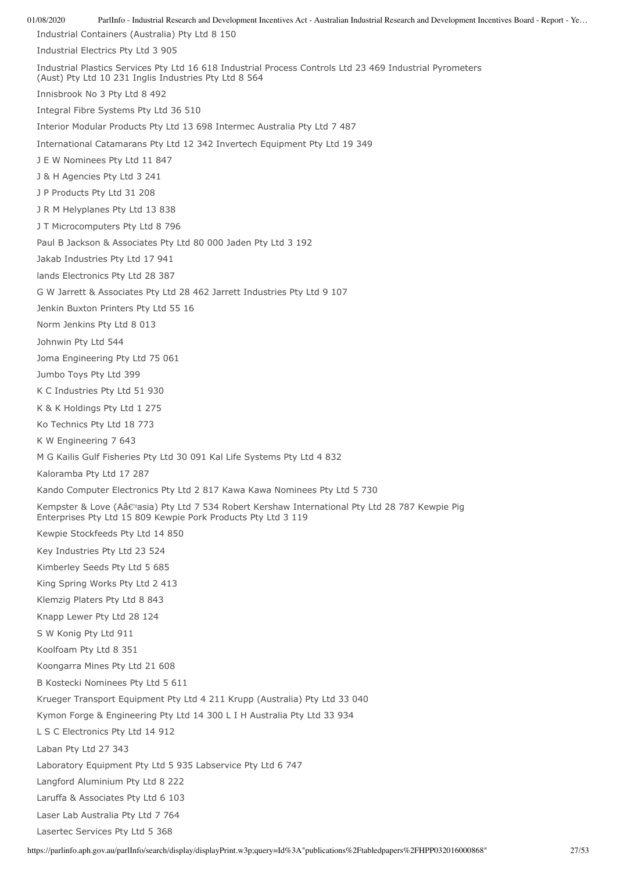01/08/2020 ParlInfo - Industrial Research and Development Incentives Act - Australian Industrial Research and Development Incentives Board - Report - Ye… Industrial Containers (Australia) Pty Ltd 8 150 Industrial Electrics Pty Ltd 3 905 Industrial Plastics Services Pty Ltd 16 618 Industrial Process Controls Ltd 23 469 Industrial Pyrometers (Aust) Pty Ltd 10 231 Inglis Industries Pty Ltd 8 564 Innisbrook No 3 Pty Ltd 8 492 Integral Fibre Systems Pty Ltd 36 510 Interior Modular Products Pty Ltd 13 698 Intermec Australia Pty Ltd 7 487 International Catamarans Pty Ltd 12 342 Invertech Equipment Pty Ltd 19 349 J E W Nominees Pty Ltd 11 847 J & H Agencies Pty Ltd 3 241 J P Products Pty Ltd 31 208 J R M Helyplanes Pty Ltd 13 838 J T Microcomputers Pty Ltd 8 796 Paul B Jackson & Associates Pty Ltd 80 000 Jaden Pty Ltd 3 192 Jakab Industries Pty Ltd 17 941 lands Electronics Pty Ltd 28 387 G W Jarrett & Associates Pty Ltd 28 462 Jarrett Industries Pty Ltd 9 107 Jenkin Buxton Printers Pty Ltd 55 16 Norm Jenkins Pty Ltd 8 013 Johnwin Pty Ltd 544 Joma Engineering Pty Ltd 75 061 Jumbo Toys Pty Ltd 399 K C Industries Pty Ltd 51 930 K & K Holdings Pty Ltd 1 275 Ko Technics Pty Ltd 18 773 K W Engineering 7 643 M G Kailis Gulf Fisheries Pty Ltd 30 091 Kal Life Systems Pty Ltd 4 832 Kaloramba Pty Ltd 17 287 Kando Computer Electronics Pty Ltd 2 817 Kawa Kawa Nominees Pty Ltd 5 730 Kempster & Love (Aâ€<sup>m</sup>asia) Pty Ltd 7 534 Robert Kershaw International Pty Ltd 28 787 Kewpie Pig Enterprises Pty Ltd 15 809 Kewpie Pork Products Pty Ltd 3 119 Kewpie Stockfeeds Pty Ltd 14 850 Key Industries Pty Ltd 23 524 Kimberley Seeds Pty Ltd 5 685 King Spring Works Pty Ltd 2 413 Klemzig Platers Pty Ltd 8 843 Knapp Lewer Pty Ltd 28 124 S W Konig Pty Ltd 911 Koolfoam Pty Ltd 8 351 Koongarra Mines Pty Ltd 21 608 B Kostecki Nominees Pty Ltd 5 611 Krueger Transport Equipment Pty Ltd 4 211 Krupp (Australia) Pty Ltd 33 040 Kymon Forge & Engineering Pty Ltd 14 300 L I H Australia Pty Ltd 33 934 L S C Electronics Pty Ltd 14 912 Laban Pty Ltd 27 343 Laboratory Equipment Pty Ltd 5 935 Labservice Pty Ltd 6 747 Langford Aluminium Pty Ltd 8 222 Laruffa & Associates Pty Ltd 6 103 Laser Lab Australia Pty Ltd 7 764 Lasertec Services Pty Ltd 5 368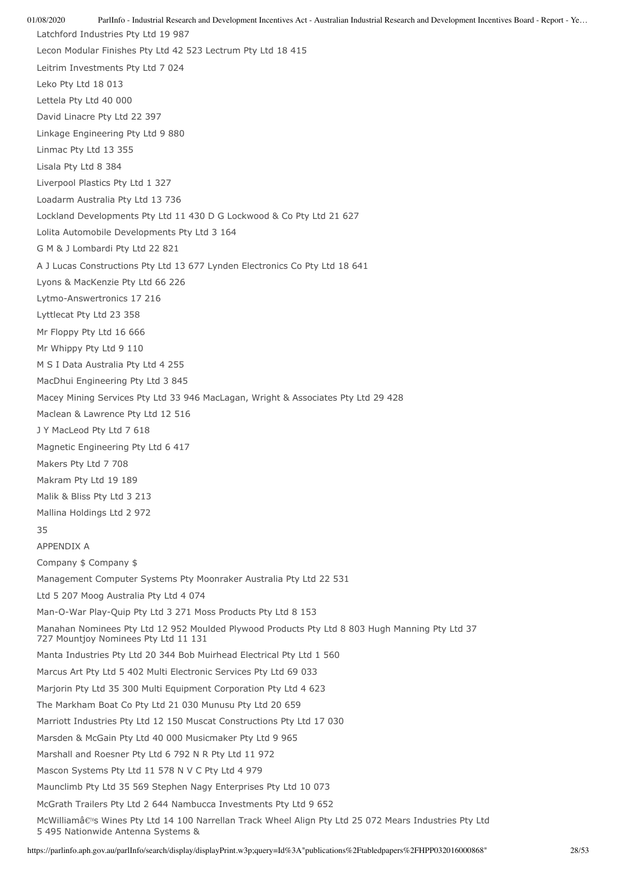01/08/2020 ParlInfo - Industrial Research and Development Incentives Act - Australian Industrial Research and Development Incentives Board - Report - Ye… Latchford Industries Pty Ltd 19 987 Lecon Modular Finishes Pty Ltd 42 523 Lectrum Pty Ltd 18 415 Leitrim Investments Pty Ltd 7 024 Leko Pty Ltd 18 013 Lettela Pty Ltd 40 000 David Linacre Pty Ltd 22 397 Linkage Engineering Pty Ltd 9 880 Linmac Pty Ltd 13 355 Lisala Pty Ltd 8 384 Liverpool Plastics Pty Ltd 1 327 Loadarm Australia Pty Ltd 13 736 Lockland Developments Pty Ltd 11 430 D G Lockwood & Co Pty Ltd 21 627 Lolita Automobile Developments Pty Ltd 3 164 G M & J Lombardi Pty Ltd 22 821 A J Lucas Constructions Pty Ltd 13 677 Lynden Electronics Co Pty Ltd 18 641 Lyons & MacKenzie Pty Ltd 66 226 Lytmo-Answertronics 17 216 Lyttlecat Pty Ltd 23 358 Mr Floppy Pty Ltd 16 666 Mr Whippy Pty Ltd 9 110 M S I Data Australia Pty Ltd 4 255 MacDhui Engineering Pty Ltd 3 845 Macey Mining Services Pty Ltd 33 946 MacLagan, Wright & Associates Pty Ltd 29 428 Maclean & Lawrence Pty Ltd 12 516 J Y MacLeod Pty Ltd 7 618 Magnetic Engineering Pty Ltd 6 417 Makers Pty Ltd 7 708 Makram Pty Ltd 19 189 Malik & Bliss Pty Ltd 3 213 Mallina Holdings Ltd 2 972 35 APPENDIX A Company \$ Company \$ Management Computer Systems Pty Moonraker Australia Pty Ltd 22 531 Ltd 5 207 Moog Australia Pty Ltd 4 074 Man-O-War Play-Quip Pty Ltd 3 271 Moss Products Pty Ltd 8 153 Manahan Nominees Pty Ltd 12 952 Moulded Plywood Products Pty Ltd 8 803 Hugh Manning Pty Ltd 37 727 Mountjoy Nominees Pty Ltd 11 131 Manta Industries Pty Ltd 20 344 Bob Muirhead Electrical Pty Ltd 1 560 Marcus Art Pty Ltd 5 402 Multi Electronic Services Pty Ltd 69 033 Marjorin Pty Ltd 35 300 Multi Equipment Corporation Pty Ltd 4 623 The Markham Boat Co Pty Ltd 21 030 Munusu Pty Ltd 20 659 Marriott Industries Pty Ltd 12 150 Muscat Constructions Pty Ltd 17 030 Marsden & McGain Pty Ltd 40 000 Musicmaker Pty Ltd 9 965 Marshall and Roesner Pty Ltd 6 792 N R Pty Ltd 11 972 Mascon Systems Pty Ltd 11 578 N V C Pty Ltd 4 979 Maunclimb Pty Ltd 35 569 Stephen Nagy Enterprises Pty Ltd 10 073 McGrath Trailers Pty Ltd 2 644 Nambucca Investments Pty Ltd 9 652 McWilliamâ€<sup>N</sup>s Wines Pty Ltd 14 100 Narrellan Track Wheel Align Pty Ltd 25 072 Mears Industries Pty Ltd 5 495 Nationwide Antenna Systems &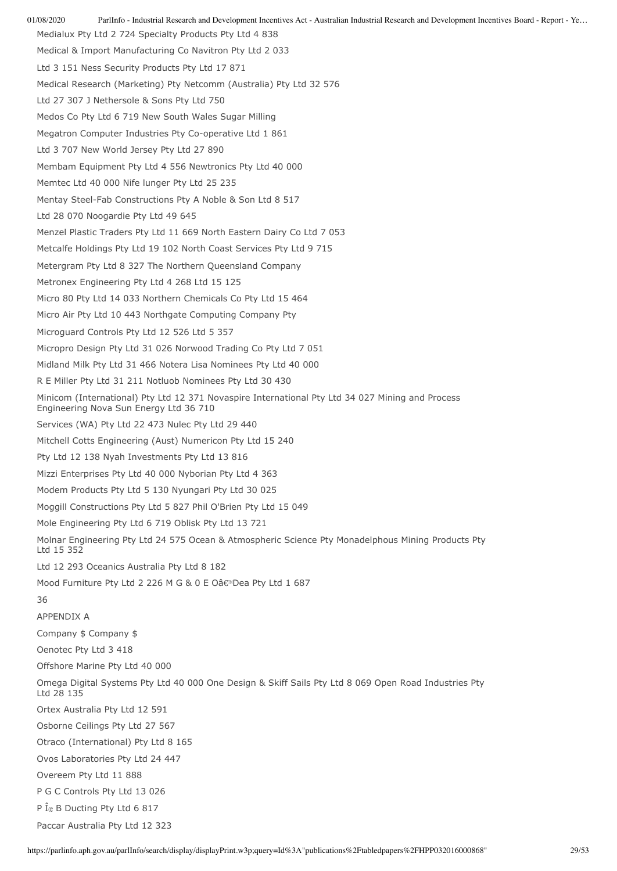Medialux Pty Ltd 2 724 Specialty Products Pty Ltd 4 838 Medical & Import Manufacturing Co Navitron Pty Ltd 2 033 Ltd 3 151 Ness Security Products Pty Ltd 17 871 Medical Research (Marketing) Pty Netcomm (Australia) Pty Ltd 32 576 Ltd 27 307 J Nethersole & Sons Pty Ltd 750 Medos Co Pty Ltd 6 719 New South Wales Sugar Milling Megatron Computer Industries Pty Co-operative Ltd 1 861 Ltd 3 707 New World Jersey Pty Ltd 27 890 Membam Equipment Pty Ltd 4 556 Newtronics Pty Ltd 40 000 Memtec Ltd 40 000 Nife lunger Pty Ltd 25 235 Mentay Steel-Fab Constructions Pty A Noble & Son Ltd 8 517 Ltd 28 070 Noogardie Pty Ltd 49 645 Menzel Plastic Traders Pty Ltd 11 669 North Eastern Dairy Co Ltd 7 053 Metcalfe Holdings Pty Ltd 19 102 North Coast Services Pty Ltd 9 715 Metergram Pty Ltd 8 327 The Northern Queensland Company Metronex Engineering Pty Ltd 4 268 Ltd 15 125 Micro 80 Pty Ltd 14 033 Northern Chemicals Co Pty Ltd 15 464 Micro Air Pty Ltd 10 443 Northgate Computing Company Pty Microguard Controls Pty Ltd 12 526 Ltd 5 357 Micropro Design Pty Ltd 31 026 Norwood Trading Co Pty Ltd 7 051 Midland Milk Pty Ltd 31 466 Notera Lisa Nominees Pty Ltd 40 000 R E Miller Pty Ltd 31 211 Notluob Nominees Pty Ltd 30 430 Minicom (International) Pty Ltd 12 371 Novaspire International Pty Ltd 34 027 Mining and Process Engineering Nova Sun Energy Ltd 36 710 Services (WA) Pty Ltd 22 473 Nulec Pty Ltd 29 440 Mitchell Cotts Engineering (Aust) Numericon Pty Ltd 15 240 Pty Ltd 12 138 Nyah Investments Pty Ltd 13 816 Mizzi Enterprises Pty Ltd 40 000 Nyborian Pty Ltd 4 363 Modem Products Pty Ltd 5 130 Nyungari Pty Ltd 30 025 Moggill Constructions Pty Ltd 5 827 Phil O'Brien Pty Ltd 15 049 Mole Engineering Pty Ltd 6 719 Oblisk Pty Ltd 13 721 Molnar Engineering Pty Ltd 24 575 Ocean & Atmospheric Science Pty Monadelphous Mining Products Pty Ltd 15 352 Ltd 12 293 Oceanics Australia Pty Ltd 8 182 Mood Furniture Pty Ltd 2 226 M G & 0 E Oâ€<sup>™</sup>Dea Pty Ltd 1 687 36 APPENDIX A Company \$ Company \$ Oenotec Pty Ltd 3 418 Offshore Marine Pty Ltd 40 000 Omega Digital Systems Pty Ltd 40 000 One Design & Skiff Sails Pty Ltd 8 069 Open Road Industries Pty Ltd 28 135 Ortex Australia Pty Ltd 12 591 Osborne Ceilings Pty Ltd 27 567 Otraco (International) Pty Ltd 8 165 Ovos Laboratories Pty Ltd 24 447 Overeem Pty Ltd 11 888 P G C Controls Pty Ltd 13 026 P  $\hat{I}_x$  B Ducting Pty Ltd 6 817 Paccar Australia Pty Ltd 12 323

01/08/2020 ParlInfo - Industrial Research and Development Incentives Act - Australian Industrial Research and Development Incentives Board - Report - Ye…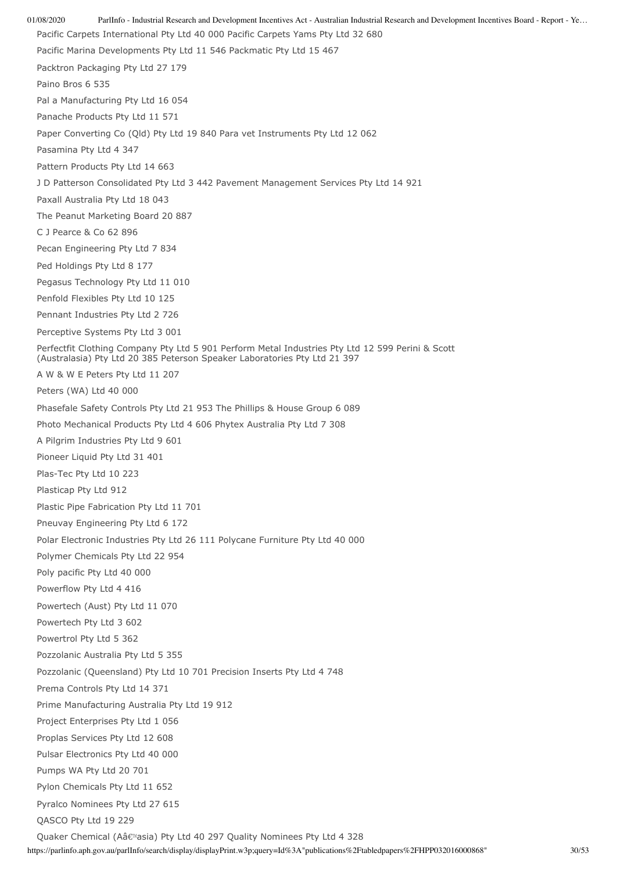01/08/2020 ParlInfo - Industrial Research and Development Incentives Act - Australian Industrial Research and Development Incentives Board - Report - Ye… Pacific Carpets International Pty Ltd 40 000 Pacific Carpets Yams Pty Ltd 32 680 Pacific Marina Developments Pty Ltd 11 546 Packmatic Pty Ltd 15 467 Packtron Packaging Pty Ltd 27 179 Paino Bros 6 535 Pal a Manufacturing Pty Ltd 16 054 Panache Products Pty Ltd 11 571 Paper Converting Co (Qld) Pty Ltd 19 840 Para vet Instruments Pty Ltd 12 062 Pasamina Pty Ltd 4 347 Pattern Products Pty Ltd 14 663 J D Patterson Consolidated Pty Ltd 3 442 Pavement Management Services Pty Ltd 14 921 Paxall Australia Pty Ltd 18 043 The Peanut Marketing Board 20 887 C J Pearce & Co 62 896 Pecan Engineering Pty Ltd 7 834 Ped Holdings Pty Ltd 8 177 Pegasus Technology Pty Ltd 11 010 Penfold Flexibles Pty Ltd 10 125 Pennant Industries Pty Ltd 2 726 Perceptive Systems Pty Ltd 3 001 Perfectfit Clothing Company Pty Ltd 5 901 Perform Metal Industries Pty Ltd 12 599 Perini & Scott (Australasia) Pty Ltd 20 385 Peterson Speaker Laboratories Pty Ltd 21 397 A W & W E Peters Pty Ltd 11 207 Peters (WA) Ltd 40 000 Phasefale Safety Controls Pty Ltd 21 953 The Phillips & House Group 6 089 Photo Mechanical Products Pty Ltd 4 606 Phytex Australia Pty Ltd 7 308 A Pilgrim Industries Pty Ltd 9 601 Pioneer Liquid Pty Ltd 31 401 Plas-Tec Pty Ltd 10 223 Plasticap Pty Ltd 912 Plastic Pipe Fabrication Pty Ltd 11 701 Pneuvay Engineering Pty Ltd 6 172 Polar Electronic Industries Pty Ltd 26 111 Polycane Furniture Pty Ltd 40 000 Polymer Chemicals Pty Ltd 22 954 Poly pacific Pty Ltd 40 000 Powerflow Pty Ltd 4 416 Powertech (Aust) Pty Ltd 11 070 Powertech Pty Ltd 3 602 Powertrol Pty Ltd 5 362 Pozzolanic Australia Pty Ltd 5 355 Pozzolanic (Queensland) Pty Ltd 10 701 Precision Inserts Pty Ltd 4 748 Prema Controls Pty Ltd 14 371 Prime Manufacturing Australia Pty Ltd 19 912 Project Enterprises Pty Ltd 1 056 Proplas Services Pty Ltd 12 608 Pulsar Electronics Pty Ltd 40 000 Pumps WA Pty Ltd 20 701 Pylon Chemicals Pty Ltd 11 652 Pyralco Nominees Pty Ltd 27 615 QASCO Pty Ltd 19 229 Quaker Chemical (Aâ€<sup>™</sup>asia) Pty Ltd 40 297 Quality Nominees Pty Ltd 4 328

https://parlinfo.aph.gov.au/parlInfo/search/display/displayPrint.w3p;query=Id%3A"publications%2Ftabledpapers%2FHPP032016000868" 30/53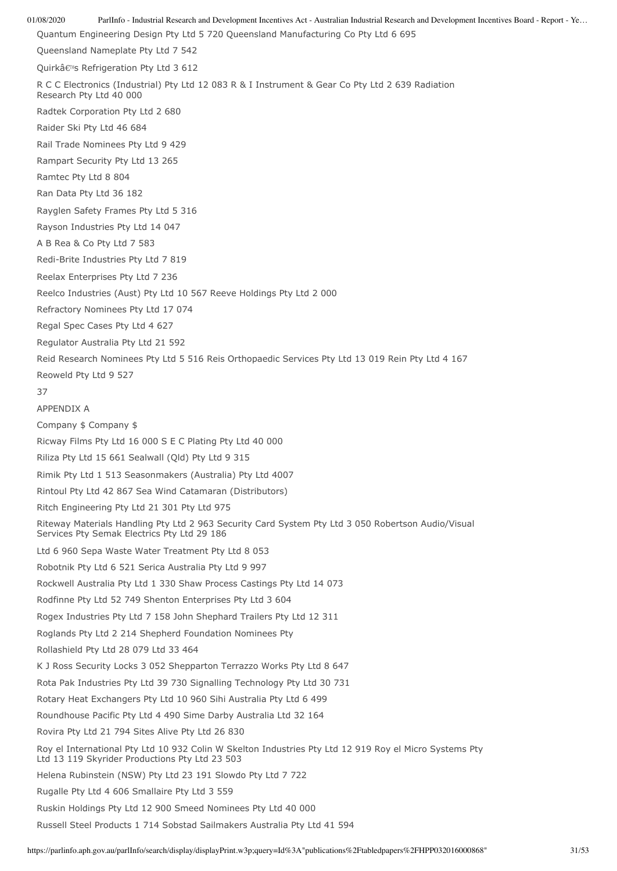01/08/2020 ParlInfo - Industrial Research and Development Incentives Act - Australian Industrial Research and Development Incentives Board - Report - Ye… Quantum Engineering Design Pty Ltd 5 720 Queensland Manufacturing Co Pty Ltd 6 695 Queensland Nameplate Pty Ltd 7 542 Ouirkâ€<sup>™</sup>s Refrigeration Pty Ltd 3 612 R C C Electronics (Industrial) Pty Ltd 12 083 R & I Instrument & Gear Co Pty Ltd 2 639 Radiation Research Pty Ltd 40 000 Radtek Corporation Pty Ltd 2 680 Raider Ski Pty Ltd 46 684 Rail Trade Nominees Pty Ltd 9 429 Rampart Security Pty Ltd 13 265 Ramtec Pty Ltd 8 804 Ran Data Pty Ltd 36 182 Rayglen Safety Frames Pty Ltd 5 316 Rayson Industries Pty Ltd 14 047 A B Rea & Co Pty Ltd 7 583 Redi-Brite Industries Pty Ltd 7 819 Reelax Enterprises Pty Ltd 7 236 Reelco Industries (Aust) Pty Ltd 10 567 Reeve Holdings Pty Ltd 2 000 Refractory Nominees Pty Ltd 17 074 Regal Spec Cases Pty Ltd 4 627 Regulator Australia Pty Ltd 21 592 Reid Research Nominees Pty Ltd 5 516 Reis Orthopaedic Services Pty Ltd 13 019 Rein Pty Ltd 4 167 Reoweld Pty Ltd 9 527 37 APPENDIX A Company \$ Company \$ Ricway Films Pty Ltd 16 000 S E C Plating Pty Ltd 40 000 Riliza Pty Ltd 15 661 Sealwall (Qld) Pty Ltd 9 315 Rimik Pty Ltd 1 513 Seasonmakers (Australia) Pty Ltd 4007 Rintoul Pty Ltd 42 867 Sea Wind Catamaran (Distributors) Ritch Engineering Pty Ltd 21 301 Pty Ltd 975 Riteway Materials Handling Pty Ltd 2 963 Security Card System Pty Ltd 3 050 Robertson Audio/Visual Services Pty Semak Electrics Pty Ltd 29 186 Ltd 6 960 Sepa Waste Water Treatment Pty Ltd 8 053 Robotnik Pty Ltd 6 521 Serica Australia Pty Ltd 9 997 Rockwell Australia Pty Ltd 1 330 Shaw Process Castings Pty Ltd 14 073 Rodfinne Pty Ltd 52 749 Shenton Enterprises Pty Ltd 3 604 Rogex Industries Pty Ltd 7 158 John Shephard Trailers Pty Ltd 12 311 Roglands Pty Ltd 2 214 Shepherd Foundation Nominees Pty Rollashield Pty Ltd 28 079 Ltd 33 464 K J Ross Security Locks 3 052 Shepparton Terrazzo Works Pty Ltd 8 647 Rota Pak Industries Pty Ltd 39 730 Signalling Technology Pty Ltd 30 731 Rotary Heat Exchangers Pty Ltd 10 960 Sihi Australia Pty Ltd 6 499 Roundhouse Pacific Pty Ltd 4 490 Sime Darby Australia Ltd 32 164 Rovira Pty Ltd 21 794 Sites Alive Pty Ltd 26 830 Roy el International Pty Ltd 10 932 Colin W Skelton Industries Pty Ltd 12 919 Roy el Micro Systems Pty Ltd 13 119 Skyrider Productions Pty Ltd 23 503 Helena Rubinstein (NSW) Pty Ltd 23 191 Slowdo Pty Ltd 7 722 Rugalle Pty Ltd 4 606 Smallaire Pty Ltd 3 559 Ruskin Holdings Pty Ltd 12 900 Smeed Nominees Pty Ltd 40 000 Russell Steel Products 1 714 Sobstad Sailmakers Australia Pty Ltd 41 594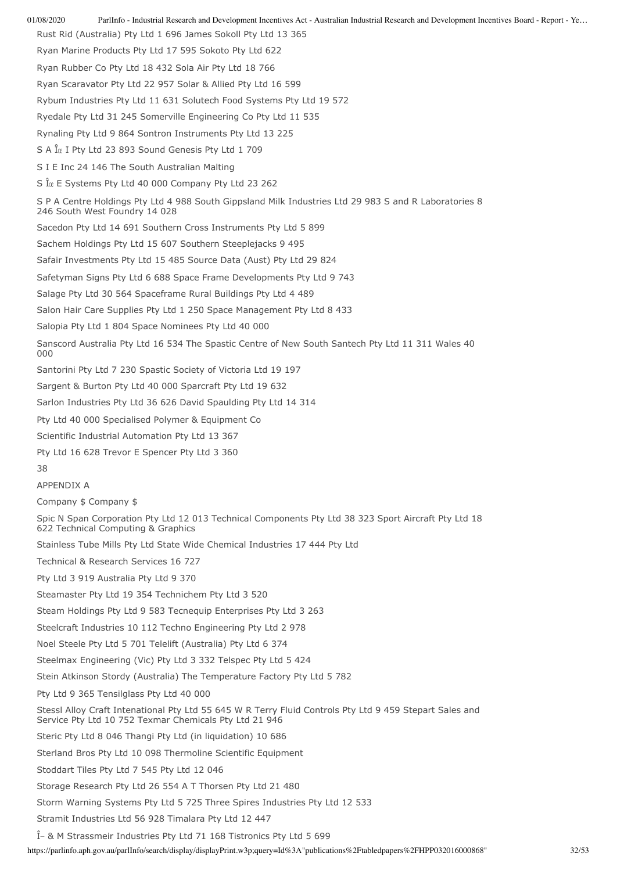01/08/2020 ParlInfo - Industrial Research and Development Incentives Act - Australian Industrial Research and Development Incentives Board - Report - Ye… https://parlinfo.aph.gov.au/parlInfo/search/display/displayPrint.w3p;query=Id%3A"publications%2Ftabledpapers%2FHPP032016000868" 32/53 Rust Rid (Australia) Pty Ltd 1 696 James Sokoll Pty Ltd 13 365 Ryan Marine Products Pty Ltd 17 595 Sokoto Pty Ltd 622 Ryan Rubber Co Pty Ltd 18 432 Sola Air Pty Ltd 18 766 Ryan Scaravator Pty Ltd 22 957 Solar & Allied Pty Ltd 16 599 Rybum Industries Pty Ltd 11 631 Solutech Food Systems Pty Ltd 19 572 Ryedale Pty Ltd 31 245 Somerville Engineering Co Pty Ltd 11 535 Rynaling Pty Ltd 9 864 Sontron Instruments Pty Ltd 13 225 S A  $\hat{I}_x$  I Pty Ltd 23 893 Sound Genesis Pty Ltd 1 709 S I E Inc 24 146 The South Australian Malting S  $\hat{I}$ <sub> $\alpha$ </sub> E Systems Pty Ltd 40 000 Company Pty Ltd 23 262 S P A Centre Holdings Pty Ltd 4 988 South Gippsland Milk Industries Ltd 29 983 S and R Laboratories 8 246 South West Foundry 14 028 Sacedon Pty Ltd 14 691 Southern Cross Instruments Pty Ltd 5 899 Sachem Holdings Pty Ltd 15 607 Southern Steeplejacks 9 495 Safair Investments Pty Ltd 15 485 Source Data (Aust) Pty Ltd 29 824 Safetyman Signs Pty Ltd 6 688 Space Frame Developments Pty Ltd 9 743 Salage Pty Ltd 30 564 Spaceframe Rural Buildings Pty Ltd 4 489 Salon Hair Care Supplies Pty Ltd 1 250 Space Management Pty Ltd 8 433 Salopia Pty Ltd 1 804 Space Nominees Pty Ltd 40 000 Sanscord Australia Pty Ltd 16 534 The Spastic Centre of New South Santech Pty Ltd 11 311 Wales 40 000 Santorini Pty Ltd 7 230 Spastic Society of Victoria Ltd 19 197 Sargent & Burton Pty Ltd 40 000 Sparcraft Pty Ltd 19 632 Sarlon Industries Pty Ltd 36 626 David Spaulding Pty Ltd 14 314 Pty Ltd 40 000 Specialised Polymer & Equipment Co Scientific Industrial Automation Pty Ltd 13 367 Pty Ltd 16 628 Trevor E Spencer Pty Ltd 3 360 38 APPENDIX A Company \$ Company \$ Spic N Span Corporation Pty Ltd 12 013 Technical Components Pty Ltd 38 323 Sport Aircraft Pty Ltd 18 622 Technical Computing & Graphics Stainless Tube Mills Pty Ltd State Wide Chemical Industries 17 444 Pty Ltd Technical & Research Services 16 727 Pty Ltd 3 919 Australia Pty Ltd 9 370 Steamaster Pty Ltd 19 354 Technichem Pty Ltd 3 520 Steam Holdings Pty Ltd 9 583 Tecnequip Enterprises Pty Ltd 3 263 Steelcraft Industries 10 112 Techno Engineering Pty Ltd 2 978 Noel Steele Pty Ltd 5 701 Telelift (Australia) Pty Ltd 6 374 Steelmax Engineering (Vic) Pty Ltd 3 332 Telspec Pty Ltd 5 424 Stein Atkinson Stordy (Australia) The Temperature Factory Pty Ltd 5 782 Pty Ltd 9 365 Tensilglass Pty Ltd 40 000 Stessl Alloy Craft Intenational Pty Ltd 55 645 W R Terry Fluid Controls Pty Ltd 9 459 Stepart Sales and Service Pty Ltd 10 752 Texmar Chemicals Pty Ltd 21 946 Steric Pty Ltd 8 046 Thangi Pty Ltd (in liquidation) 10 686 Sterland Bros Pty Ltd 10 098 Thermoline Scientific Equipment Stoddart Tiles Pty Ltd 7 545 Pty Ltd 12 046 Storage Research Pty Ltd 26 554 A T Thorsen Pty Ltd 21 480 Storm Warning Systems Pty Ltd 5 725 Three Spires Industries Pty Ltd 12 533 Stramit Industries Ltd 56 928 Timalara Pty Ltd 12 447  $\hat{I}$  & M Strassmeir Industries Pty Ltd 71 168 Tistronics Pty Ltd 5 699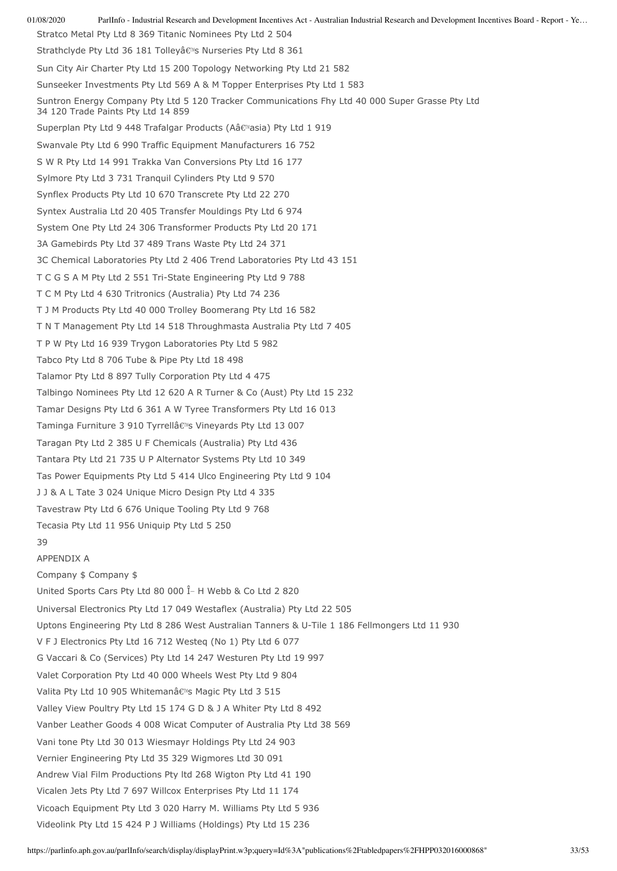01/08/2020 ParlInfo - Industrial Research and Development Incentives Act - Australian Industrial Research and Development Incentives Board - Report - Ye… Stratco Metal Pty Ltd 8 369 Titanic Nominees Pty Ltd 2 504 Strathclyde Pty Ltd 36 181 Tolleyâ€<sup>N</sup>s Nurseries Pty Ltd 8 361 Sun City Air Charter Pty Ltd 15 200 Topology Networking Pty Ltd 21 582 Sunseeker Investments Pty Ltd 569 A & M Topper Enterprises Pty Ltd 1 583 Suntron Energy Company Pty Ltd 5 120 Tracker Communications Fhy Ltd 40 000 Super Grasse Pty Ltd 34 120 Trade Paints Pty Ltd 14 859 Superplan Pty Ltd 9 448 Trafalgar Products (Aâ€<sup>M</sup>asia) Pty Ltd 1 919 Swanvale Pty Ltd 6 990 Traffic Equipment Manufacturers 16 752 S W R Pty Ltd 14 991 Trakka Van Conversions Pty Ltd 16 177 Sylmore Pty Ltd 3 731 Tranquil Cylinders Pty Ltd 9 570 Synflex Products Pty Ltd 10 670 Transcrete Pty Ltd 22 270 Syntex Australia Ltd 20 405 Transfer Mouldings Pty Ltd 6 974 System One Pty Ltd 24 306 Transformer Products Pty Ltd 20 171 3A Gamebirds Pty Ltd 37 489 Trans Waste Pty Ltd 24 371 3C Chemical Laboratories Pty Ltd 2 406 Trend Laboratories Pty Ltd 43 151 T C G S A M Pty Ltd 2 551 Tri-State Engineering Pty Ltd 9 788 T C M Pty Ltd 4 630 Tritronics (Australia) Pty Ltd 74 236 T J M Products Pty Ltd 40 000 Trolley Boomerang Pty Ltd 16 582 T N T Management Pty Ltd 14 518 Throughmasta Australia Pty Ltd 7 405 T P W Pty Ltd 16 939 Trygon Laboratories Pty Ltd 5 982 Tabco Pty Ltd 8 706 Tube & Pipe Pty Ltd 18 498 Talamor Pty Ltd 8 897 Tully Corporation Pty Ltd 4 475 Talbingo Nominees Pty Ltd 12 620 A R Turner & Co (Aust) Pty Ltd 15 232 Tamar Designs Pty Ltd 6 361 A W Tyree Transformers Pty Ltd 16 013 Taminga Furniture 3 910 Tyrrellâ€<sup>™</sup>s Vineyards Pty Ltd 13 007 Taragan Pty Ltd 2 385 U F Chemicals (Australia) Pty Ltd 436 Tantara Pty Ltd 21 735 U P Alternator Systems Pty Ltd 10 349 Tas Power Equipments Pty Ltd 5 414 Ulco Engineering Pty Ltd 9 104 J J & A L Tate 3 024 Unique Micro Design Pty Ltd 4 335 Tavestraw Pty Ltd 6 676 Unique Tooling Pty Ltd 9 768 Tecasia Pty Ltd 11 956 Uniquip Pty Ltd 5 250 39 APPENDIX A Company \$ Company \$ United Sports Cars Pty Ltd 80 000  $\hat{I}$  H Webb & Co Ltd 2 820 Universal Electronics Pty Ltd 17 049 Westaflex (Australia) Pty Ltd 22 505 Uptons Engineering Pty Ltd 8 286 West Australian Tanners & U-Tile 1 186 Fellmongers Ltd 11 930 V F J Electronics Pty Ltd 16 712 Westeq (No 1) Pty Ltd 6 077 G Vaccari & Co (Services) Pty Ltd 14 247 Westuren Pty Ltd 19 997 Valet Corporation Pty Ltd 40 000 Wheels West Pty Ltd 9 804 Valita Pty Ltd 10 905 Whitemanâ€<sup>N</sup>s Magic Pty Ltd 3 515 Valley View Poultry Pty Ltd 15 174 G D & J A Whiter Pty Ltd 8 492 Vanber Leather Goods 4 008 Wicat Computer of Australia Pty Ltd 38 569 Vani tone Pty Ltd 30 013 Wiesmayr Holdings Pty Ltd 24 903 Vernier Engineering Pty Ltd 35 329 Wigmores Ltd 30 091 Andrew Vial Film Productions Pty ltd 268 Wigton Pty Ltd 41 190 Vicalen Jets Pty Ltd 7 697 Willcox Enterprises Pty Ltd 11 174 Vicoach Equipment Pty Ltd 3 020 Harry M. Williams Pty Ltd 5 936 Videolink Pty Ltd 15 424 P J Williams (Holdings) Pty Ltd 15 236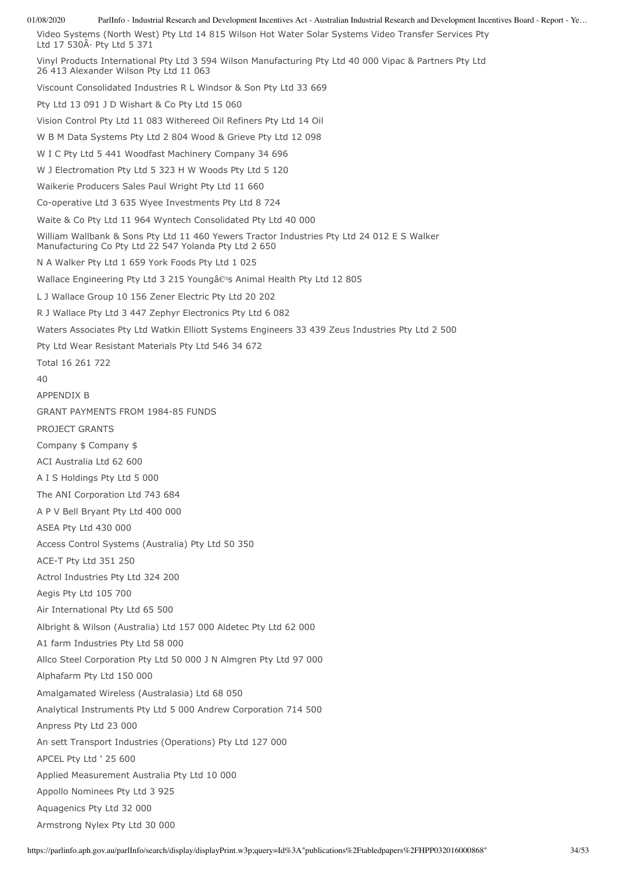Video Systems (North West) Pty Ltd 14 815 Wilson Hot Water Solar Systems Video Transfer Services Pty Ltd  $17\,530\text{\AA}$  Pty Ltd 5 371 Vinyl Products International Pty Ltd 3 594 Wilson Manufacturing Pty Ltd 40 000 Vipac & Partners Pty Ltd 26 413 Alexander Wilson Pty Ltd 11 063 Viscount Consolidated Industries R L Windsor & Son Pty Ltd 33 669 Pty Ltd 13 091 J D Wishart & Co Pty Ltd 15 060 Vision Control Pty Ltd 11 083 Withereed Oil Refiners Pty Ltd 14 Oil W B M Data Systems Pty Ltd 2 804 Wood & Grieve Pty Ltd 12 098 W I C Pty Ltd 5 441 Woodfast Machinery Company 34 696 W J Electromation Pty Ltd 5 323 H W Woods Pty Ltd 5 120 Waikerie Producers Sales Paul Wright Pty Ltd 11 660 Co-operative Ltd 3 635 Wyee Investments Pty Ltd 8 724 Waite & Co Pty Ltd 11 964 Wyntech Consolidated Pty Ltd 40 000 William Wallbank & Sons Pty Ltd 11 460 Yewers Tractor Industries Pty Ltd 24 012 E S Walker Manufacturing Co Pty Ltd 22 547 Yolanda Pty Ltd 2 650 N A Walker Pty Ltd 1 659 York Foods Pty Ltd 1 025 Wallace Engineering Pty Ltd 3 215 Youngâ€<sup>™</sup>s Animal Health Pty Ltd 12 805 L J Wallace Group 10 156 Zener Electric Pty Ltd 20 202 R J Wallace Pty Ltd 3 447 Zephyr Electronics Pty Ltd 6 082 Waters Associates Pty Ltd Watkin Elliott Systems Engineers 33 439 Zeus Industries Pty Ltd 2 500 Pty Ltd Wear Resistant Materials Pty Ltd 546 34 672 Total 16 261 722  $40$ APPENDIX B GRANT PAYMENTS FROM 1984-85 FUNDS PROJECT GRANTS Company \$ Company \$ ACI Australia Ltd 62 600 A I S Holdings Pty Ltd 5 000 The ANI Corporation Ltd 743 684 A P V Bell Bryant Pty Ltd 400 000 ASEA Pty Ltd 430 000 Access Control Systems (Australia) Pty Ltd 50 350 ACE-T Pty Ltd 351 250 Actrol Industries Pty Ltd 324 200 Aegis Pty Ltd 105 700 Air International Pty Ltd 65 500 Albright & Wilson (Australia) Ltd 157 000 Aldetec Pty Ltd 62 000 A1 farm Industries Pty Ltd 58 000 Allco Steel Corporation Pty Ltd 50 000 J N Almgren Pty Ltd 97 000 Alphafarm Pty Ltd 150 000 Amalgamated Wireless (Australasia) Ltd 68 050 Analytical Instruments Pty Ltd 5 000 Andrew Corporation 714 500 Anpress Pty Ltd 23 000 An sett Transport Industries (Operations) Pty Ltd 127 000 APCEL Pty Ltd ' 25 600 Applied Measurement Australia Pty Ltd 10 000 Appollo Nominees Pty Ltd 3 925 Aquagenics Pty Ltd 32 000 Armstrong Nylex Pty Ltd 30 000

01/08/2020 ParlInfo - Industrial Research and Development Incentives Act - Australian Industrial Research and Development Incentives Board - Report - Ye…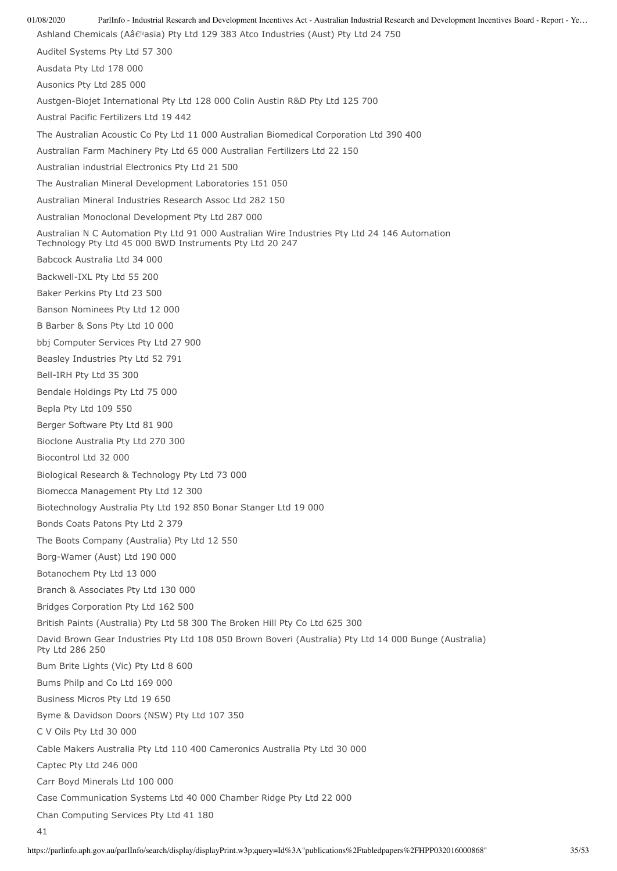01/08/2020 ParlInfo - Industrial Research and Development Incentives Act - Australian Industrial Research and Development Incentives Board - Report - Ye… Ashland Chemicals (Aâ€<sup>m</sup>asia) Pty Ltd 129 383 Atco Industries (Aust) Pty Ltd 24 750 Auditel Systems Pty Ltd 57 300 Ausdata Pty Ltd 178 000 Ausonics Pty Ltd 285 000 Austgen-Biojet International Pty Ltd 128 000 Colin Austin R&D Pty Ltd 125 700 Austral Pacific Fertilizers Ltd 19 442 The Australian Acoustic Co Pty Ltd 11 000 Australian Biomedical Corporation Ltd 390 400 Australian Farm Machinery Pty Ltd 65 000 Australian Fertilizers Ltd 22 150 Australian industrial Electronics Pty Ltd 21 500 The Australian Mineral Development Laboratories 151 050 Australian Mineral Industries Research Assoc Ltd 282 150 Australian Monoclonal Development Pty Ltd 287 000 Australian N C Automation Pty Ltd 91 000 Australian Wire Industries Pty Ltd 24 146 Automation Technology Pty Ltd 45 000 BWD Instruments Pty Ltd 20 247 Babcock Australia Ltd 34 000 Backwell-IXL Pty Ltd 55 200 Baker Perkins Pty Ltd 23 500 Banson Nominees Pty Ltd 12 000 B Barber & Sons Pty Ltd 10 000 bbj Computer Services Pty Ltd 27 900 Beasley Industries Pty Ltd 52 791 Bell-IRH Pty Ltd 35 300 Bendale Holdings Pty Ltd 75 000 Bepla Pty Ltd 109 550 Berger Software Pty Ltd 81 900 Bioclone Australia Pty Ltd 270 300 Biocontrol Ltd 32 000 Biological Research & Technology Pty Ltd 73 000 Biomecca Management Pty Ltd 12 300 Biotechnology Australia Pty Ltd 192 850 Bonar Stanger Ltd 19 000 Bonds Coats Patons Pty Ltd 2 379 The Boots Company (Australia) Pty Ltd 12 550 Borg-Wamer (Aust) Ltd 190 000 Botanochem Pty Ltd 13 000 Branch & Associates Pty Ltd 130 000 Bridges Corporation Pty Ltd 162 500 British Paints (Australia) Pty Ltd 58 300 The Broken Hill Pty Co Ltd 625 300 David Brown Gear Industries Pty Ltd 108 050 Brown Boveri (Australia) Pty Ltd 14 000 Bunge (Australia) Pty Ltd 286 250 Bum Brite Lights (Vic) Pty Ltd 8 600 Bums Philp and Co Ltd 169 000 Business Micros Pty Ltd 19 650 Byme & Davidson Doors (NSW) Pty Ltd 107 350 C V Oils Pty Ltd 30 000 Cable Makers Australia Pty Ltd 110 400 Cameronics Australia Pty Ltd 30 000 Captec Pty Ltd 246 000 Carr Boyd Minerals Ltd 100 000 Case Communication Systems Ltd 40 000 Chamber Ridge Pty Ltd 22 000 Chan Computing Services Pty Ltd 41 180 41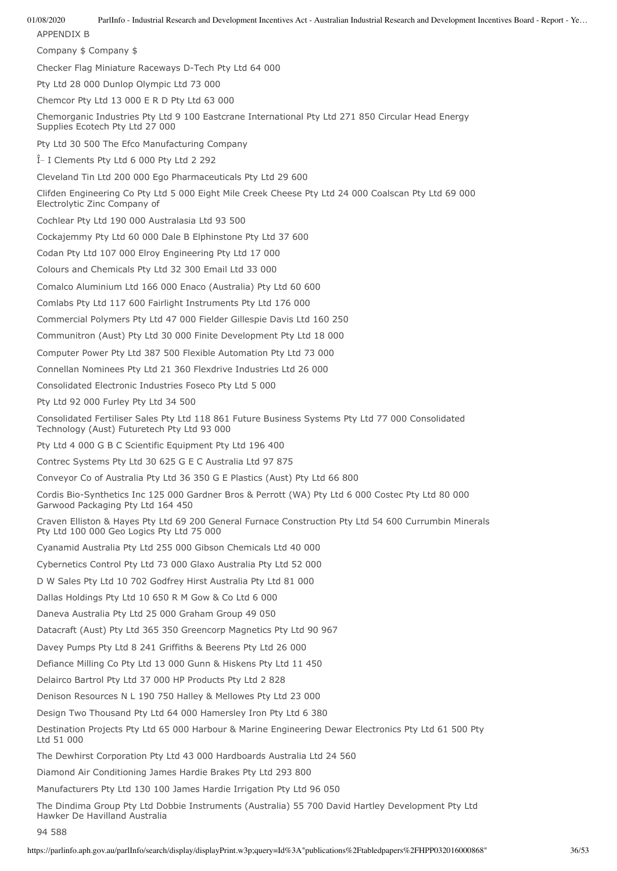01/08/2020 ParlInfo - Industrial Research and Development Incentives Act - Australian Industrial Research and Development Incentives Board - Report - Ye… APPENDIX B Company \$ Company \$ Checker Flag Miniature Raceways D-Tech Pty Ltd 64 000 Pty Ltd 28 000 Dunlop Olympic Ltd 73 000 Chemcor Pty Ltd 13 000 E R D Pty Ltd 63 000 Chemorganic Industries Pty Ltd 9 100 Eastcrane International Pty Ltd 271 850 Circular Head Energy Supplies Ecotech Pty Ltd 27 000 Pty Ltd 30 500 The Efco Manufacturing Company  $\hat{I}$  I Clements Pty Ltd 6 000 Pty Ltd 2 292 Cleveland Tin Ltd 200 000 Ego Pharmaceuticals Pty Ltd 29 600 Clifden Engineering Co Pty Ltd 5 000 Eight Mile Creek Cheese Pty Ltd 24 000 Coalscan Pty Ltd 69 000 Electrolytic Zinc Company of Cochlear Pty Ltd 190 000 Australasia Ltd 93 500 Cockajemmy Pty Ltd 60 000 Dale B Elphinstone Pty Ltd 37 600 Codan Pty Ltd 107 000 Elroy Engineering Pty Ltd 17 000 Colours and Chemicals Pty Ltd 32 300 Email Ltd 33 000 Comalco Aluminium Ltd 166 000 Enaco (Australia) Pty Ltd 60 600 Comlabs Pty Ltd 117 600 Fairlight Instruments Pty Ltd 176 000 Commercial Polymers Pty Ltd 47 000 Fielder Gillespie Davis Ltd 160 250 Communitron (Aust) Pty Ltd 30 000 Finite Development Pty Ltd 18 000 Computer Power Pty Ltd 387 500 Flexible Automation Pty Ltd 73 000 Connellan Nominees Pty Ltd 21 360 Flexdrive Industries Ltd 26 000 Consolidated Electronic Industries Foseco Pty Ltd 5 000 Pty Ltd 92 000 Furley Pty Ltd 34 500 Consolidated Fertiliser Sales Pty Ltd 118 861 Future Business Systems Pty Ltd 77 000 Consolidated Technology (Aust) Futuretech Pty Ltd 93 000 Pty Ltd 4 000 G B C Scientific Equipment Pty Ltd 196 400 Contrec Systems Pty Ltd 30 625 G E C Australia Ltd 97 875 Conveyor Co of Australia Pty Ltd 36 350 G E Plastics (Aust) Pty Ltd 66 800 Cordis Bio-Synthetics Inc 125 000 Gardner Bros & Perrott (WA) Pty Ltd 6 000 Costec Pty Ltd 80 000 Garwood Packaging Pty Ltd 164 450 Craven Elliston & Hayes Pty Ltd 69 200 General Furnace Construction Pty Ltd 54 600 Currumbin Minerals Pty Ltd 100 000 Geo Logics Pty Ltd 75 000 Cyanamid Australia Pty Ltd 255 000 Gibson Chemicals Ltd 40 000 Cybernetics Control Pty Ltd 73 000 Glaxo Australia Pty Ltd 52 000 D W Sales Pty Ltd 10 702 Godfrey Hirst Australia Pty Ltd 81 000 Dallas Holdings Pty Ltd 10 650 R M Gow & Co Ltd 6 000 Daneva Australia Pty Ltd 25 000 Graham Group 49 050 Datacraft (Aust) Pty Ltd 365 350 Greencorp Magnetics Pty Ltd 90 967 Davey Pumps Pty Ltd 8 241 Griffiths & Beerens Pty Ltd 26 000 Defiance Milling Co Pty Ltd 13 000 Gunn & Hiskens Pty Ltd 11 450 Delairco Bartrol Pty Ltd 37 000 HP Products Pty Ltd 2 828 Denison Resources N L 190 750 Halley & Mellowes Pty Ltd 23 000 Design Two Thousand Pty Ltd 64 000 Hamersley Iron Pty Ltd 6 380 Destination Projects Pty Ltd 65 000 Harbour & Marine Engineering Dewar Electronics Pty Ltd 61 500 Pty Ltd 51 000 The Dewhirst Corporation Pty Ltd 43 000 Hardboards Australia Ltd 24 560 Diamond Air Conditioning James Hardie Brakes Pty Ltd 293 800 Manufacturers Pty Ltd 130 100 James Hardie Irrigation Pty Ltd 96 050

The Dindima Group Pty Ltd Dobbie Instruments (Australia) 55 700 David Hartley Development Pty Ltd Hawker De Havilland Australia

94 588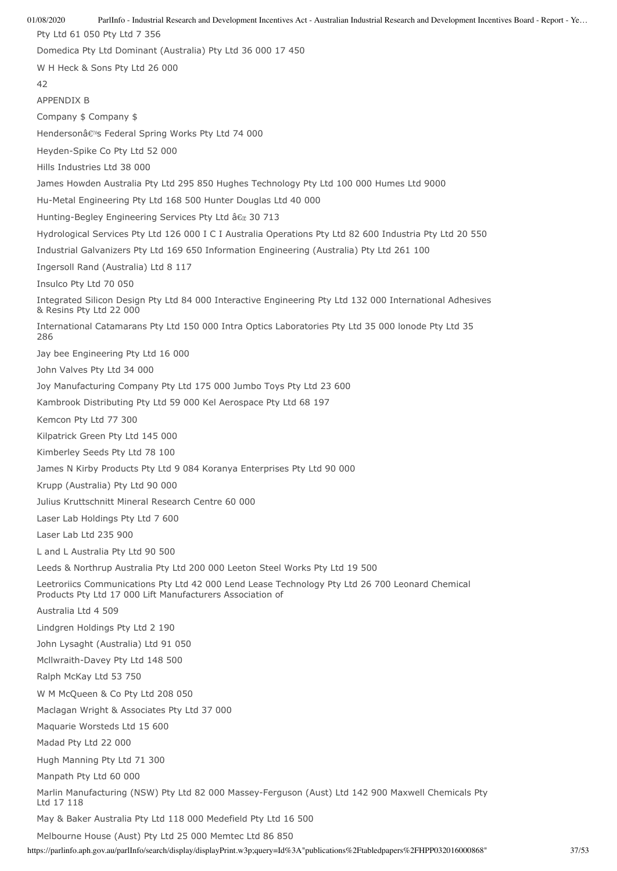01/08/2020 ParlInfo - Industrial Research and Development Incentives Act - Australian Industrial Research and Development Incentives Board - Report - Ye… Pty Ltd 61 050 Pty Ltd 7 356 Domedica Pty Ltd Dominant (Australia) Pty Ltd 36 000 17 450 W H Heck & Sons Pty Ltd 26 000 42 APPENDIX B Company \$ Company \$ Hendersonâ€<sup>™</sup>s Federal Spring Works Pty Ltd 74 000 Heyden-Spike Co Pty Ltd 52 000 Hills Industries Ltd 38 000 James Howden Australia Pty Ltd 295 850 Hughes Technology Pty Ltd 100 000 Humes Ltd 9000 Hu-Metal Engineering Pty Ltd 168 500 Hunter Douglas Ltd 40 000 Hunting-Begley Engineering Services Pty Ltd †a 30 713 Hydrological Services Pty Ltd 126 000 I C I Australia Operations Pty Ltd 82 600 Industria Pty Ltd 20 550 Industrial Galvanizers Pty Ltd 169 650 Information Engineering (Australia) Pty Ltd 261 100 Ingersoll Rand (Australia) Ltd 8 117 Insulco Pty Ltd 70 050 Integrated Silicon Design Pty Ltd 84 000 Interactive Engineering Pty Ltd 132 000 International Adhesives & Resins Pty Ltd 22 000 International Catamarans Pty Ltd 150 000 Intra Optics Laboratories Pty Ltd 35 000 lonode Pty Ltd 35 286 Jay bee Engineering Pty Ltd 16 000 John Valves Pty Ltd 34 000 Joy Manufacturing Company Pty Ltd 175 000 Jumbo Toys Pty Ltd 23 600 Kambrook Distributing Pty Ltd 59 000 Kel Aerospace Pty Ltd 68 197 Kemcon Pty Ltd 77 300 Kilpatrick Green Pty Ltd 145 000 Kimberley Seeds Pty Ltd 78 100 James N Kirby Products Pty Ltd 9 084 Koranya Enterprises Pty Ltd 90 000 Krupp (Australia) Pty Ltd 90 000 Julius Kruttschnitt Mineral Research Centre 60 000 Laser Lab Holdings Pty Ltd 7 600 Laser Lab Ltd 235 900 L and L Australia Pty Ltd 90 500 Leeds & Northrup Australia Pty Ltd 200 000 Leeton Steel Works Pty Ltd 19 500 Leetroriics Communications Pty Ltd 42 000 Lend Lease Technology Pty Ltd 26 700 Leonard Chemical Products Pty Ltd 17 000 Lift Manufacturers Association of Australia Ltd 4 509 Lindgren Holdings Pty Ltd 2 190 John Lysaght (Australia) Ltd 91 050 Mcllwraith-Davey Pty Ltd 148 500 Ralph McKay Ltd 53 750 W M McQueen & Co Pty Ltd 208 050 Maclagan Wright & Associates Pty Ltd 37 000 Maquarie Worsteds Ltd 15 600 Madad Pty Ltd 22 000 Hugh Manning Pty Ltd 71 300 Manpath Pty Ltd 60 000 Marlin Manufacturing (NSW) Pty Ltd 82 000 Massey-Ferguson (Aust) Ltd 142 900 Maxwell Chemicals Pty Ltd 17 118 May & Baker Australia Pty Ltd 118 000 Medefield Pty Ltd 16 500 Melbourne House (Aust) Pty Ltd 25 000 Memtec Ltd 86 850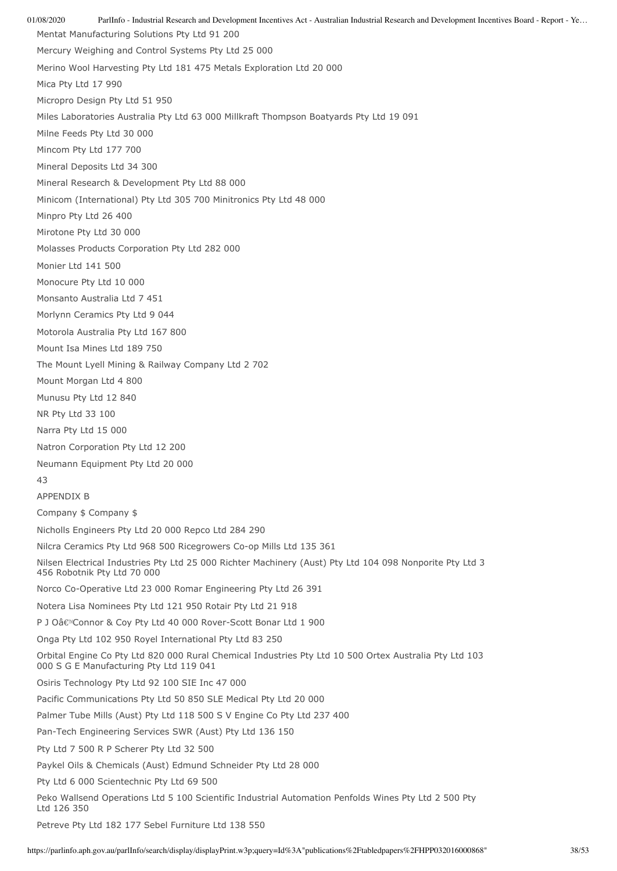01/08/2020 ParlInfo - Industrial Research and Development Incentives Act - Australian Industrial Research and Development Incentives Board - Report - Ye… Mentat Manufacturing Solutions Pty Ltd 91 200 Mercury Weighing and Control Systems Pty Ltd 25 000 Merino Wool Harvesting Pty Ltd 181 475 Metals Exploration Ltd 20 000 Mica Pty Ltd 17 990 Micropro Design Pty Ltd 51 950 Miles Laboratories Australia Pty Ltd 63 000 Millkraft Thompson Boatyards Pty Ltd 19 091 Milne Feeds Pty Ltd 30 000 Mincom Pty Ltd 177 700 Mineral Deposits Ltd 34 300 Mineral Research & Development Pty Ltd 88 000 Minicom (International) Pty Ltd 305 700 Minitronics Pty Ltd 48 000 Minpro Pty Ltd 26 400 Mirotone Pty Ltd 30 000 Molasses Products Corporation Pty Ltd 282 000 Monier Ltd 141 500 Monocure Pty Ltd 10 000 Monsanto Australia Ltd 7 451 Morlynn Ceramics Pty Ltd 9 044 Motorola Australia Pty Ltd 167 800 Mount Isa Mines Ltd 189 750 The Mount Lyell Mining & Railway Company Ltd 2 702 Mount Morgan Ltd 4 800 Munusu Pty Ltd 12 840 NR Pty Ltd 33 100 Narra Pty Ltd 15 000 Natron Corporation Pty Ltd 12 200 Neumann Equipment Pty Ltd 20 000 43 APPENDIX B Company \$ Company \$ Nicholls Engineers Pty Ltd 20 000 Repco Ltd 284 290 Nilcra Ceramics Pty Ltd 968 500 Ricegrowers Co-op Mills Ltd 135 361 Nilsen Electrical Industries Pty Ltd 25 000 Richter Machinery (Aust) Pty Ltd 104 098 Nonporite Pty Ltd 3 456 Robotnik Pty Ltd 70 000 Norco Co-Operative Ltd 23 000 Romar Engineering Pty Ltd 26 391 Notera Lisa Nominees Pty Ltd 121 950 Rotair Pty Ltd 21 918 P J Oâ€<sup>™</sup>Connor & Coy Pty Ltd 40 000 Rover-Scott Bonar Ltd 1 900 Onga Pty Ltd 102 950 Royel International Pty Ltd 83 250 Orbital Engine Co Pty Ltd 820 000 Rural Chemical Industries Pty Ltd 10 500 Ortex Australia Pty Ltd 103 000 S G E Manufacturing Pty Ltd 119 041 Osiris Technology Pty Ltd 92 100 SIE Inc 47 000 Pacific Communications Pty Ltd 50 850 SLE Medical Pty Ltd 20 000 Palmer Tube Mills (Aust) Pty Ltd 118 500 S V Engine Co Pty Ltd 237 400 Pan-Tech Engineering Services SWR (Aust) Pty Ltd 136 150 Pty Ltd 7 500 R P Scherer Pty Ltd 32 500 Paykel Oils & Chemicals (Aust) Edmund Schneider Pty Ltd 28 000 Pty Ltd 6 000 Scientechnic Pty Ltd 69 500 Peko Wallsend Operations Ltd 5 100 Scientific Industrial Automation Penfolds Wines Pty Ltd 2 500 Pty Ltd 126 350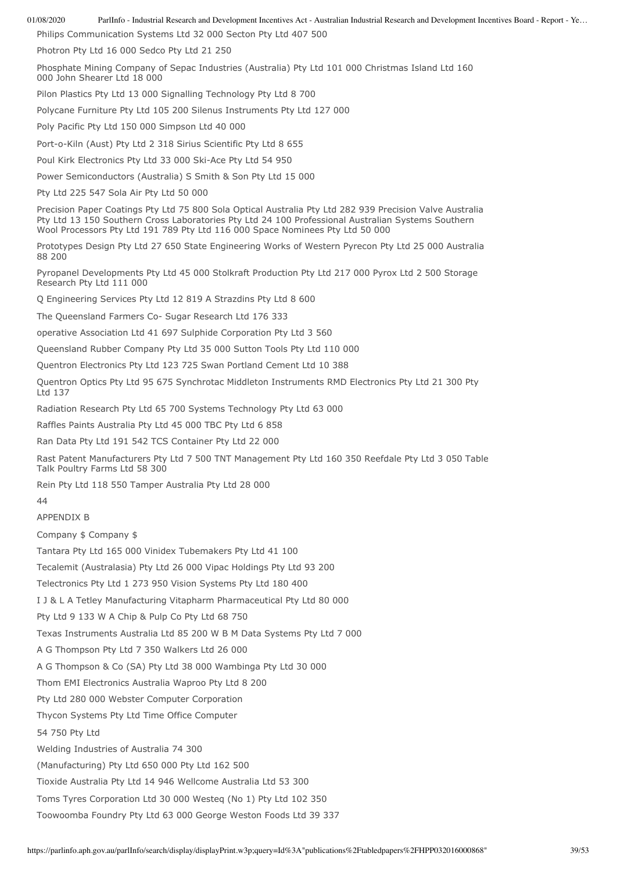Philips Communication Systems Ltd 32 000 Secton Pty Ltd 407 500

Photron Pty Ltd 16 000 Sedco Pty Ltd 21 250

Phosphate Mining Company of Sepac Industries (Australia) Pty Ltd 101 000 Christmas Island Ltd 160 000 John Shearer Ltd 18 000

Pilon Plastics Pty Ltd 13 000 Signalling Technology Pty Ltd 8 700

Polycane Furniture Pty Ltd 105 200 Silenus Instruments Pty Ltd 127 000

Poly Pacific Pty Ltd 150 000 Simpson Ltd 40 000

Port-o-Kiln (Aust) Pty Ltd 2 318 Sirius Scientific Pty Ltd 8 655

Poul Kirk Electronics Pty Ltd 33 000 Ski-Ace Pty Ltd 54 950

Power Semiconductors (Australia) S Smith & Son Pty Ltd 15 000

Pty Ltd 225 547 Sola Air Pty Ltd 50 000

Precision Paper Coatings Pty Ltd 75 800 Sola Optical Australia Pty Ltd 282 939 Precision Valve Australia Pty Ltd 13 150 Southern Cross Laboratories Pty Ltd 24 100 Professional Australian Systems Southern Wool Processors Pty Ltd 191 789 Pty Ltd 116 000 Space Nominees Pty Ltd 50 000

Prototypes Design Pty Ltd 27 650 State Engineering Works of Western Pyrecon Pty Ltd 25 000 Australia 88 200

Pyropanel Developments Pty Ltd 45 000 Stolkraft Production Pty Ltd 217 000 Pyrox Ltd 2 500 Storage Research Pty Ltd 111 000

Q Engineering Services Pty Ltd 12 819 A Strazdins Pty Ltd 8 600

The Queensland Farmers Co- Sugar Research Ltd 176 333

operative Association Ltd 41 697 Sulphide Corporation Pty Ltd 3 560

Queensland Rubber Company Pty Ltd 35 000 Sutton Tools Pty Ltd 110 000

Quentron Electronics Pty Ltd 123 725 Swan Portland Cement Ltd 10 388

Quentron Optics Pty Ltd 95 675 Synchrotac Middleton Instruments RMD Electronics Pty Ltd 21 300 Pty Ltd 137

Radiation Research Pty Ltd 65 700 Systems Technology Pty Ltd 63 000

Raffles Paints Australia Pty Ltd 45 000 TBC Pty Ltd 6 858

Ran Data Pty Ltd 191 542 TCS Container Pty Ltd 22 000

Rast Patent Manufacturers Pty Ltd 7 500 TNT Management Pty Ltd 160 350 Reefdale Pty Ltd 3 050 Table Talk Poultry Farms Ltd 58 300

Rein Pty Ltd 118 550 Tamper Australia Pty Ltd 28 000

44

APPENDIX B

Company \$ Company \$

Tantara Pty Ltd 165 000 Vinidex Tubemakers Pty Ltd 41 100

Tecalemit (Australasia) Pty Ltd 26 000 Vipac Holdings Pty Ltd 93 200

Telectronics Pty Ltd 1 273 950 Vision Systems Pty Ltd 180 400

I J & L A Tetley Manufacturing Vitapharm Pharmaceutical Pty Ltd 80 000

Pty Ltd 9 133 W A Chip & Pulp Co Pty Ltd 68 750

Texas Instruments Australia Ltd 85 200 W B M Data Systems Pty Ltd 7 000

A G Thompson Pty Ltd 7 350 Walkers Ltd 26 000

A G Thompson & Co (SA) Pty Ltd 38 000 Wambinga Pty Ltd 30 000

Thom EMI Electronics Australia Waproo Pty Ltd 8 200

Pty Ltd 280 000 Webster Computer Corporation

Thycon Systems Pty Ltd Time Office Computer

54 750 Pty Ltd

Welding Industries of Australia 74 300

(Manufacturing) Pty Ltd 650 000 Pty Ltd 162 500

Tioxide Australia Pty Ltd 14 946 Wellcome Australia Ltd 53 300

Toms Tyres Corporation Ltd 30 000 Westeq (No 1) Pty Ltd 102 350

Toowoomba Foundry Pty Ltd 63 000 George Weston Foods Ltd 39 337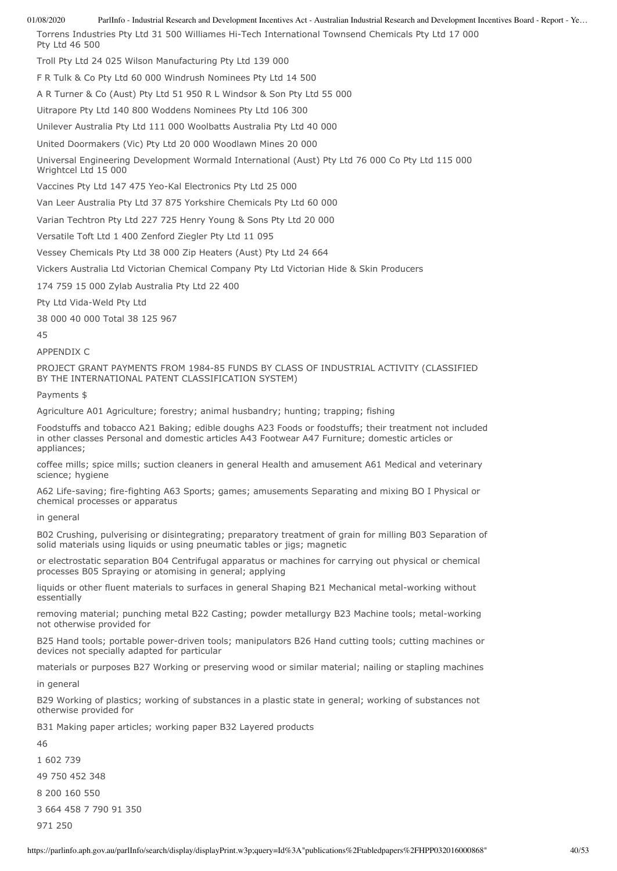Torrens Industries Pty Ltd 31 500 Williames Hi-Tech International Townsend Chemicals Pty Ltd 17 000 Pty Ltd 46 500 Troll Pty Ltd 24 025 Wilson Manufacturing Pty Ltd 139 000

F R Tulk & Co Pty Ltd 60 000 Windrush Nominees Pty Ltd 14 500

A R Turner & Co (Aust) Pty Ltd 51 950 R L Windsor & Son Pty Ltd 55 000

Uitrapore Pty Ltd 140 800 Woddens Nominees Pty Ltd 106 300

Unilever Australia Pty Ltd 111 000 Woolbatts Australia Pty Ltd 40 000

United Doormakers (Vic) Pty Ltd 20 000 Woodlawn Mines 20 000

Universal Engineering Development Wormald International (Aust) Pty Ltd 76 000 Co Pty Ltd 115 000

Vaccines Pty Ltd 147 475 Yeo-Kal Electronics Pty Ltd 25 000

Van Leer Australia Pty Ltd 37 875 Yorkshire Chemicals Pty Ltd 60 000

Varian Techtron Pty Ltd 227 725 Henry Young & Sons Pty Ltd 20 000

Versatile Toft Ltd 1 400 Zenford Ziegler Pty Ltd 11 095

Vessey Chemicals Pty Ltd 38 000 Zip Heaters (Aust) Pty Ltd 24 664

Vickers Australia Ltd Victorian Chemical Company Pty Ltd Victorian Hide & Skin Producers

174 759 15 000 Zylab Australia Pty Ltd 22 400

Pty Ltd Vida-Weld Pty Ltd

Wrightcel Ltd 15 000

38 000 40 000 Total 38 125 967

45

# APPENDIX C

PROJECT GRANT PAYMENTS FROM 1984-85 FUNDS BY CLASS OF INDUSTRIAL ACTIVITY (CLASSIFIED BY THE INTERNATIONAL PATENT CLASSIFICATION SYSTEM)

Payments \$

Agriculture A01 Agriculture; forestry; animal husbandry; hunting; trapping; fishing

Foodstuffs and tobacco A21 Baking; edible doughs A23 Foods or foodstuffs; their treatment not included in other classes Personal and domestic articles A43 Footwear A47 Furniture; domestic articles or appliances;

coffee mills; spice mills; suction cleaners in general Health and amusement A61 Medical and veterinary science; hygiene

A62 Life-saving; fire-fighting A63 Sports; games; amusements Separating and mixing BO I Physical or chemical processes or apparatus

in general

B02 Crushing, pulverising or disintegrating; preparatory treatment of grain for milling B03 Separation of solid materials using liquids or using pneumatic tables or jigs; magnetic

or electrostatic separation B04 Centrifugal apparatus or machines for carrying out physical or chemical processes B05 Spraying or atomising in general; applying

liquids or other fluent materials to surfaces in general Shaping B21 Mechanical metal-working without essentially

removing material; punching metal B22 Casting; powder metallurgy B23 Machine tools; metal-working not otherwise provided for

B25 Hand tools; portable power-driven tools; manipulators B26 Hand cutting tools; cutting machines or devices not specially adapted for particular

materials or purposes B27 Working or preserving wood or similar material; nailing or stapling machines

in general

B29 Working of plastics; working of substances in a plastic state in general; working of substances not otherwise provided for

B31 Making paper articles; working paper B32 Layered products

46 1 602 739 49 750 452 348

8 200 160 550

3 664 458 7 790 91 350

971 250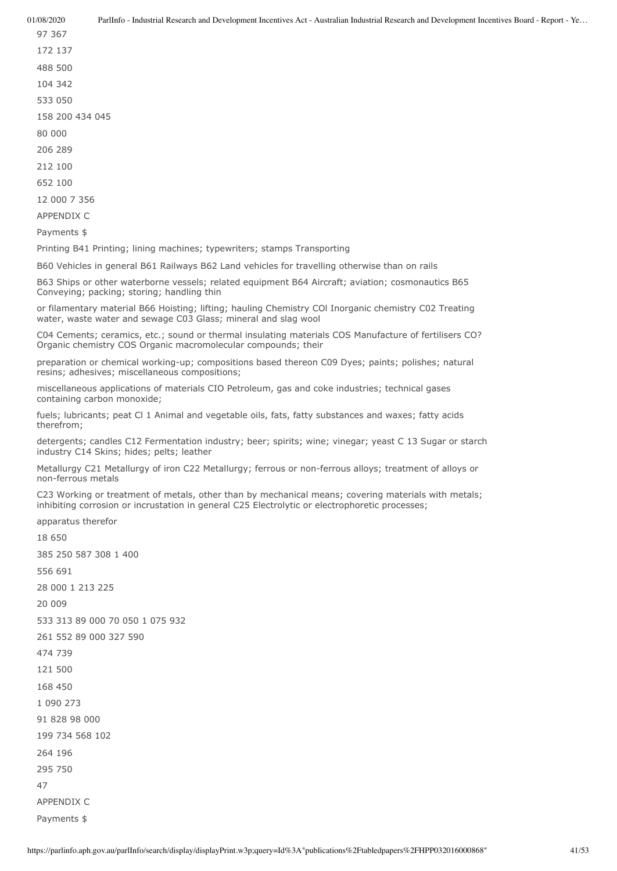12 000 7 356

APPENDIX C

Payments \$

Printing B41 Printing; lining machines; typewriters; stamps Transporting

B60 Vehicles in general B61 Railways B62 Land vehicles for travelling otherwise than on rails

B63 Ships or other waterborne vessels; related equipment B64 Aircraft; aviation; cosmonautics B65 Conveying; packing; storing; handling thin

or filamentary material B66 Hoisting; lifting; hauling Chemistry COl Inorganic chemistry C02 Treating water, waste water and sewage C03 Glass; mineral and slag wool

C04 Cements; ceramics, etc.; sound or thermal insulating materials COS Manufacture of fertilisers CO? Organic chemistry COS Organic macromolecular compounds; their

preparation or chemical working-up; compositions based thereon C09 Dyes; paints; polishes; natural resins; adhesives; miscellaneous compositions;

miscellaneous applications of materials CIO Petroleum, gas and coke industries; technical gases containing carbon monoxide;

fuels; lubricants; peat Cl 1 Animal and vegetable oils, fats, fatty substances and waxes; fatty acids therefrom;

detergents; candles C12 Fermentation industry; beer; spirits; wine; vinegar; yeast C 13 Sugar or starch industry C14 Skins; hides; pelts; leather

Metallurgy C21 Metallurgy of iron C22 Metallurgy; ferrous or non-ferrous alloys; treatment of alloys or non-ferrous metals

C23 Working or treatment of metals, other than by mechanical means; covering materials with metals; inhibiting corrosion or incrustation in general C25 Electrolytic or electrophoretic processes;

47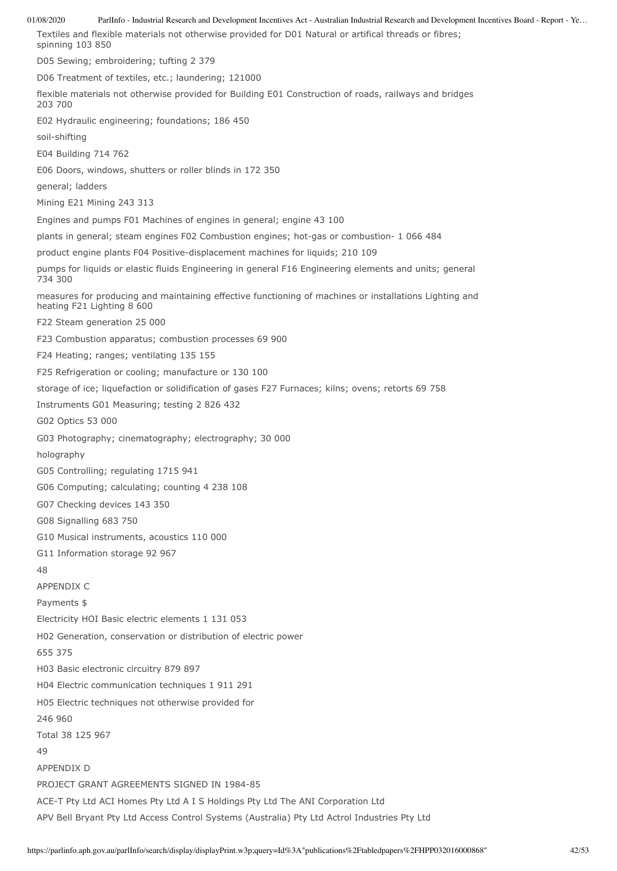01/08/2020 ParlInfo - Industrial Research and Development Incentives Act - Australian Industrial Research and Development Incentives Board - Report - Ye… Textiles and flexible materials not otherwise provided for D01 Natural or artifical threads or fibres; spinning 103 850 D05 Sewing; embroidering; tufting 2 379 D06 Treatment of textiles, etc.; laundering; 121000 flexible materials not otherwise provided for Building E01 Construction of roads, railways and bridges 203 700 E02 Hydraulic engineering; foundations; 186 450 soil-shifting E04 Building 714 762 E06 Doors, windows, shutters or roller blinds in 172 350 general; ladders Mining E21 Mining 243 313 Engines and pumps F01 Machines of engines in general; engine 43 100 plants in general; steam engines F02 Combustion engines; hot-gas or combustion- 1 066 484 product engine plants F04 Positive-displacement machines for liquids; 210 109 pumps for liquids or elastic fluids Engineering in general F16 Engineering elements and units; general 734 300 measures for producing and maintaining effective functioning of machines or installations Lighting and heating F21 Lighting 8 600 F22 Steam generation 25 000 F23 Combustion apparatus; combustion processes 69 900 F24 Heating; ranges; ventilating 135 155 F25 Refrigeration or cooling; manufacture or 130 100 storage of ice; liquefaction or solidification of gases F27 Furnaces; kilns; ovens; retorts 69 758 Instruments G01 Measuring; testing 2 826 432 G02 Optics 53 000 G03 Photography; cinematography; electrography; 30 000 holography G05 Controlling; regulating 1715 941 G06 Computing; calculating; counting 4 238 108 G07 Checking devices 143 350 G08 Signalling 683 750 G10 Musical instruments, acoustics 110 000 G11 Information storage 92 967 48 APPENDIX C Payments \$ Electricity HOI Basic electric elements 1 131 053 H02 Generation, conservation or distribution of electric power 655 375 H03 Basic electronic circuitry 879 897 H04 Electric communication techniques 1 911 291 H05 Electric techniques not otherwise provided for 246 960 Total 38 125 967 49 APPENDIX D PROJECT GRANT AGREEMENTS SIGNED IN 1984-85 ACE-T Pty Ltd ACI Homes Pty Ltd A I S Holdings Pty Ltd The ANI Corporation Ltd APV Bell Bryant Pty Ltd Access Control Systems (Australia) Pty Ltd Actrol Industries Pty Ltd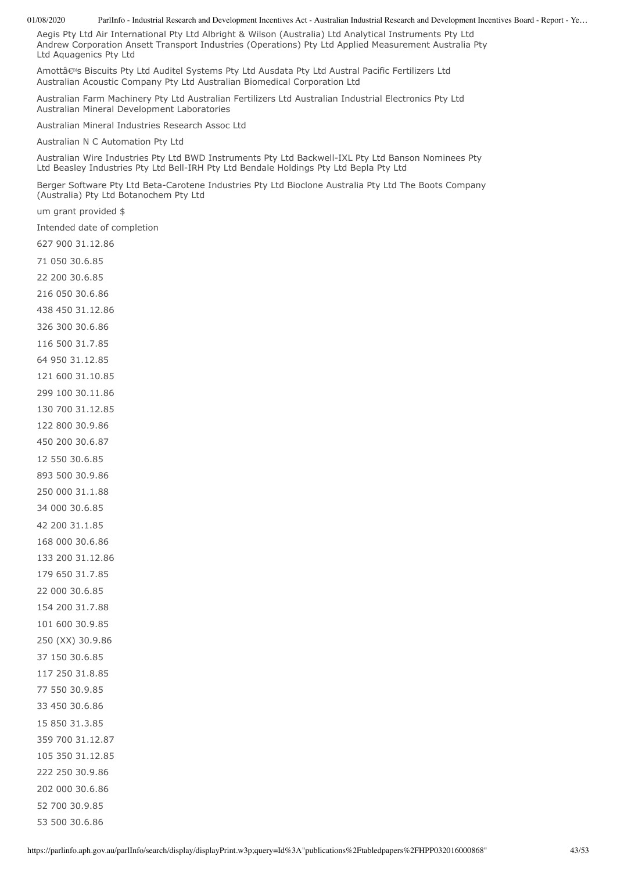Aegis Pty Ltd Air International Pty Ltd Albright & Wilson (Australia) Ltd Analytical Instruments Pty Ltd Andrew Corporation Ansett Transport Industries (Operations) Pty Ltd Applied Measurement Australia Pty Ltd Aquagenics Pty Ltd

Amottâs Biscuits Pty Ltd Auditel Systems Pty Ltd Ausdata Pty Ltd Austral Pacific Fertilizers Ltd Australian Acoustic Company Pty Ltd Australian Biomedical Corporation Ltd

Australian Farm Machinery Pty Ltd Australian Fertilizers Ltd Australian Industrial Electronics Pty Ltd Australian Mineral Development Laboratories

Australian Mineral Industries Research Assoc Ltd

Australian N C Automation Pty Ltd

Australian Wire Industries Pty Ltd BWD Instruments Pty Ltd Backwell-IXL Pty Ltd Banson Nominees Pty Ltd Beasley Industries Pty Ltd Bell-IRH Pty Ltd Bendale Holdings Pty Ltd Bepla Pty Ltd

Berger Software Pty Ltd Beta-Carotene Industries Pty Ltd Bioclone Australia Pty Ltd The Boots Company (Australia) Pty Ltd Botanochem Pty Ltd

um grant provided \$

Intended date of completion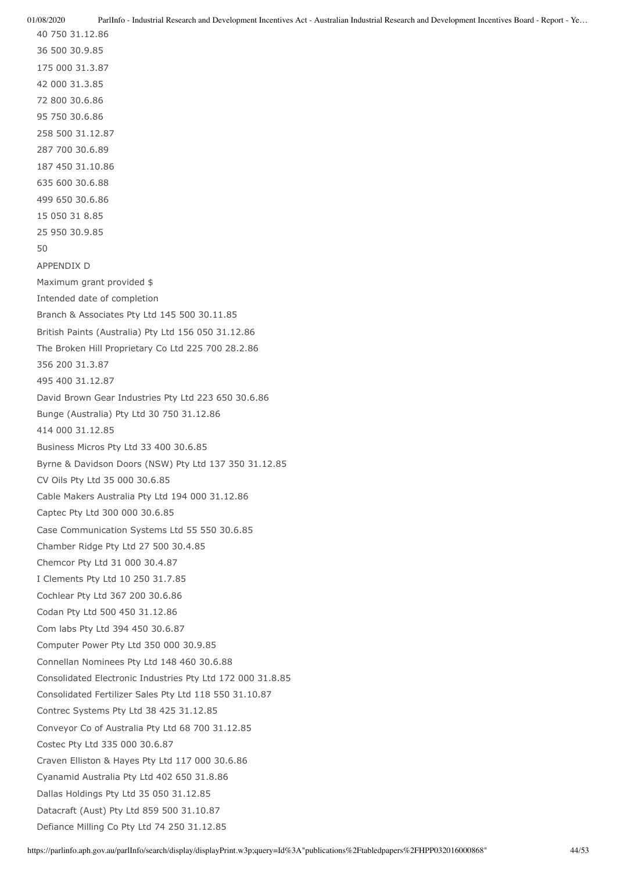40 750 31.12.86 36 500 30.9.85 175 000 31.3.87 42 000 31.3.85 72 800 30.6.86 95 750 30.6.86 258 500 31.12.87 287 700 30.6.89 187 450 31.10.86 635 600 30.6.88 499 650 30.6.86 15 050 31 8.85 25 950 30.9.85 50 APPENDIX D Maximum grant provided \$ Intended date of completion Branch & Associates Pty Ltd 145 500 30.11.85 British Paints (Australia) Pty Ltd 156 050 31.12.86 The Broken Hill Proprietary Co Ltd 225 700 28.2.86 356 200 31.3.87 495 400 31.12.87 David Brown Gear Industries Pty Ltd 223 650 30.6.86 Bunge (Australia) Pty Ltd 30 750 31.12.86 414 000 31.12.85 Business Micros Pty Ltd 33 400 30.6.85 Byrne & Davidson Doors (NSW) Pty Ltd 137 350 31.12.85 CV Oils Pty Ltd 35 000 30.6.85 Cable Makers Australia Pty Ltd 194 000 31.12.86 Captec Pty Ltd 300 000 30.6.85 Case Communication Systems Ltd 55 550 30.6.85 Chamber Ridge Pty Ltd 27 500 30.4.85 Chemcor Pty Ltd 31 000 30.4.87 I Clements Pty Ltd 10 250 31.7.85 Cochlear Pty Ltd 367 200 30.6.86 Codan Pty Ltd 500 450 31.12.86 Com labs Pty Ltd 394 450 30.6.87 Computer Power Pty Ltd 350 000 30.9.85 Connellan Nominees Pty Ltd 148 460 30.6.88 Consolidated Electronic Industries Pty Ltd 172 000 31.8.85 Consolidated Fertilizer Sales Pty Ltd 118 550 31.10.87 Contrec Systems Pty Ltd 38 425 31.12.85 Conveyor Co of Australia Pty Ltd 68 700 31.12.85 Costec Pty Ltd 335 000 30.6.87 Craven Elliston & Hayes Pty Ltd 117 000 30.6.86 Cyanamid Australia Pty Ltd 402 650 31.8.86 Dallas Holdings Pty Ltd 35 050 31.12.85 Datacraft (Aust) Pty Ltd 859 500 31.10.87 Defiance Milling Co Pty Ltd 74 250 31.12.85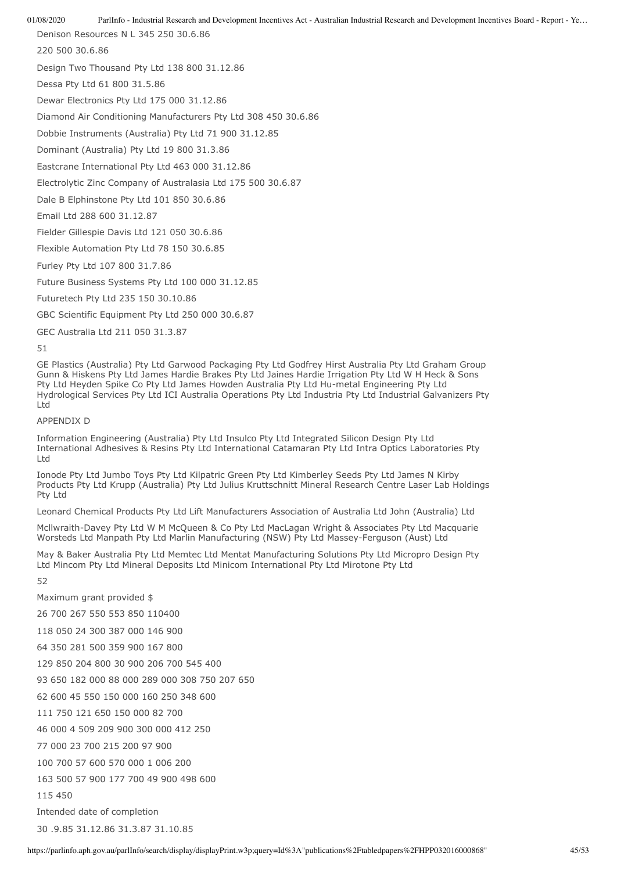Denison Resources N L 345 250 30.6.86

220 500 30.6.86

Design Two Thousand Pty Ltd 138 800 31.12.86

Dessa Pty Ltd 61 800 31.5.86

Dewar Electronics Pty Ltd 175 000 31.12.86

Diamond Air Conditioning Manufacturers Pty Ltd 308 450 30.6.86

Dobbie Instruments (Australia) Pty Ltd 71 900 31.12.85

Dominant (Australia) Pty Ltd 19 800 31.3.86

Eastcrane International Pty Ltd 463 000 31.12.86

Electrolytic Zinc Company of Australasia Ltd 175 500 30.6.87

Dale B Elphinstone Pty Ltd 101 850 30.6.86

Email Ltd 288 600 31.12.87

Fielder Gillespie Davis Ltd 121 050 30.6.86

Flexible Automation Pty Ltd 78 150 30.6.85

Furley Pty Ltd 107 800 31.7.86

Future Business Systems Pty Ltd 100 000 31.12.85

Futuretech Pty Ltd 235 150 30.10.86

GBC Scientific Equipment Pty Ltd 250 000 30.6.87

GEC Australia Ltd 211 050 31.3.87

51

GE Plastics (Australia) Pty Ltd Garwood Packaging Pty Ltd Godfrey Hirst Australia Pty Ltd Graham Group Gunn & Hiskens Pty Ltd James Hardie Brakes Pty Ltd Jaines Hardie Irrigation Pty Ltd W H Heck & Sons Pty Ltd Heyden Spike Co Pty Ltd James Howden Australia Pty Ltd Hu-metal Engineering Pty Ltd Hydrological Services Pty Ltd ICI Australia Operations Pty Ltd Industria Pty Ltd Industrial Galvanizers Pty Ltd

### APPENDIX D

Information Engineering (Australia) Pty Ltd Insulco Pty Ltd Integrated Silicon Design Pty Ltd International Adhesives & Resins Pty Ltd International Catamaran Pty Ltd Intra Optics Laboratories Pty Ltd

Ionode Pty Ltd Jumbo Toys Pty Ltd Kilpatric Green Pty Ltd Kimberley Seeds Pty Ltd James N Kirby Products Pty Ltd Krupp (Australia) Pty Ltd Julius Kruttschnitt Mineral Research Centre Laser Lab Holdings Pty Ltd

Leonard Chemical Products Pty Ltd Lift Manufacturers Association of Australia Ltd John (Australia) Ltd

Mcllwraith-Davey Pty Ltd W M McQueen & Co Pty Ltd MacLagan Wright & Associates Pty Ltd Macquarie Worsteds Ltd Manpath Pty Ltd Marlin Manufacturing (NSW) Pty Ltd Massey-Ferguson (Aust) Ltd

May & Baker Australia Pty Ltd Memtec Ltd Mentat Manufacturing Solutions Pty Ltd Micropro Design Pty Ltd Mincom Pty Ltd Mineral Deposits Ltd Minicom International Pty Ltd Mirotone Pty Ltd

52

Maximum grant provided \$

26 700 267 550 553 850 110400

118 050 24 300 387 000 146 900

64 350 281 500 359 900 167 800

129 850 204 800 30 900 206 700 545 400

93 650 182 000 88 000 289 000 308 750 207 650

62 600 45 550 150 000 160 250 348 600

111 750 121 650 150 000 82 700

46 000 4 509 209 900 300 000 412 250

77 000 23 700 215 200 97 900

100 700 57 600 570 000 1 006 200

163 500 57 900 177 700 49 900 498 600

115 450

Intended date of completion

30 .9.85 31.12.86 31.3.87 31.10.85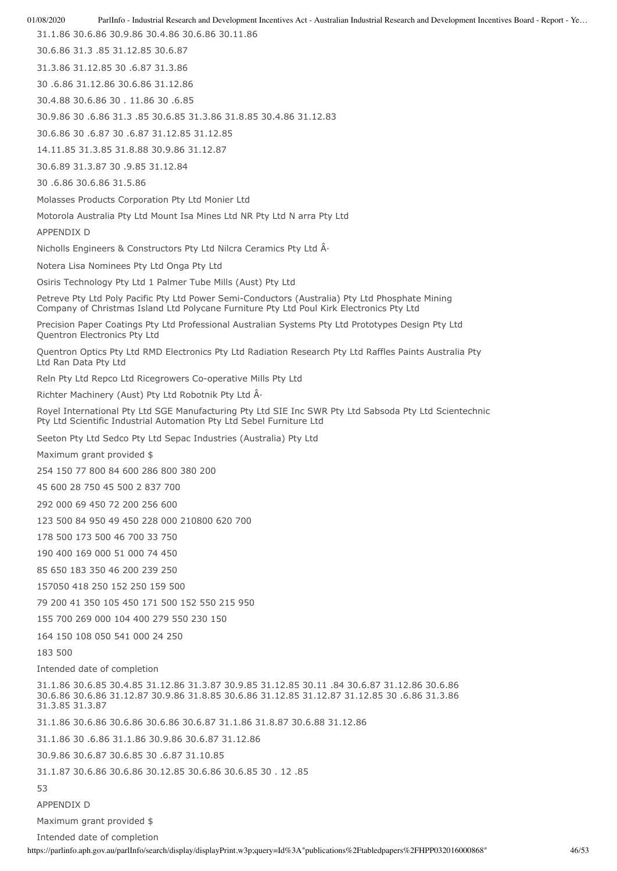01/08/2020 ParlInfo - Industrial Research and Development Incentives Act - Australian Industrial Research and Development Incentives Board - Report - Ye… 31.1.86 30.6.86 30.9.86 30.4.86 30.6.86 30.11.86 30.6.86 31.3 .85 31.12.85 30.6.87 31.3.86 31.12.85 30 .6.87 31.3.86 30 .6.86 31.12.86 30.6.86 31.12.86 30.4.88 30.6.86 30 . 11.86 30 .6.85 30.9.86 30 .6.86 31.3 .85 30.6.85 31.3.86 31.8.85 30.4.86 31.12.83 30.6.86 30 .6.87 30 .6.87 31.12.85 31.12.85 14.11.85 31.3.85 31.8.88 30.9.86 31.12.87 30.6.89 31.3.87 30 .9.85 31.12.84 30 .6.86 30.6.86 31.5.86 Molasses Products Corporation Pty Ltd Monier Ltd Motorola Australia Pty Ltd Mount Isa Mines Ltd NR Pty Ltd N arra Pty Ltd APPENDIX D Nicholls Engineers & Constructors Pty Ltd Nilcra Ceramics Pty Ltd  $\hat{A}$ . Notera Lisa Nominees Pty Ltd Onga Pty Ltd Osiris Technology Pty Ltd 1 Palmer Tube Mills (Aust) Pty Ltd Petreve Pty Ltd Poly Pacific Pty Ltd Power Semi-Conductors (Australia) Pty Ltd Phosphate Mining Company of Christmas Island Ltd Polycane Furniture Pty Ltd Poul Kirk Electronics Pty Ltd Precision Paper Coatings Pty Ltd Professional Australian Systems Pty Ltd Prototypes Design Pty Ltd Quentron Electronics Pty Ltd Quentron Optics Pty Ltd RMD Electronics Pty Ltd Radiation Research Pty Ltd Raffles Paints Australia Pty Ltd Ran Data Pty Ltd Reln Pty Ltd Repco Ltd Ricegrowers Co-operative Mills Pty Ltd Richter Machinery (Aust) Pty Ltd Robotnik Pty Ltd  $\hat{A}$ . Royel International Pty Ltd SGE Manufacturing Pty Ltd SIE Inc SWR Pty Ltd Sabsoda Pty Ltd Scientechnic Pty Ltd Scientific Industrial Automation Pty Ltd Sebel Furniture Ltd Seeton Pty Ltd Sedco Pty Ltd Sepac Industries (Australia) Pty Ltd Maximum grant provided \$ 254 150 77 800 84 600 286 800 380 200 45 600 28 750 45 500 2 837 700 292 000 69 450 72 200 256 600 123 500 84 950 49 450 228 000 210800 620 700 178 500 173 500 46 700 33 750 190 400 169 000 51 000 74 450 85 650 183 350 46 200 239 250 157050 418 250 152 250 159 500 79 200 41 350 105 450 171 500 152 550 215 950 155 700 269 000 104 400 279 550 230 150 164 150 108 050 541 000 24 250 183 500 Intended date of completion 31.1.86 30.6.85 30.4.85 31.12.86 31.3.87 30.9.85 31.12.85 30.11 .84 30.6.87 31.12.86 30.6.86 30.6.86 30.6.86 31.12.87 30.9.86 31.8.85 30.6.86 31.12.85 31.12.87 31.12.85 30 .6.86 31.3.86 31.3.85 31.3.87 31.1.86 30.6.86 30.6.86 30.6.86 30.6.87 31.1.86 31.8.87 30.6.88 31.12.86 31.1.86 30 .6.86 31.1.86 30.9.86 30.6.87 31.12.86 30.9.86 30.6.87 30.6.85 30 .6.87 31.10.85 31.1.87 30.6.86 30.6.86 30.12.85 30.6.86 30.6.85 30 . 12 .85 53 APPENDIX D

Maximum grant provided \$

Intended date of completion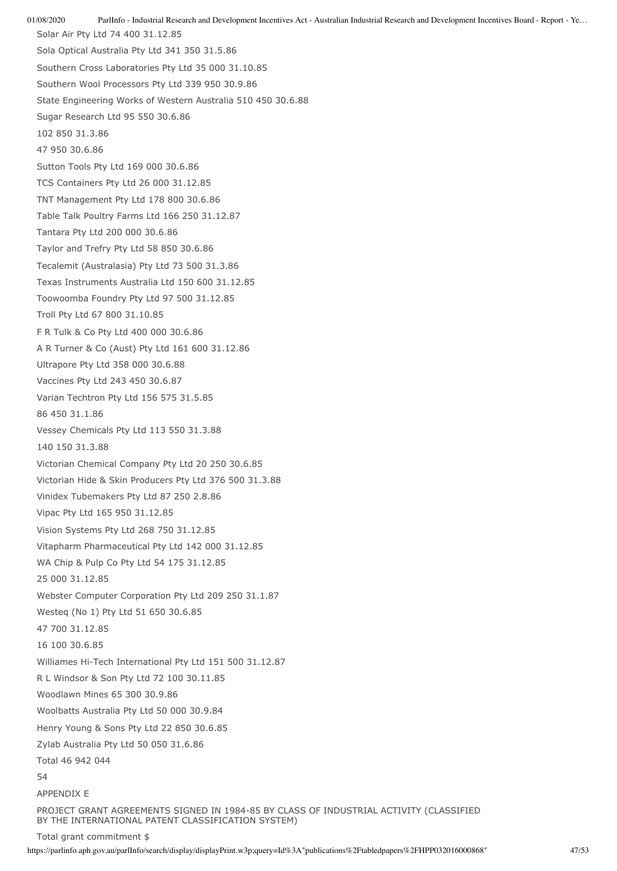01/08/2020 ParlInfo - Industrial Research and Development Incentives Act - Australian Industrial Research and Development Incentives Board - Report - Ye… Solar Air Pty Ltd 74 400 31.12.85 Sola Optical Australia Pty Ltd 341 350 31.5.86 Southern Cross Laboratories Pty Ltd 35 000 31.10.85 Southern Wool Processors Pty Ltd 339 950 30.9.86 State Engineering Works of Western Australia 510 450 30.6.88 Sugar Research Ltd 95 550 30.6.86 102 850 31.3.86 47 950 30.6.86 Sutton Tools Pty Ltd 169 000 30.6.86 TCS Containers Pty Ltd 26 000 31.12.85 TNT Management Pty Ltd 178 800 30.6.86 Table Talk Poultry Farms Ltd 166 250 31.12.87 Tantara Pty Ltd 200 000 30.6.86 Taylor and Trefry Pty Ltd 58 850 30.6.86 Tecalemit (Australasia) Pty Ltd 73 500 31.3.86 Texas Instruments Australia Ltd 150 600 31.12.85 Toowoomba Foundry Pty Ltd 97 500 31.12.85 Troll Pty Ltd 67 800 31.10.85 F R Tulk & Co Pty Ltd 400 000 30.6.86 A R Turner & Co (Aust) Pty Ltd 161 600 31.12.86 Ultrapore Pty Ltd 358 000 30.6.88 Vaccines Pty Ltd 243 450 30.6.87 Varian Techtron Pty Ltd 156 575 31.5.85 86 450 31.1.86 Vessey Chemicals Pty Ltd 113 550 31.3.88 140 150 31.3.88 Victorian Chemical Company Pty Ltd 20 250 30.6.85 Victorian Hide & Skin Producers Pty Ltd 376 500 31.3.88 Vinidex Tubemakers Pty Ltd 87 250 2.8.86 Vipac Pty Ltd 165 950 31.12.85 Vision Systems Pty Ltd 268 750 31.12.85 Vitapharm Pharmaceutical Pty Ltd 142 000 31.12.85 WA Chip & Pulp Co Pty Ltd 54 175 31.12.85 25 000 31.12.85 Webster Computer Corporation Pty Ltd 209 250 31.1.87 Westeq (No 1) Pty Ltd 51 650 30.6.85 47 700 31.12.85 16 100 30.6.85 Williames Hi-Tech International Pty Ltd 151 500 31.12.87 R L Windsor & Son Pty Ltd 72 100 30.11.85 Woodlawn Mines 65 300 30.9.86 Woolbatts Australia Pty Ltd 50 000 30.9.84 Henry Young & Sons Pty Ltd 22 850 30.6.85 Zylab Australia Pty Ltd 50 050 31.6.86 Total 46 942 044 54 APPENDIX E PROJECT GRANT AGREEMENTS SIGNED IN 1984-85 BY CLASS OF INDUSTRIAL ACTIVITY (CLASSIFIED BY THE INTERNATIONAL PATENT CLASSIFICATION SYSTEM)

Total grant commitment \$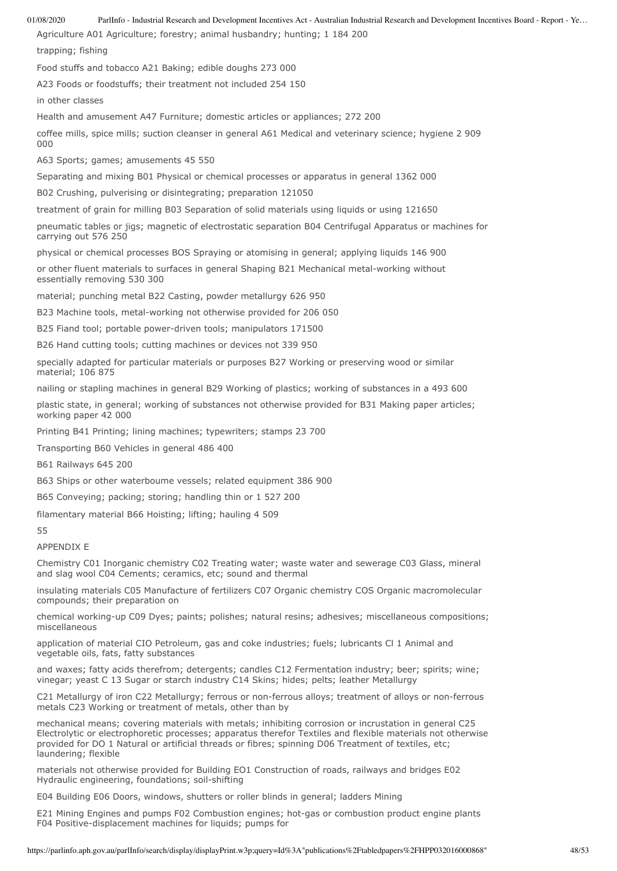Agriculture A01 Agriculture; forestry; animal husbandry; hunting; 1 184 200

trapping; fishing

Food stuffs and tobacco A21 Baking; edible doughs 273 000

A23 Foods or foodstuffs; their treatment not included 254 150

in other classes

Health and amusement A47 Furniture; domestic articles or appliances; 272 200

coffee mills, spice mills; suction cleanser in general A61 Medical and veterinary science; hygiene 2 909  $000$ 

A63 Sports; games; amusements 45 550

Separating and mixing B01 Physical or chemical processes or apparatus in general 1362 000

B02 Crushing, pulverising or disintegrating; preparation 121050

treatment of grain for milling B03 Separation of solid materials using liquids or using 121650

pneumatic tables or jigs; magnetic of electrostatic separation B04 Centrifugal Apparatus or machines for carrying out 576 250

physical or chemical processes BOS Spraying or atomising in general; applying liquids 146 900

or other fluent materials to surfaces in general Shaping B21 Mechanical metal-working without essentially removing 530 300

material; punching metal B22 Casting, powder metallurgy 626 950

B23 Machine tools, metal-working not otherwise provided for 206 050

B25 Fiand tool; portable power-driven tools; manipulators 171500

B26 Hand cutting tools; cutting machines or devices not 339 950

specially adapted for particular materials or purposes B27 Working or preserving wood or similar material; 106 875

nailing or stapling machines in general B29 Working of plastics; working of substances in a 493 600

plastic state, in general; working of substances not otherwise provided for B31 Making paper articles; working paper 42 000

Printing B41 Printing; lining machines; typewriters; stamps 23 700

Transporting B60 Vehicles in general 486 400

B61 Railways 645 200

B63 Ships or other waterboume vessels; related equipment 386 900

B65 Conveying; packing; storing; handling thin or 1 527 200

filamentary material B66 Hoisting; lifting; hauling 4 509

55

APPENDIX E

Chemistry C01 Inorganic chemistry C02 Treating water; waste water and sewerage C03 Glass, mineral and slag wool C04 Cements; ceramics, etc; sound and thermal

insulating materials C05 Manufacture of fertilizers C07 Organic chemistry COS Organic macromolecular compounds; their preparation on

chemical working-up C09 Dyes; paints; polishes; natural resins; adhesives; miscellaneous compositions; miscellaneous

application of material CIO Petroleum, gas and coke industries; fuels; lubricants Cl 1 Animal and vegetable oils, fats, fatty substances

and waxes; fatty acids therefrom; detergents; candles C12 Fermentation industry; beer; spirits; wine; vinegar; yeast C 13 Sugar or starch industry C14 Skins; hides; pelts; leather Metallurgy

C21 Metallurgy of iron C22 Metallurgy; ferrous or non-ferrous alloys; treatment of alloys or non-ferrous metals C23 Working or treatment of metals, other than by

mechanical means; covering materials with metals; inhibiting corrosion or incrustation in general C25 Electrolytic or electrophoretic processes; apparatus therefor Textiles and flexible materials not otherwise provided for DO 1 Natural or artificial threads or fibres; spinning D06 Treatment of textiles, etc; laundering; flexible

materials not otherwise provided for Building EO1 Construction of roads, railways and bridges E02 Hydraulic engineering, foundations; soil-shifting

E04 Building E06 Doors, windows, shutters or roller blinds in general; ladders Mining

E21 Mining Engines and pumps F02 Combustion engines; hot-gas or combustion product engine plants F04 Positive-displacement machines for liquids; pumps for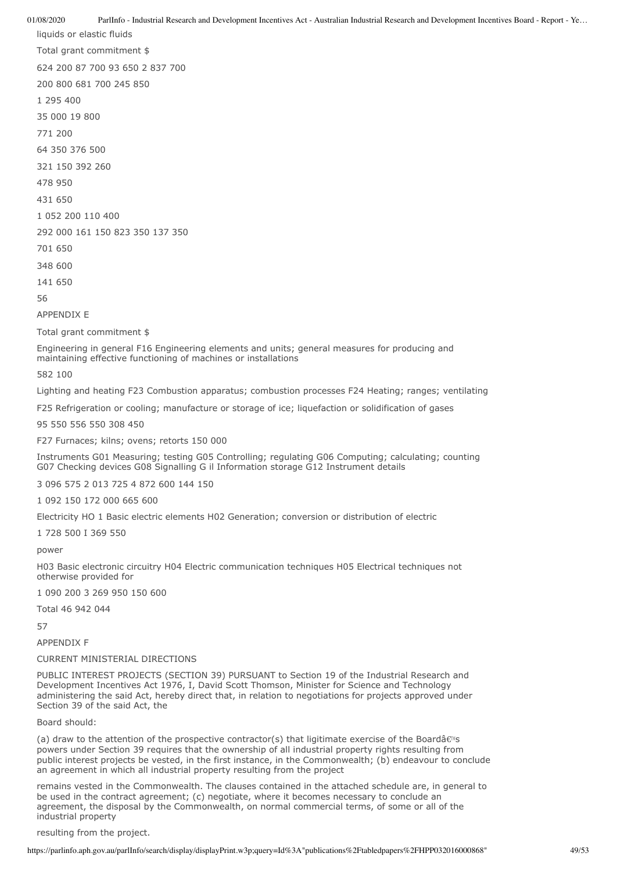liquids or elastic fluids Total grant commitment \$ 624 200 87 700 93 650 2 837 700 200 800 681 700 245 850 1 295 400 35 000 19 800 771 200 64 350 376 500 321 150 392 260 478 950 431 650 1 052 200 110 400 292 000 161 150 823 350 137 350 701 650 348 600 141 650 56 APPENDIX E

Total grant commitment \$

Engineering in general F16 Engineering elements and units; general measures for producing and maintaining effective functioning of machines or installations

582 100

Lighting and heating F23 Combustion apparatus; combustion processes F24 Heating; ranges; ventilating

F25 Refrigeration or cooling; manufacture or storage of ice; liquefaction or solidification of gases

95 550 556 550 308 450

F27 Furnaces; kilns; ovens; retorts 150 000

Instruments G01 Measuring; testing G05 Controlling; regulating G06 Computing; calculating; counting G07 Checking devices G08 Signalling G il Information storage G12 Instrument details

3 096 575 2 013 725 4 872 600 144 150

1 092 150 172 000 665 600

Electricity HO 1 Basic electric elements H02 Generation; conversion or distribution of electric

1 728 500 I 369 550

power

H03 Basic electronic circuitry H04 Electric communication techniques H05 Electrical techniques not otherwise provided for

1 090 200 3 269 950 150 600

Total 46 942 044

57

APPENDIX F

#### CURRENT MINISTERIAL DIRECTIONS

PUBLIC INTEREST PROJECTS (SECTION 39) PURSUANT to Section 19 of the Industrial Research and Development Incentives Act 1976, I, David Scott Thomson, Minister for Science and Technology administering the said Act, hereby direct that, in relation to negotiations for projects approved under Section 39 of the said Act, the

Board should:

(a) draw to the attention of the prospective contractor(s) that ligitimate exercise of the Boardâ $\epsilon \approx$ powers under Section 39 requires that the ownership of all industrial property rights resulting from public interest projects be vested, in the first instance, in the Commonwealth; (b) endeavour to conclude an agreement in which all industrial property resulting from the project

remains vested in the Commonwealth. The clauses contained in the attached schedule are, in general to be used in the contract agreement; (c) negotiate, where it becomes necessary to conclude an agreement, the disposal by the Commonwealth, on normal commercial terms, of some or all of the industrial property

resulting from the project.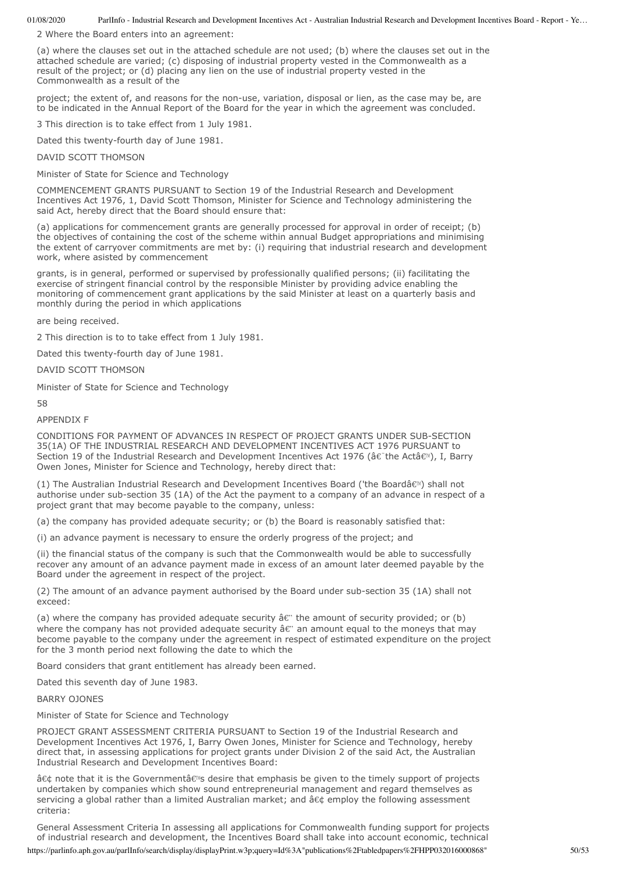2 Where the Board enters into an agreement:

(a) where the clauses set out in the attached schedule are not used; (b) where the clauses set out in the attached schedule are varied; (c) disposing of industrial property vested in the Commonwealth as a result of the project; or (d) placing any lien on the use of industrial property vested in the Commonwealth as a result of the

project; the extent of, and reasons for the non-use, variation, disposal or lien, as the case may be, are to be indicated in the Annual Report of the Board for the year in which the agreement was concluded.

3 This direction is to take effect from 1 July 1981.

Dated this twenty-fourth day of June 1981.

DAVID SCOTT THOMSON

Minister of State for Science and Technology

COMMENCEMENT GRANTS PURSUANT to Section 19 of the Industrial Research and Development Incentives Act 1976, 1, David Scott Thomson, Minister for Science and Technology administering the said Act, hereby direct that the Board should ensure that:

(a) applications for commencement grants are generally processed for approval in order of receipt; (b) the objectives of containing the cost of the scheme within annual Budget appropriations and minimising the extent of carryover commitments are met by: (i) requiring that industrial research and development work, where asisted by commencement

grants, is in general, performed or supervised by professionally qualified persons; (ii) facilitating the exercise of stringent financial control by the responsible Minister by providing advice enabling the monitoring of commencement grant applications by the said Minister at least on a quarterly basis and monthly during the period in which applications

are being received.

2 This direction is to to take effect from 1 July 1981.

Dated this twenty-fourth day of June 1981.

DAVID SCOTT THOMSON

Minister of State for Science and Technology

58

APPENDIX F

CONDITIONS FOR PAYMENT OF ADVANCES IN RESPECT OF PROJECT GRANTS UNDER SUB-SECTION 35(1A) OF THE INDUSTRIAL RESEARCH AND DEVELOPMENT INCENTIVES ACT 1976 PURSUANT to Section 19 of the Industrial Research and Development Incentives Act 1976 (â $\varepsilon$  the Actâ $\varepsilon$ <sup>m</sup>), I, Barry Owen Jones, Minister for Science and Technology, hereby direct that:

(1) The Australian Industrial Research and Development Incentives Board ('the Boardâ $\epsilon^{m}$ ) shall not authorise under sub-section 35 (1A) of the Act the payment to a company of an advance in respect of a project grant that may become payable to the company, unless:

(a) the company has provided adequate security; or (b) the Board is reasonably satisfied that:

(i) an advance payment is necessary to ensure the orderly progress of the project; and

(ii) the financial status of the company is such that the Commonwealth would be able to successfully recover any amount of an advance payment made in excess of an amount later deemed payable by the Board under the agreement in respect of the project.

(2) The amount of an advance payment authorised by the Board under sub-section 35 (1A) shall not exceed:

(a) where the company has provided adequate security  $\hat{a} \in \mathbb{C}$  the amount of security provided; or (b) where the company has not provided adequate security  $\hat{a} \hat{\epsilon}$ " an amount equal to the moneys that may become payable to the company under the agreement in respect of estimated expenditure on the project for the 3 month period next following the date to which the

Board considers that grant entitlement has already been earned.

Dated this seventh day of June 1983.

### BARRY OJONES

Minister of State for Science and Technology

PROJECT GRANT ASSESSMENT CRITERIA PURSUANT to Section 19 of the Industrial Research and Development Incentives Act 1976, I, Barry Owen Jones, Minister for Science and Technology, hereby direct that, in assessing applications for project grants under Division 2 of the said Act, the Australian Industrial Research and Development Incentives Board:

• note that it is the Governmentâ€<sup>®</sup>s desire that emphasis be given to the timely support of projects undertaken by companies which show sound entrepreneurial management and regard themselves as servicing a global rather than a limited Australian market; and • employ the following assessment criteria:

General Assessment Criteria In assessing all applications for Commonwealth funding support for projects of industrial research and development, the Incentives Board shall take into account economic, technical

https://parlinfo.aph.gov.au/parlInfo/search/display/displayPrint.w3p;query=Id%3A"publications%2Ftabledpapers%2FHPP032016000868" 50/53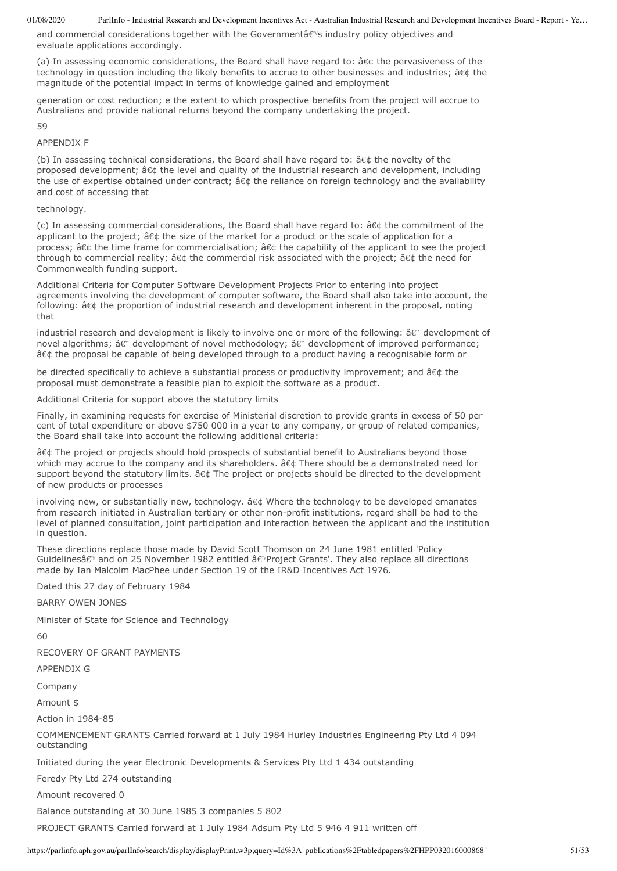and commercial considerations together with the Governmentâ $\epsilon$ <sup>N</sup>s industry policy objectives and evaluate applications accordingly.

(a) In assessing economic considerations, the Board shall have regard to:  $\hat{a} \in \hat{a}$  the pervasiveness of the technology in question including the likely benefits to accrue to other businesses and industries; • the magnitude of the potential impact in terms of knowledge gained and employment

generation or cost reduction; e the extent to which prospective benefits from the project will accrue to Australians and provide national returns beyond the company undertaking the project.

59

# APPENDIX F

(b) In assessing technical considerations, the Board shall have regard to:  $•$  the novelty of the proposed development; • the level and quality of the industrial research and development, including the use of expertise obtained under contract;  $\hat{a} \in \hat{b}$  the reliance on foreign technology and the availability and cost of accessing that

# technology.

(c) In assessing commercial considerations, the Board shall have regard to:  $•$  the commitment of the applicant to the project;  $\hat{a} \in \xi$  the size of the market for a product or the scale of application for a process;  $\hat{a}\in \mathcal{C}$  the time frame for commercialisation;  $\hat{a}\in \mathcal{C}$  the capability of the applicant to see the project through to commercial reality;  $\hat{a}\in\mathcal{L}$  the commercial risk associated with the project;  $\hat{a}\in\mathcal{L}$  the need for Commonwealth funding support.

Additional Criteria for Computer Software Development Projects Prior to entering into project agreements involving the development of computer software, the Board shall also take into account, the following: â¢ the proportion of industrial research and development inherent in the proposal, noting that

industrial research and development is likely to involve one or more of the following:  $\hat{a} \in \mathbb{C}$  development of novel algorithms; â $\varepsilon$ " development of novel methodology; â $\varepsilon$ " development of improved performance; • the proposal be capable of being developed through to a product having a recognisable form or

be directed specifically to achieve a substantial process or productivity improvement; and  $\hat{a} \in \hat{\alpha}$  the proposal must demonstrate a feasible plan to exploit the software as a product.

Additional Criteria for support above the statutory limits

Finally, in examining requests for exercise of Ministerial discretion to provide grants in excess of 50 per cent of total expenditure or above \$750 000 in a year to any company, or group of related companies, the Board shall take into account the following additional criteria:

â¢ The project or projects should hold prospects of substantial benefit to Australians beyond those which may accrue to the company and its shareholders. • There should be a demonstrated need for support beyond the statutory limits.  $•$  The project or projects should be directed to the development of new products or processes

involving new, or substantially new, technology. • Where the technology to be developed emanates from research initiated in Australian tertiary or other non-profit institutions, regard shall be had to the level of planned consultation, joint participation and interaction between the applicant and the institution in question.

These directions replace those made by David Scott Thomson on 24 June 1981 entitled 'Policy Guidelinesâ em and on 25 November 1982 entitled â em Project Grants'. They also replace all directions made by Ian Malcolm MacPhee under Section 19 of the IR&D Incentives Act 1976.

Dated this 27 day of February 1984

# BARRY OWEN JONES

Minister of State for Science and Technology

 $60$ 

RECOVERY OF GRANT PAYMENTS

APPENDIX G

Company

Amount \$

Action in 1984-85

COMMENCEMENT GRANTS Carried forward at 1 July 1984 Hurley Industries Engineering Pty Ltd 4 094 outstanding

Initiated during the year Electronic Developments & Services Pty Ltd 1 434 outstanding

Feredy Pty Ltd 274 outstanding

Amount recovered 0

Balance outstanding at 30 June 1985 3 companies 5 802

PROJECT GRANTS Carried forward at 1 July 1984 Adsum Pty Ltd 5 946 4 911 written off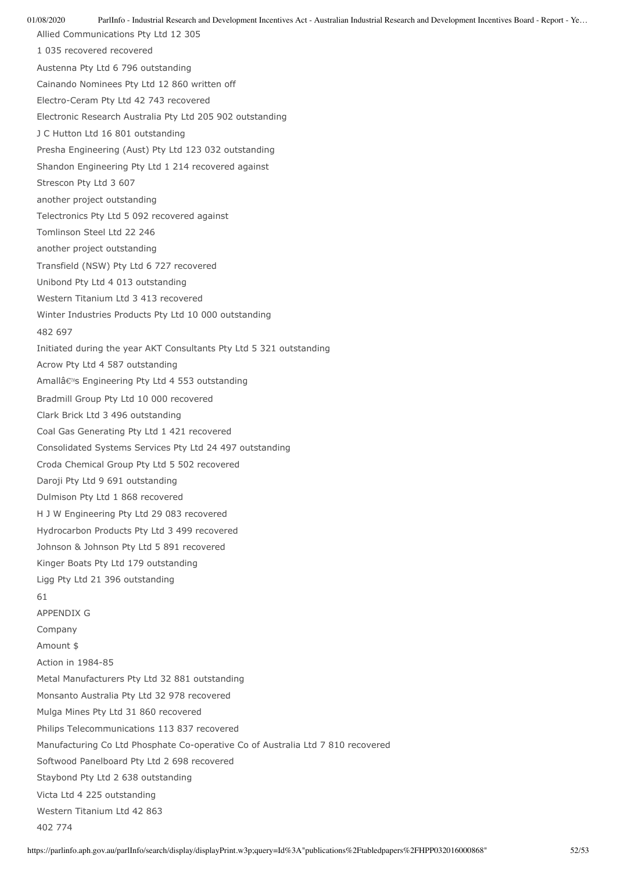Allied Communications Pty Ltd 12 305 1 035 recovered recovered Austenna Pty Ltd 6 796 outstanding Cainando Nominees Pty Ltd 12 860 written off Electro-Ceram Pty Ltd 42 743 recovered Electronic Research Australia Pty Ltd 205 902 outstanding J C Hutton Ltd 16 801 outstanding Presha Engineering (Aust) Pty Ltd 123 032 outstanding Shandon Engineering Pty Ltd 1 214 recovered against Strescon Pty Ltd 3 607 another project outstanding Telectronics Pty Ltd 5 092 recovered against Tomlinson Steel Ltd 22 246 another project outstanding Transfield (NSW) Pty Ltd 6 727 recovered Unibond Pty Ltd 4 013 outstanding Western Titanium Ltd 3 413 recovered Winter Industries Products Pty Ltd 10 000 outstanding 482 697 Initiated during the year AKT Consultants Pty Ltd 5 321 outstanding Acrow Pty Ltd 4 587 outstanding Amallâ€<sup>™</sup>s Engineering Pty Ltd 4 553 outstanding Bradmill Group Pty Ltd 10 000 recovered Clark Brick Ltd 3 496 outstanding Coal Gas Generating Pty Ltd 1 421 recovered Consolidated Systems Services Pty Ltd 24 497 outstanding Croda Chemical Group Pty Ltd 5 502 recovered Daroji Pty Ltd 9 691 outstanding Dulmison Pty Ltd 1 868 recovered H J W Engineering Pty Ltd 29 083 recovered Hydrocarbon Products Pty Ltd 3 499 recovered Johnson & Johnson Pty Ltd 5 891 recovered Kinger Boats Pty Ltd 179 outstanding Ligg Pty Ltd 21 396 outstanding 61 APPENDIX G Company Amount \$ Action in 1984-85 Metal Manufacturers Pty Ltd 32 881 outstanding Monsanto Australia Pty Ltd 32 978 recovered Mulga Mines Pty Ltd 31 860 recovered Philips Telecommunications 113 837 recovered Manufacturing Co Ltd Phosphate Co-operative Co of Australia Ltd 7 810 recovered Softwood Panelboard Pty Ltd 2 698 recovered Staybond Pty Ltd 2 638 outstanding Victa Ltd 4 225 outstanding Western Titanium Ltd 42 863 402 774

01/08/2020 ParlInfo - Industrial Research and Development Incentives Act - Australian Industrial Research and Development Incentives Board - Report - Ye…